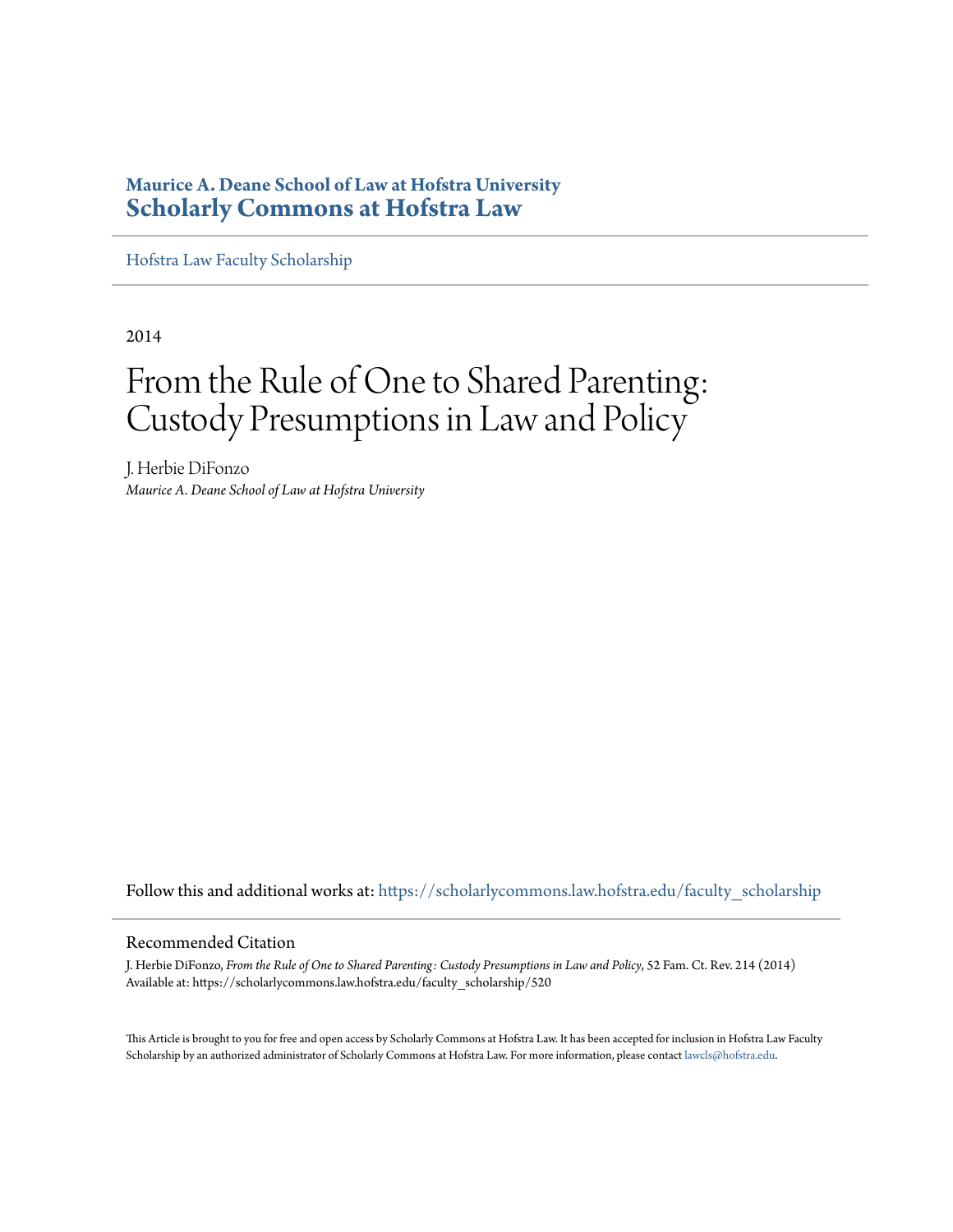# **Maurice A. Deane School of Law at Hofstra University [Scholarly Commons at Hofstra Law](https://scholarlycommons.law.hofstra.edu?utm_source=scholarlycommons.law.hofstra.edu%2Ffaculty_scholarship%2F520&utm_medium=PDF&utm_campaign=PDFCoverPages)**

[Hofstra Law Faculty Scholarship](https://scholarlycommons.law.hofstra.edu/faculty_scholarship?utm_source=scholarlycommons.law.hofstra.edu%2Ffaculty_scholarship%2F520&utm_medium=PDF&utm_campaign=PDFCoverPages)

2014

# From the Rule of One to Shared Parenting: Custody Presumptions in Law and Policy

J. Herbie DiFonzo *Maurice A. Deane School of Law at Hofstra University*

Follow this and additional works at: [https://scholarlycommons.law.hofstra.edu/faculty\\_scholarship](https://scholarlycommons.law.hofstra.edu/faculty_scholarship?utm_source=scholarlycommons.law.hofstra.edu%2Ffaculty_scholarship%2F520&utm_medium=PDF&utm_campaign=PDFCoverPages)

# Recommended Citation

J. Herbie DiFonzo, *From the Rule of One to Shared Parenting: Custody Presumptions in Law and Policy*, 52 Fam. Ct. Rev. 214 (2014) Available at: https://scholarlycommons.law.hofstra.edu/faculty\_scholarship/520

This Article is brought to you for free and open access by Scholarly Commons at Hofstra Law. It has been accepted for inclusion in Hofstra Law Faculty Scholarship by an authorized administrator of Scholarly Commons at Hofstra Law. For more information, please contact [lawcls@hofstra.edu](mailto:lawcls@hofstra.edu).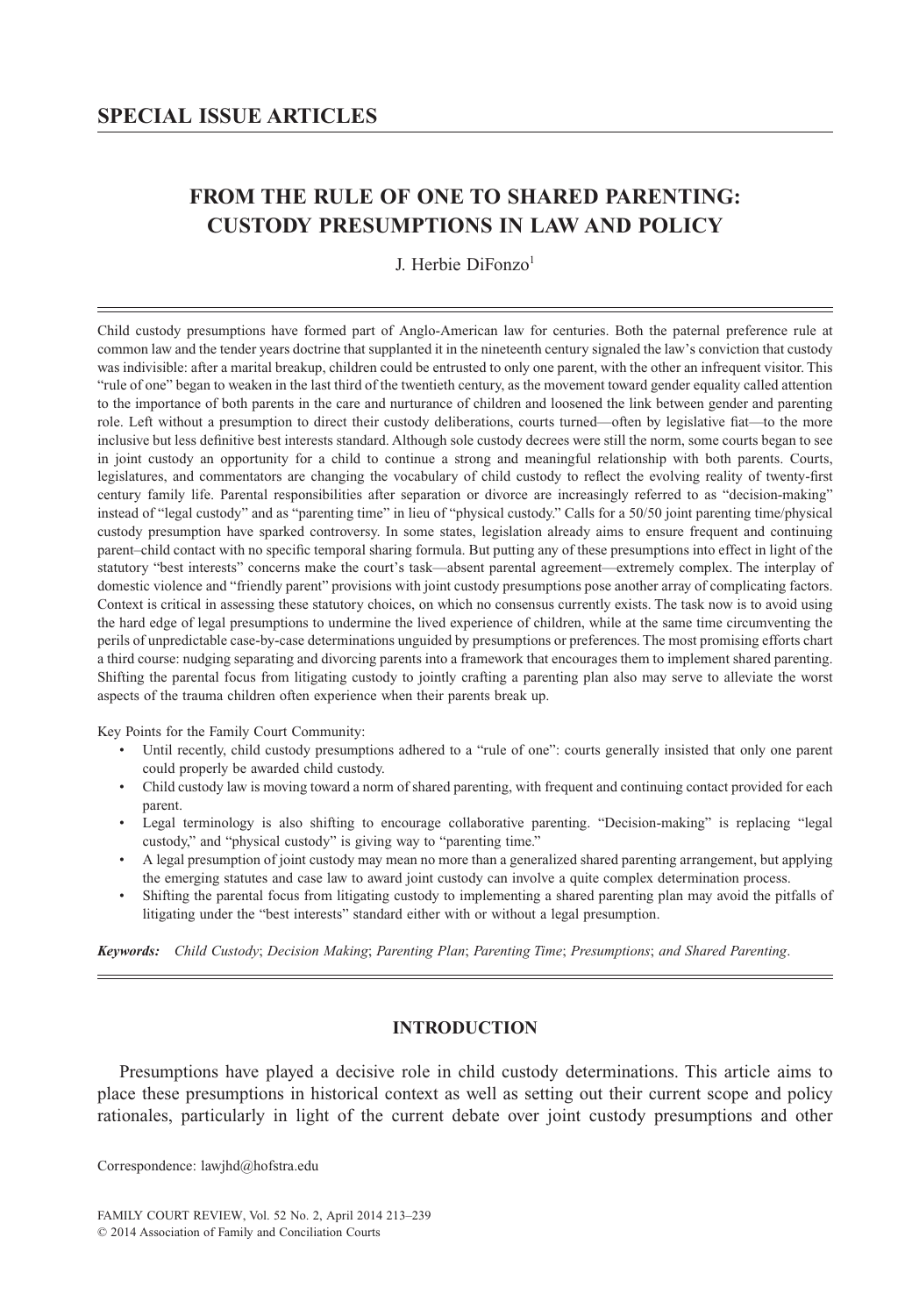# **FROM THE RULE OF ONE TO SHARED PARENTING: CUSTODY PRESUMPTIONS IN LAW AND POLICY**

J. Herbie DiFonzo $<sup>1</sup>$ </sup>

Child custody presumptions have formed part of Anglo-American law for centuries. Both the paternal preference rule at common law and the tender years doctrine that supplanted it in the nineteenth century signaled the law's conviction that custody was indivisible: after a marital breakup, children could be entrusted to only one parent, with the other an infrequent visitor. This "rule of one" began to weaken in the last third of the twentieth century, as the movement toward gender equality called attention to the importance of both parents in the care and nurturance of children and loosened the link between gender and parenting role. Left without a presumption to direct their custody deliberations, courts turned—often by legislative fiat—to the more inclusive but less definitive best interests standard. Although sole custody decrees were still the norm, some courts began to see in joint custody an opportunity for a child to continue a strong and meaningful relationship with both parents. Courts, legislatures, and commentators are changing the vocabulary of child custody to reflect the evolving reality of twenty-first century family life. Parental responsibilities after separation or divorce are increasingly referred to as "decision-making" instead of "legal custody" and as "parenting time" in lieu of "physical custody." Calls for a 50/50 joint parenting time/physical custody presumption have sparked controversy. In some states, legislation already aims to ensure frequent and continuing parent–child contact with no specific temporal sharing formula. But putting any of these presumptions into effect in light of the statutory "best interests" concerns make the court's task—absent parental agreement—extremely complex. The interplay of domestic violence and "friendly parent" provisions with joint custody presumptions pose another array of complicating factors. Context is critical in assessing these statutory choices, on which no consensus currently exists. The task now is to avoid using the hard edge of legal presumptions to undermine the lived experience of children, while at the same time circumventing the perils of unpredictable case-by-case determinations unguided by presumptions or preferences. The most promising efforts chart a third course: nudging separating and divorcing parents into a framework that encourages them to implement shared parenting. Shifting the parental focus from litigating custody to jointly crafting a parenting plan also may serve to alleviate the worst aspects of the trauma children often experience when their parents break up.

Key Points for the Family Court Community:

- Until recently, child custody presumptions adhered to a "rule of one": courts generally insisted that only one parent could properly be awarded child custody.
- Child custody law is moving toward a norm of shared parenting, with frequent and continuing contact provided for each parent.
- Legal terminology is also shifting to encourage collaborative parenting. "Decision-making" is replacing "legal custody," and "physical custody" is giving way to "parenting time."
- A legal presumption of joint custody may mean no more than a generalized shared parenting arrangement, but applying the emerging statutes and case law to award joint custody can involve a quite complex determination process.
- Shifting the parental focus from litigating custody to implementing a shared parenting plan may avoid the pitfalls of litigating under the "best interests" standard either with or without a legal presumption.

*Keywords: Child Custody*; *Decision Making*; *Parenting Plan*; *Parenting Time*; *Presumptions*; *and Shared Parenting*.

# **INTRODUCTION**

Presumptions have played a decisive role in child custody determinations. This article aims to place these presumptions in historical context as well as setting out their current scope and policy rationales, particularly in light of the current debate over joint custody presumptions and other

Correspondence: lawjhd@hofstra.edu

FAMILY COURT REVIEW, Vol. 52 No. 2, April 2014 213–239 © 2014 Association of Family and Conciliation Courts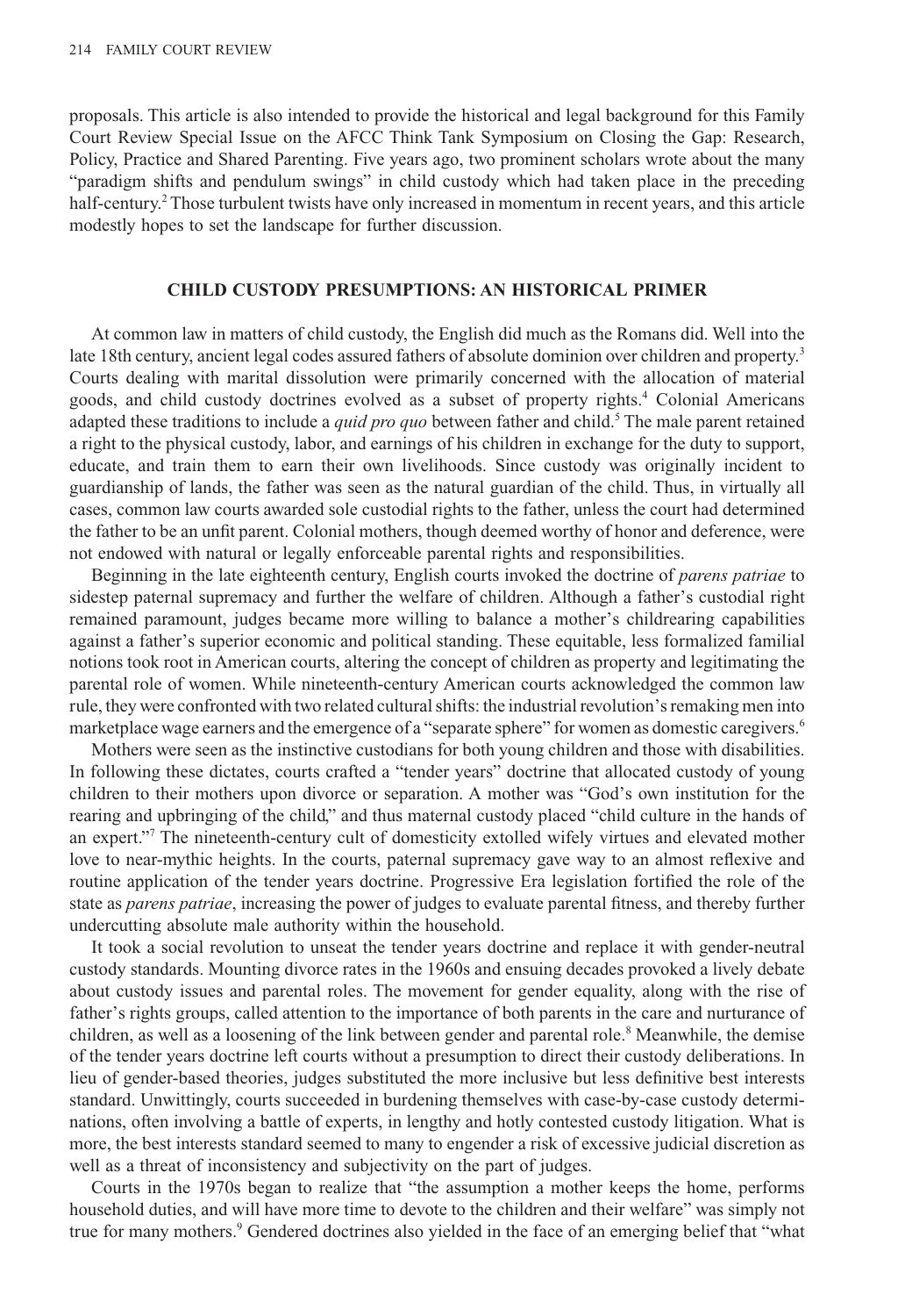proposals. This article is also intended to provide the historical and legal background for this Family Court Review Special Issue on the AFCC Think Tank Symposium on Closing the Gap: Research, Policy, Practice and Shared Parenting. Five years ago, two prominent scholars wrote about the many "paradigm shifts and pendulum swings" in child custody which had taken place in the preceding half-century.<sup>2</sup> Those turbulent twists have only increased in momentum in recent years, and this article modestly hopes to set the landscape for further discussion.

## **CHILD CUSTODY PRESUMPTIONS: AN HISTORICAL PRIMER**

At common law in matters of child custody, the English did much as the Romans did. Well into the late 18th century, ancient legal codes assured fathers of absolute dominion over children and property.<sup>3</sup> Courts dealing with marital dissolution were primarily concerned with the allocation of material goods, and child custody doctrines evolved as a subset of property rights.4 Colonial Americans adapted these traditions to include a *quid pro quo* between father and child.<sup>5</sup> The male parent retained a right to the physical custody, labor, and earnings of his children in exchange for the duty to support, educate, and train them to earn their own livelihoods. Since custody was originally incident to guardianship of lands, the father was seen as the natural guardian of the child. Thus, in virtually all cases, common law courts awarded sole custodial rights to the father, unless the court had determined the father to be an unfit parent. Colonial mothers, though deemed worthy of honor and deference, were not endowed with natural or legally enforceable parental rights and responsibilities.

Beginning in the late eighteenth century, English courts invoked the doctrine of *parens patriae* to sidestep paternal supremacy and further the welfare of children. Although a father's custodial right remained paramount, judges became more willing to balance a mother's childrearing capabilities against a father's superior economic and political standing. These equitable, less formalized familial notions took root in American courts, altering the concept of children as property and legitimating the parental role of women. While nineteenth-century American courts acknowledged the common law rule, they were confronted with two related cultural shifts: the industrial revolution's remaking men into marketplace wage earners and the emergence of a "separate sphere" for women as domestic caregivers.<sup>6</sup>

Mothers were seen as the instinctive custodians for both young children and those with disabilities. In following these dictates, courts crafted a "tender years" doctrine that allocated custody of young children to their mothers upon divorce or separation. A mother was "God's own institution for the rearing and upbringing of the child," and thus maternal custody placed "child culture in the hands of an expert."7 The nineteenth-century cult of domesticity extolled wifely virtues and elevated mother love to near-mythic heights. In the courts, paternal supremacy gave way to an almost reflexive and routine application of the tender years doctrine. Progressive Era legislation fortified the role of the state as *parens patriae*, increasing the power of judges to evaluate parental fitness, and thereby further undercutting absolute male authority within the household.

It took a social revolution to unseat the tender years doctrine and replace it with gender-neutral custody standards. Mounting divorce rates in the 1960s and ensuing decades provoked a lively debate about custody issues and parental roles. The movement for gender equality, along with the rise of father's rights groups, called attention to the importance of both parents in the care and nurturance of children, as well as a loosening of the link between gender and parental role. $8$  Meanwhile, the demise of the tender years doctrine left courts without a presumption to direct their custody deliberations. In lieu of gender-based theories, judges substituted the more inclusive but less definitive best interests standard. Unwittingly, courts succeeded in burdening themselves with case-by-case custody determinations, often involving a battle of experts, in lengthy and hotly contested custody litigation. What is more, the best interests standard seemed to many to engender a risk of excessive judicial discretion as well as a threat of inconsistency and subjectivity on the part of judges.

Courts in the 1970s began to realize that "the assumption a mother keeps the home, performs household duties, and will have more time to devote to the children and their welfare" was simply not true for many mothers.<sup>9</sup> Gendered doctrines also yielded in the face of an emerging belief that "what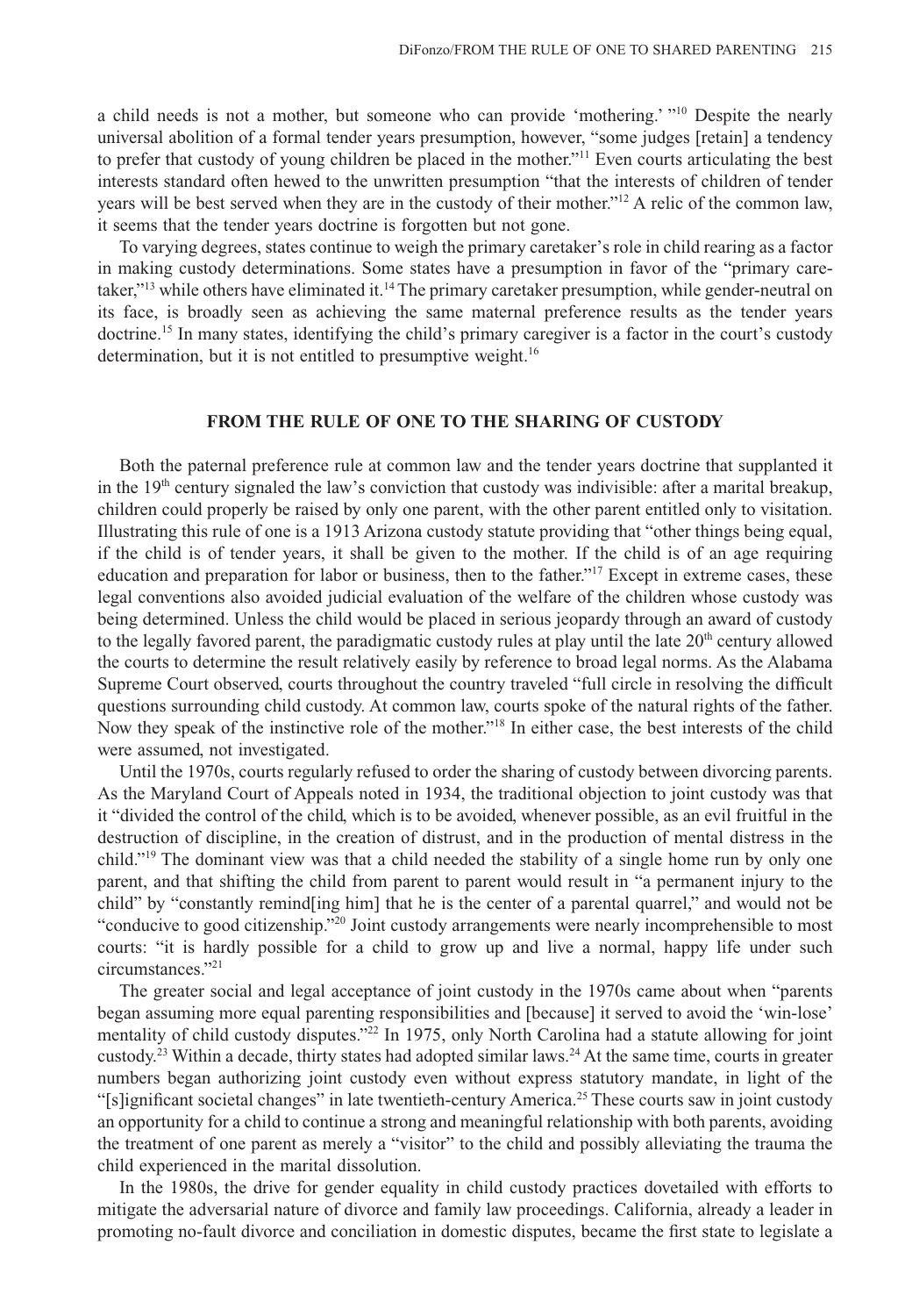a child needs is not a mother, but someone who can provide 'mothering.' "10 Despite the nearly universal abolition of a formal tender years presumption, however, "some judges [retain] a tendency to prefer that custody of young children be placed in the mother."11 Even courts articulating the best interests standard often hewed to the unwritten presumption "that the interests of children of tender years will be best served when they are in the custody of their mother."12 A relic of the common law, it seems that the tender years doctrine is forgotten but not gone.

To varying degrees, states continue to weigh the primary caretaker's role in child rearing as a factor in making custody determinations. Some states have a presumption in favor of the "primary caretaker,"<sup>13</sup> while others have eliminated it.<sup>14</sup> The primary caretaker presumption, while gender-neutral on its face, is broadly seen as achieving the same maternal preference results as the tender years doctrine.15 In many states, identifying the child's primary caregiver is a factor in the court's custody determination, but it is not entitled to presumptive weight.<sup>16</sup>

## **FROM THE RULE OF ONE TO THE SHARING OF CUSTODY**

Both the paternal preference rule at common law and the tender years doctrine that supplanted it in the  $19<sup>th</sup>$  century signaled the law's conviction that custody was indivisible: after a marital breakup, children could properly be raised by only one parent, with the other parent entitled only to visitation. Illustrating this rule of one is a 1913 Arizona custody statute providing that "other things being equal, if the child is of tender years, it shall be given to the mother. If the child is of an age requiring education and preparation for labor or business, then to the father."17 Except in extreme cases, these legal conventions also avoided judicial evaluation of the welfare of the children whose custody was being determined. Unless the child would be placed in serious jeopardy through an award of custody to the legally favored parent, the paradigmatic custody rules at play until the late  $20<sup>th</sup>$  century allowed the courts to determine the result relatively easily by reference to broad legal norms. As the Alabama Supreme Court observed, courts throughout the country traveled "full circle in resolving the difficult questions surrounding child custody. At common law, courts spoke of the natural rights of the father. Now they speak of the instinctive role of the mother."18 In either case, the best interests of the child were assumed, not investigated.

Until the 1970s, courts regularly refused to order the sharing of custody between divorcing parents. As the Maryland Court of Appeals noted in 1934, the traditional objection to joint custody was that it "divided the control of the child, which is to be avoided, whenever possible, as an evil fruitful in the destruction of discipline, in the creation of distrust, and in the production of mental distress in the child."19 The dominant view was that a child needed the stability of a single home run by only one parent, and that shifting the child from parent to parent would result in "a permanent injury to the child" by "constantly remind[ing him] that he is the center of a parental quarrel," and would not be "conducive to good citizenship."<sup>20</sup> Joint custody arrangements were nearly incomprehensible to most courts: "it is hardly possible for a child to grow up and live a normal, happy life under such circumstances."21

The greater social and legal acceptance of joint custody in the 1970s came about when "parents began assuming more equal parenting responsibilities and [because] it served to avoid the 'win-lose' mentality of child custody disputes."<sup>22</sup> In 1975, only North Carolina had a statute allowing for joint custody.23 Within a decade, thirty states had adopted similar laws.24 At the same time, courts in greater numbers began authorizing joint custody even without express statutory mandate, in light of the "[s]ignificant societal changes" in late twentieth-century America.25 These courts saw in joint custody an opportunity for a child to continue a strong and meaningful relationship with both parents, avoiding the treatment of one parent as merely a "visitor" to the child and possibly alleviating the trauma the child experienced in the marital dissolution.

In the 1980s, the drive for gender equality in child custody practices dovetailed with efforts to mitigate the adversarial nature of divorce and family law proceedings. California, already a leader in promoting no-fault divorce and conciliation in domestic disputes, became the first state to legislate a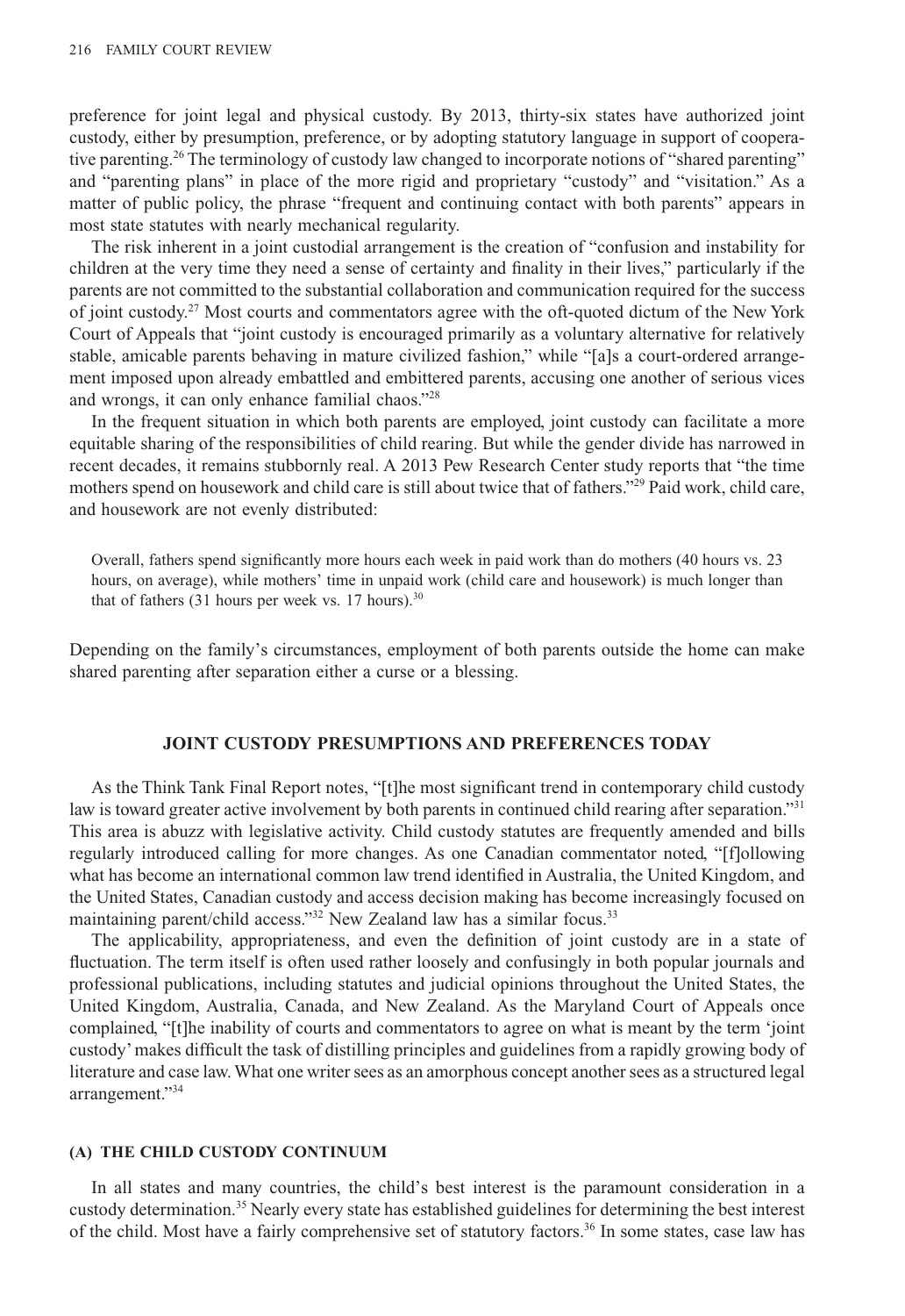preference for joint legal and physical custody. By 2013, thirty-six states have authorized joint custody, either by presumption, preference, or by adopting statutory language in support of cooperative parenting.<sup>26</sup> The terminology of custody law changed to incorporate notions of "shared parenting" and "parenting plans" in place of the more rigid and proprietary "custody" and "visitation." As a matter of public policy, the phrase "frequent and continuing contact with both parents" appears in most state statutes with nearly mechanical regularity.

The risk inherent in a joint custodial arrangement is the creation of "confusion and instability for children at the very time they need a sense of certainty and finality in their lives," particularly if the parents are not committed to the substantial collaboration and communication required for the success of joint custody.<sup>27</sup> Most courts and commentators agree with the oft-quoted dictum of the New York Court of Appeals that "joint custody is encouraged primarily as a voluntary alternative for relatively stable, amicable parents behaving in mature civilized fashion," while "[a]s a court-ordered arrangement imposed upon already embattled and embittered parents, accusing one another of serious vices and wrongs, it can only enhance familial chaos."28

In the frequent situation in which both parents are employed, joint custody can facilitate a more equitable sharing of the responsibilities of child rearing. But while the gender divide has narrowed in recent decades, it remains stubbornly real. A 2013 Pew Research Center study reports that "the time mothers spend on housework and child care is still about twice that of fathers."<sup>29</sup> Paid work, child care, and housework are not evenly distributed:

Overall, fathers spend significantly more hours each week in paid work than do mothers (40 hours vs. 23 hours, on average), while mothers' time in unpaid work (child care and housework) is much longer than that of fathers  $(31$  hours per week vs. 17 hours).<sup>30</sup>

Depending on the family's circumstances, employment of both parents outside the home can make shared parenting after separation either a curse or a blessing.

# **JOINT CUSTODY PRESUMPTIONS AND PREFERENCES TODAY**

As the Think Tank Final Report notes, "[t]he most significant trend in contemporary child custody law is toward greater active involvement by both parents in continued child rearing after separation."<sup>31</sup> This area is abuzz with legislative activity. Child custody statutes are frequently amended and bills regularly introduced calling for more changes. As one Canadian commentator noted, "[f]ollowing what has become an international common law trend identified in Australia, the United Kingdom, and the United States, Canadian custody and access decision making has become increasingly focused on maintaining parent/child access."<sup>32</sup> New Zealand law has a similar focus.<sup>33</sup>

The applicability, appropriateness, and even the definition of joint custody are in a state of fluctuation. The term itself is often used rather loosely and confusingly in both popular journals and professional publications, including statutes and judicial opinions throughout the United States, the United Kingdom, Australia, Canada, and New Zealand. As the Maryland Court of Appeals once complained, "[t]he inability of courts and commentators to agree on what is meant by the term 'joint custody' makes difficult the task of distilling principles and guidelines from a rapidly growing body of literature and case law. What one writer sees as an amorphous concept another sees as a structured legal arrangement."34

#### **(A) THE CHILD CUSTODY CONTINUUM**

In all states and many countries, the child's best interest is the paramount consideration in a custody determination.35 Nearly every state has established guidelines for determining the best interest of the child. Most have a fairly comprehensive set of statutory factors.<sup>36</sup> In some states, case law has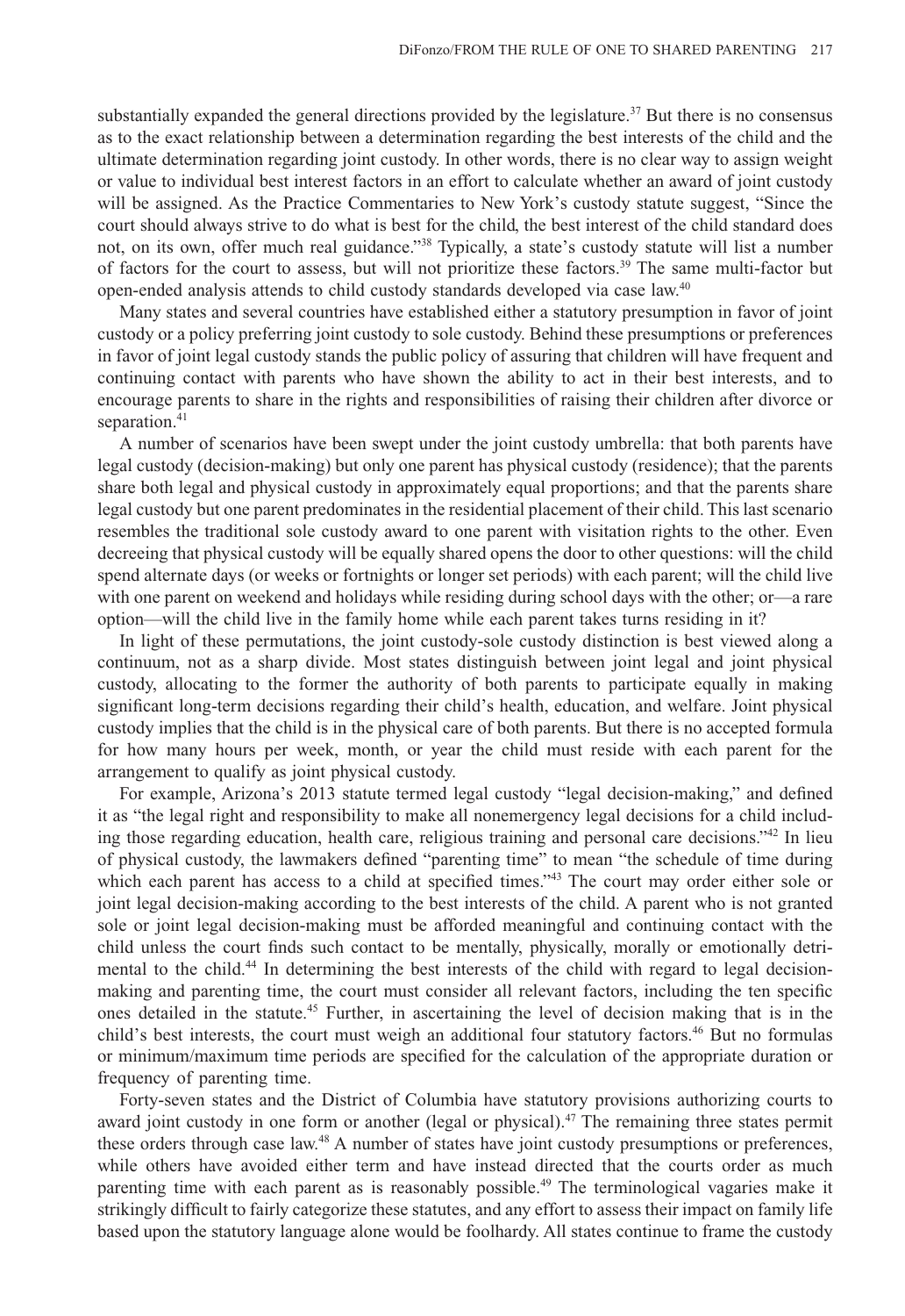substantially expanded the general directions provided by the legislature.<sup>37</sup> But there is no consensus as to the exact relationship between a determination regarding the best interests of the child and the ultimate determination regarding joint custody. In other words, there is no clear way to assign weight or value to individual best interest factors in an effort to calculate whether an award of joint custody will be assigned. As the Practice Commentaries to New York's custody statute suggest, "Since the court should always strive to do what is best for the child, the best interest of the child standard does not, on its own, offer much real guidance."38 Typically, a state's custody statute will list a number of factors for the court to assess, but will not prioritize these factors.39 The same multi-factor but open-ended analysis attends to child custody standards developed via case law.40

Many states and several countries have established either a statutory presumption in favor of joint custody or a policy preferring joint custody to sole custody. Behind these presumptions or preferences in favor of joint legal custody stands the public policy of assuring that children will have frequent and continuing contact with parents who have shown the ability to act in their best interests, and to encourage parents to share in the rights and responsibilities of raising their children after divorce or separation.<sup>41</sup>

A number of scenarios have been swept under the joint custody umbrella: that both parents have legal custody (decision-making) but only one parent has physical custody (residence); that the parents share both legal and physical custody in approximately equal proportions; and that the parents share legal custody but one parent predominates in the residential placement of their child. This last scenario resembles the traditional sole custody award to one parent with visitation rights to the other. Even decreeing that physical custody will be equally shared opens the door to other questions: will the child spend alternate days (or weeks or fortnights or longer set periods) with each parent; will the child live with one parent on weekend and holidays while residing during school days with the other; or—a rare option—will the child live in the family home while each parent takes turns residing in it?

In light of these permutations, the joint custody-sole custody distinction is best viewed along a continuum, not as a sharp divide. Most states distinguish between joint legal and joint physical custody, allocating to the former the authority of both parents to participate equally in making significant long-term decisions regarding their child's health, education, and welfare. Joint physical custody implies that the child is in the physical care of both parents. But there is no accepted formula for how many hours per week, month, or year the child must reside with each parent for the arrangement to qualify as joint physical custody.

For example, Arizona's 2013 statute termed legal custody "legal decision-making," and defined it as "the legal right and responsibility to make all nonemergency legal decisions for a child including those regarding education, health care, religious training and personal care decisions."42 In lieu of physical custody, the lawmakers defined "parenting time" to mean "the schedule of time during which each parent has access to a child at specified times."<sup>43</sup> The court may order either sole or joint legal decision-making according to the best interests of the child. A parent who is not granted sole or joint legal decision-making must be afforded meaningful and continuing contact with the child unless the court finds such contact to be mentally, physically, morally or emotionally detrimental to the child.44 In determining the best interests of the child with regard to legal decisionmaking and parenting time, the court must consider all relevant factors, including the ten specific ones detailed in the statute.45 Further, in ascertaining the level of decision making that is in the child's best interests, the court must weigh an additional four statutory factors.<sup>46</sup> But no formulas or minimum/maximum time periods are specified for the calculation of the appropriate duration or frequency of parenting time.

Forty-seven states and the District of Columbia have statutory provisions authorizing courts to award joint custody in one form or another (legal or physical).<sup>47</sup> The remaining three states permit these orders through case law.<sup>48</sup> A number of states have joint custody presumptions or preferences, while others have avoided either term and have instead directed that the courts order as much parenting time with each parent as is reasonably possible.<sup>49</sup> The terminological vagaries make it strikingly difficult to fairly categorize these statutes, and any effort to assess their impact on family life based upon the statutory language alone would be foolhardy. All states continue to frame the custody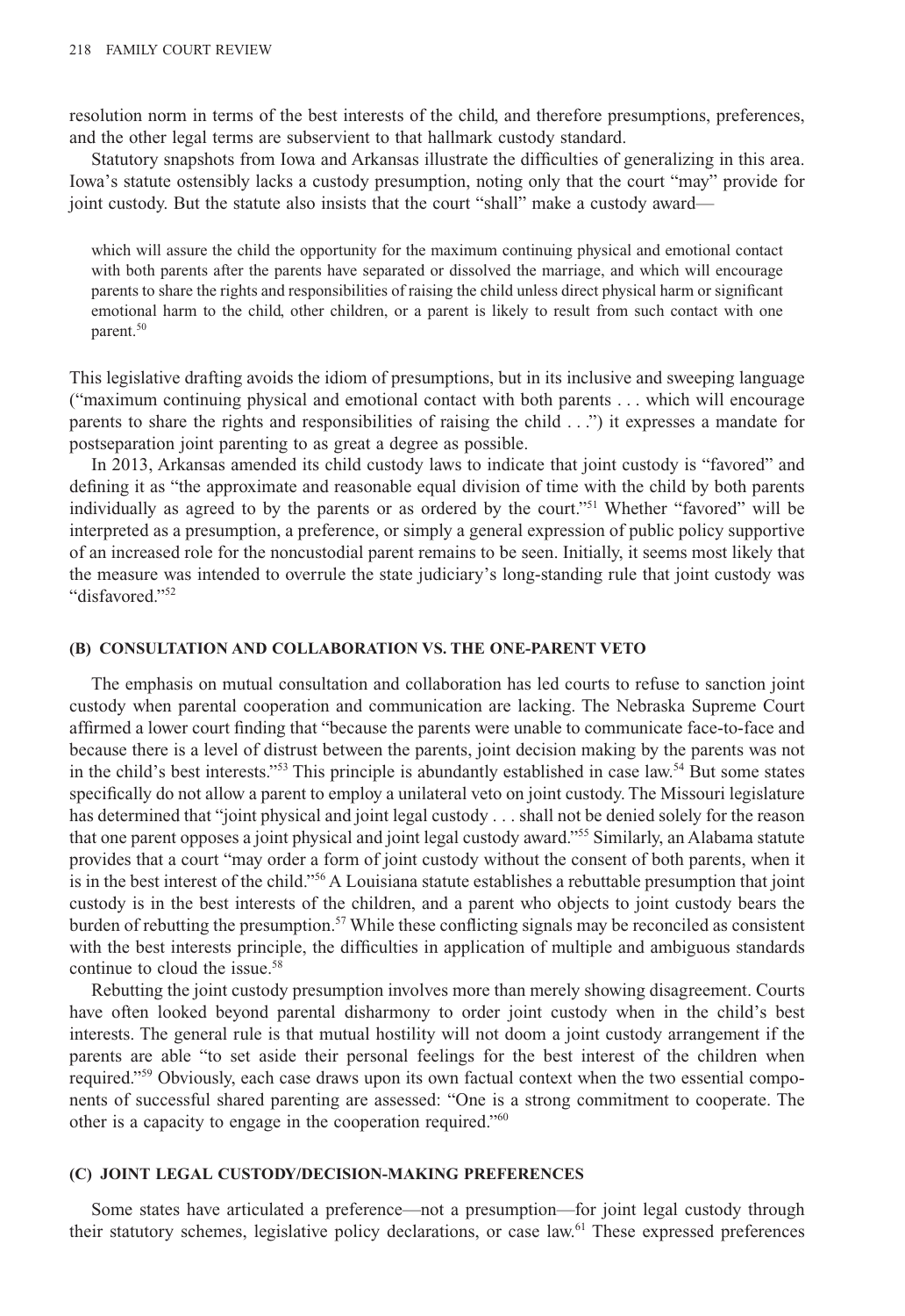resolution norm in terms of the best interests of the child, and therefore presumptions, preferences, and the other legal terms are subservient to that hallmark custody standard.

Statutory snapshots from Iowa and Arkansas illustrate the difficulties of generalizing in this area. Iowa's statute ostensibly lacks a custody presumption, noting only that the court "may" provide for joint custody. But the statute also insists that the court "shall" make a custody award—

which will assure the child the opportunity for the maximum continuing physical and emotional contact with both parents after the parents have separated or dissolved the marriage, and which will encourage parents to share the rights and responsibilities of raising the child unless direct physical harm or significant emotional harm to the child, other children, or a parent is likely to result from such contact with one parent.<sup>50</sup>

This legislative drafting avoids the idiom of presumptions, but in its inclusive and sweeping language ("maximum continuing physical and emotional contact with both parents . . . which will encourage parents to share the rights and responsibilities of raising the child . . .") it expresses a mandate for postseparation joint parenting to as great a degree as possible.

In 2013, Arkansas amended its child custody laws to indicate that joint custody is "favored" and defining it as "the approximate and reasonable equal division of time with the child by both parents individually as agreed to by the parents or as ordered by the court."51 Whether "favored" will be interpreted as a presumption, a preference, or simply a general expression of public policy supportive of an increased role for the noncustodial parent remains to be seen. Initially, it seems most likely that the measure was intended to overrule the state judiciary's long-standing rule that joint custody was "disfavored."52

#### **(B) CONSULTATION AND COLLABORATION VS. THE ONE-PARENT VETO**

The emphasis on mutual consultation and collaboration has led courts to refuse to sanction joint custody when parental cooperation and communication are lacking. The Nebraska Supreme Court affirmed a lower court finding that "because the parents were unable to communicate face-to-face and because there is a level of distrust between the parents, joint decision making by the parents was not in the child's best interests."<sup>53</sup> This principle is abundantly established in case law.<sup>54</sup> But some states specifically do not allow a parent to employ a unilateral veto on joint custody. The Missouri legislature has determined that "joint physical and joint legal custody . . . shall not be denied solely for the reason that one parent opposes a joint physical and joint legal custody award."55 Similarly, an Alabama statute provides that a court "may order a form of joint custody without the consent of both parents, when it is in the best interest of the child."56 A Louisiana statute establishes a rebuttable presumption that joint custody is in the best interests of the children, and a parent who objects to joint custody bears the burden of rebutting the presumption.<sup>57</sup> While these conflicting signals may be reconciled as consistent with the best interests principle, the difficulties in application of multiple and ambiguous standards continue to cloud the issue.<sup>58</sup>

Rebutting the joint custody presumption involves more than merely showing disagreement. Courts have often looked beyond parental disharmony to order joint custody when in the child's best interests. The general rule is that mutual hostility will not doom a joint custody arrangement if the parents are able "to set aside their personal feelings for the best interest of the children when required."<sup>59</sup> Obviously, each case draws upon its own factual context when the two essential components of successful shared parenting are assessed: "One is a strong commitment to cooperate. The other is a capacity to engage in the cooperation required."60

## **(C) JOINT LEGAL CUSTODY/DECISION-MAKING PREFERENCES**

Some states have articulated a preference—not a presumption—for joint legal custody through their statutory schemes, legislative policy declarations, or case law.61 These expressed preferences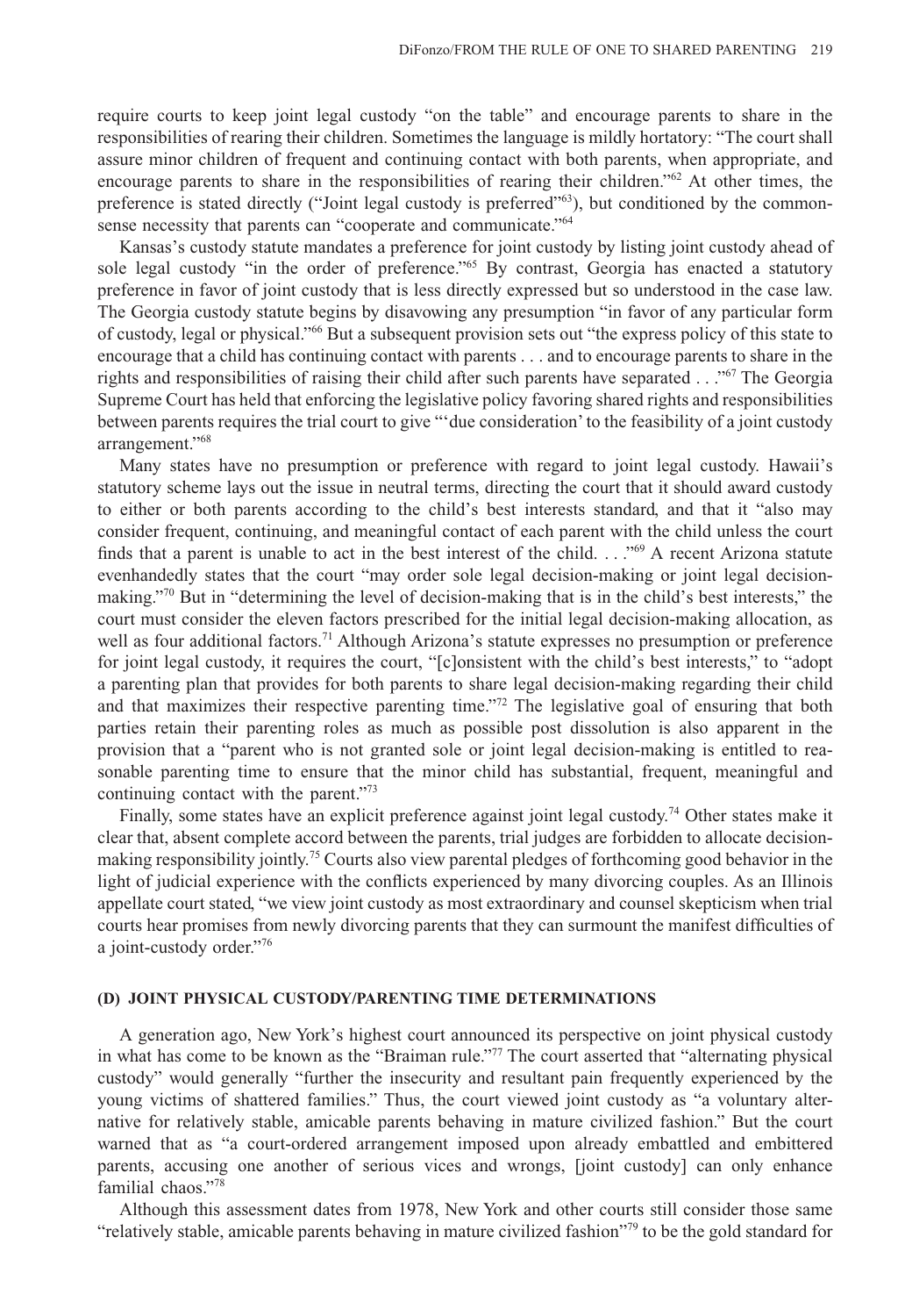require courts to keep joint legal custody "on the table" and encourage parents to share in the responsibilities of rearing their children. Sometimes the language is mildly hortatory: "The court shall assure minor children of frequent and continuing contact with both parents, when appropriate, and encourage parents to share in the responsibilities of rearing their children."62 At other times, the preference is stated directly ("Joint legal custody is preferred"63), but conditioned by the commonsense necessity that parents can "cooperate and communicate."<sup>64</sup>

Kansas's custody statute mandates a preference for joint custody by listing joint custody ahead of sole legal custody "in the order of preference."<sup>65</sup> By contrast, Georgia has enacted a statutory preference in favor of joint custody that is less directly expressed but so understood in the case law. The Georgia custody statute begins by disavowing any presumption "in favor of any particular form of custody, legal or physical."66 But a subsequent provision sets out "the express policy of this state to encourage that a child has continuing contact with parents . . . and to encourage parents to share in the rights and responsibilities of raising their child after such parents have separated . . ."67 The Georgia Supreme Court has held that enforcing the legislative policy favoring shared rights and responsibilities between parents requires the trial court to give "'due consideration' to the feasibility of a joint custody arrangement."68

Many states have no presumption or preference with regard to joint legal custody. Hawaii's statutory scheme lays out the issue in neutral terms, directing the court that it should award custody to either or both parents according to the child's best interests standard, and that it "also may consider frequent, continuing, and meaningful contact of each parent with the child unless the court finds that a parent is unable to act in the best interest of the child. . . . "<sup>69</sup> A recent Arizona statute evenhandedly states that the court "may order sole legal decision-making or joint legal decisionmaking."70 But in "determining the level of decision-making that is in the child's best interests," the court must consider the eleven factors prescribed for the initial legal decision-making allocation, as well as four additional factors.<sup>71</sup> Although Arizona's statute expresses no presumption or preference for joint legal custody, it requires the court, "[c]onsistent with the child's best interests," to "adopt a parenting plan that provides for both parents to share legal decision-making regarding their child and that maximizes their respective parenting time."72 The legislative goal of ensuring that both parties retain their parenting roles as much as possible post dissolution is also apparent in the provision that a "parent who is not granted sole or joint legal decision-making is entitled to reasonable parenting time to ensure that the minor child has substantial, frequent, meaningful and continuing contact with the parent."<sup>73</sup>

Finally, some states have an explicit preference against joint legal custody.<sup>74</sup> Other states make it clear that, absent complete accord between the parents, trial judges are forbidden to allocate decisionmaking responsibility jointly.75 Courts also view parental pledges of forthcoming good behavior in the light of judicial experience with the conflicts experienced by many divorcing couples. As an Illinois appellate court stated, "we view joint custody as most extraordinary and counsel skepticism when trial courts hear promises from newly divorcing parents that they can surmount the manifest difficulties of a joint-custody order."76

# **(D) JOINT PHYSICAL CUSTODY/PARENTING TIME DETERMINATIONS**

A generation ago, New York's highest court announced its perspective on joint physical custody in what has come to be known as the "Braiman rule."77 The court asserted that "alternating physical custody" would generally "further the insecurity and resultant pain frequently experienced by the young victims of shattered families." Thus, the court viewed joint custody as "a voluntary alternative for relatively stable, amicable parents behaving in mature civilized fashion." But the court warned that as "a court-ordered arrangement imposed upon already embattled and embittered parents, accusing one another of serious vices and wrongs, [joint custody] can only enhance familial chaos."78

Although this assessment dates from 1978, New York and other courts still consider those same "relatively stable, amicable parents behaving in mature civilized fashion"<sup>79</sup> to be the gold standard for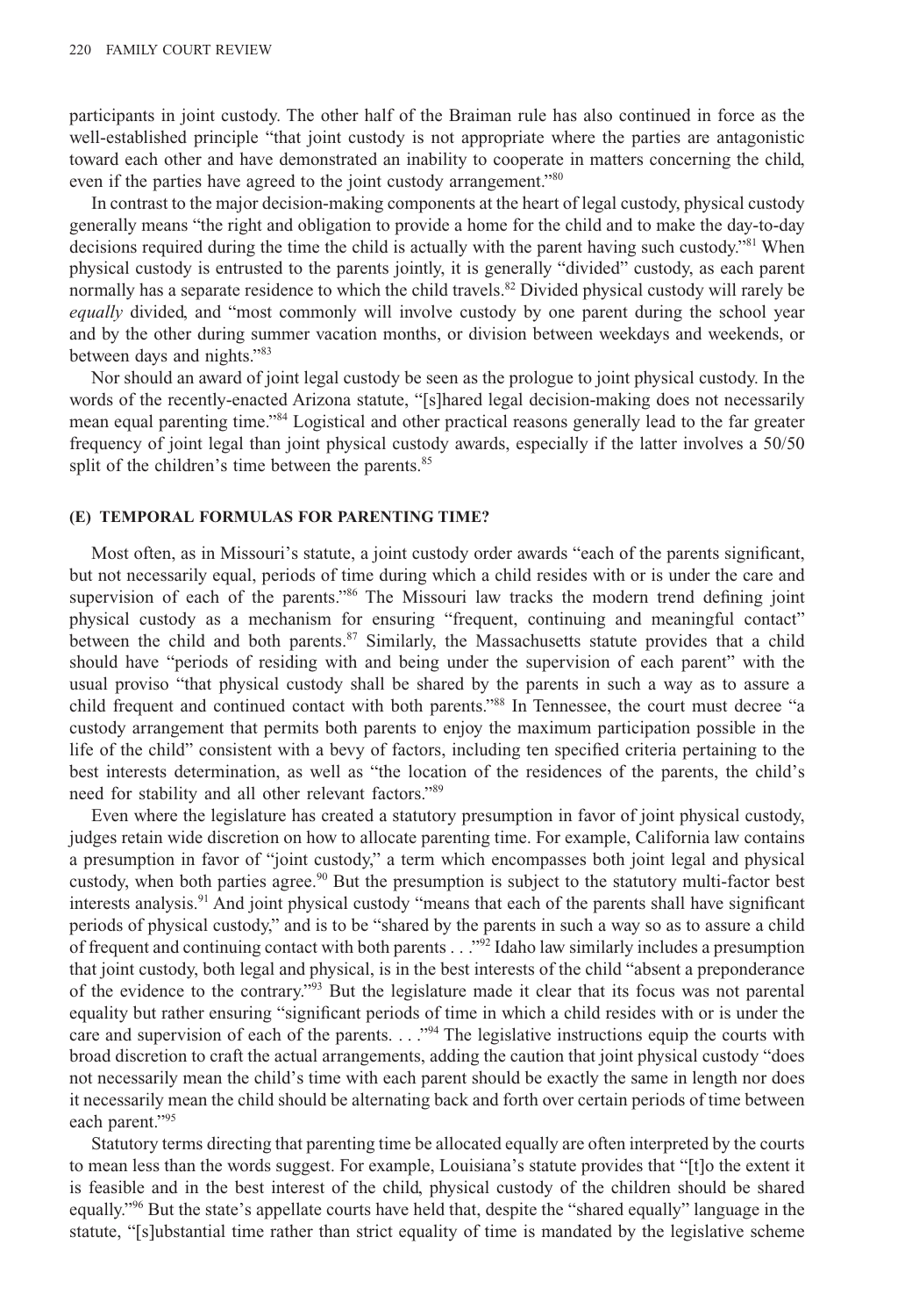participants in joint custody. The other half of the Braiman rule has also continued in force as the well-established principle "that joint custody is not appropriate where the parties are antagonistic toward each other and have demonstrated an inability to cooperate in matters concerning the child, even if the parties have agreed to the joint custody arrangement."80

In contrast to the major decision-making components at the heart of legal custody, physical custody generally means "the right and obligation to provide a home for the child and to make the day-to-day decisions required during the time the child is actually with the parent having such custody."<sup>81</sup> When physical custody is entrusted to the parents jointly, it is generally "divided" custody, as each parent normally has a separate residence to which the child travels.<sup>82</sup> Divided physical custody will rarely be *equally* divided, and "most commonly will involve custody by one parent during the school year and by the other during summer vacation months, or division between weekdays and weekends, or between days and nights."83

Nor should an award of joint legal custody be seen as the prologue to joint physical custody. In the words of the recently-enacted Arizona statute, "[s]hared legal decision-making does not necessarily mean equal parenting time."<sup>84</sup> Logistical and other practical reasons generally lead to the far greater frequency of joint legal than joint physical custody awards, especially if the latter involves a 50/50 split of the children's time between the parents.<sup>85</sup>

#### **(E) TEMPORAL FORMULAS FOR PARENTING TIME?**

Most often, as in Missouri's statute, a joint custody order awards "each of the parents significant, but not necessarily equal, periods of time during which a child resides with or is under the care and supervision of each of the parents."86 The Missouri law tracks the modern trend defining joint physical custody as a mechanism for ensuring "frequent, continuing and meaningful contact" between the child and both parents.<sup>87</sup> Similarly, the Massachusetts statute provides that a child should have "periods of residing with and being under the supervision of each parent" with the usual proviso "that physical custody shall be shared by the parents in such a way as to assure a child frequent and continued contact with both parents."88 In Tennessee, the court must decree "a custody arrangement that permits both parents to enjoy the maximum participation possible in the life of the child" consistent with a bevy of factors, including ten specified criteria pertaining to the best interests determination, as well as "the location of the residences of the parents, the child's need for stability and all other relevant factors."89

Even where the legislature has created a statutory presumption in favor of joint physical custody, judges retain wide discretion on how to allocate parenting time. For example, California law contains a presumption in favor of "joint custody," a term which encompasses both joint legal and physical custody, when both parties agree.<sup>90</sup> But the presumption is subject to the statutory multi-factor best interests analysis.<sup>91</sup> And joint physical custody "means that each of the parents shall have significant periods of physical custody," and is to be "shared by the parents in such a way so as to assure a child of frequent and continuing contact with both parents . . ."92 Idaho law similarly includes a presumption that joint custody, both legal and physical, is in the best interests of the child "absent a preponderance of the evidence to the contrary."93 But the legislature made it clear that its focus was not parental equality but rather ensuring "significant periods of time in which a child resides with or is under the care and supervision of each of the parents.  $\ldots$ <sup>94</sup> The legislative instructions equip the courts with broad discretion to craft the actual arrangements, adding the caution that joint physical custody "does not necessarily mean the child's time with each parent should be exactly the same in length nor does it necessarily mean the child should be alternating back and forth over certain periods of time between each parent."95

Statutory terms directing that parenting time be allocated equally are often interpreted by the courts to mean less than the words suggest. For example, Louisiana's statute provides that "[t]o the extent it is feasible and in the best interest of the child, physical custody of the children should be shared equally."<sup>96</sup> But the state's appellate courts have held that, despite the "shared equally" language in the statute, "[s]ubstantial time rather than strict equality of time is mandated by the legislative scheme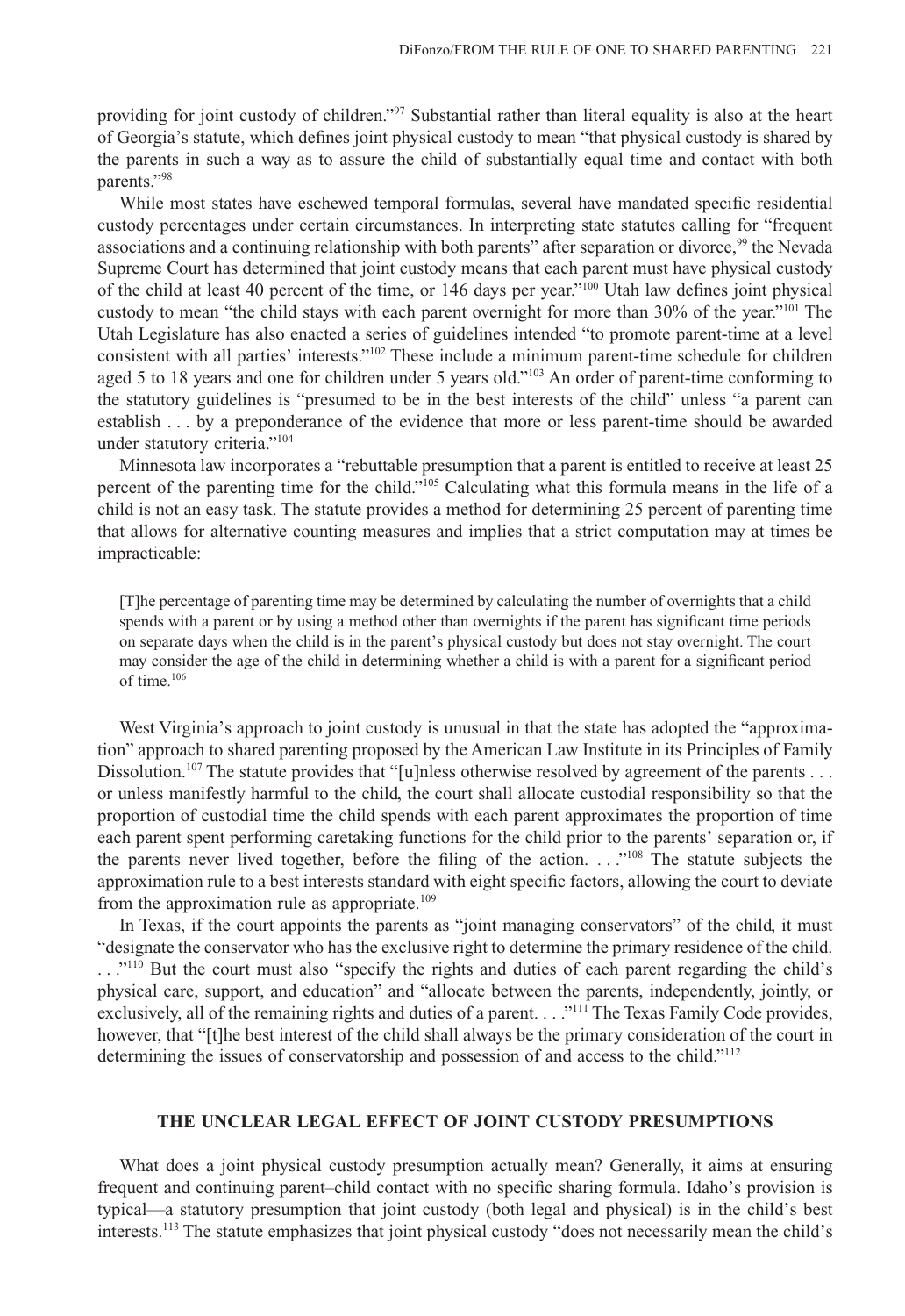providing for joint custody of children."97 Substantial rather than literal equality is also at the heart of Georgia's statute, which defines joint physical custody to mean "that physical custody is shared by the parents in such a way as to assure the child of substantially equal time and contact with both parents."98

While most states have eschewed temporal formulas, several have mandated specific residential custody percentages under certain circumstances. In interpreting state statutes calling for "frequent associations and a continuing relationship with both parents" after separation or divorce,<sup>99</sup> the Nevada Supreme Court has determined that joint custody means that each parent must have physical custody of the child at least 40 percent of the time, or 146 days per year."100 Utah law defines joint physical custody to mean "the child stays with each parent overnight for more than 30% of the year."101 The Utah Legislature has also enacted a series of guidelines intended "to promote parent-time at a level consistent with all parties' interests."102 These include a minimum parent-time schedule for children aged 5 to 18 years and one for children under 5 years old."<sup>103</sup> An order of parent-time conforming to the statutory guidelines is "presumed to be in the best interests of the child" unless "a parent can establish . . . by a preponderance of the evidence that more or less parent-time should be awarded under statutory criteria."<sup>104</sup>

Minnesota law incorporates a "rebuttable presumption that a parent is entitled to receive at least 25 percent of the parenting time for the child."105 Calculating what this formula means in the life of a child is not an easy task. The statute provides a method for determining 25 percent of parenting time that allows for alternative counting measures and implies that a strict computation may at times be impracticable:

[T]he percentage of parenting time may be determined by calculating the number of overnights that a child spends with a parent or by using a method other than overnights if the parent has significant time periods on separate days when the child is in the parent's physical custody but does not stay overnight. The court may consider the age of the child in determining whether a child is with a parent for a significant period of time.106

West Virginia's approach to joint custody is unusual in that the state has adopted the "approximation" approach to shared parenting proposed by the American Law Institute in its Principles of Family Dissolution.<sup>107</sup> The statute provides that "[u]nless otherwise resolved by agreement of the parents . . . or unless manifestly harmful to the child, the court shall allocate custodial responsibility so that the proportion of custodial time the child spends with each parent approximates the proportion of time each parent spent performing caretaking functions for the child prior to the parents' separation or, if the parents never lived together, before the filing of the action. . . . "<sup>108</sup> The statute subjects the approximation rule to a best interests standard with eight specific factors, allowing the court to deviate from the approximation rule as appropriate. $109$ 

In Texas, if the court appoints the parents as "joint managing conservators" of the child, it must "designate the conservator who has the exclusive right to determine the primary residence of the child. ..."<sup>110</sup> But the court must also "specify the rights and duties of each parent regarding the child's physical care, support, and education" and "allocate between the parents, independently, jointly, or exclusively, all of the remaining rights and duties of a parent. . . . "<sup>111</sup> The Texas Family Code provides, however, that "[t]he best interest of the child shall always be the primary consideration of the court in determining the issues of conservatorship and possession of and access to the child."112

# **THE UNCLEAR LEGAL EFFECT OF JOINT CUSTODY PRESUMPTIONS**

What does a joint physical custody presumption actually mean? Generally, it aims at ensuring frequent and continuing parent–child contact with no specific sharing formula. Idaho's provision is typical—a statutory presumption that joint custody (both legal and physical) is in the child's best interests.113 The statute emphasizes that joint physical custody "does not necessarily mean the child's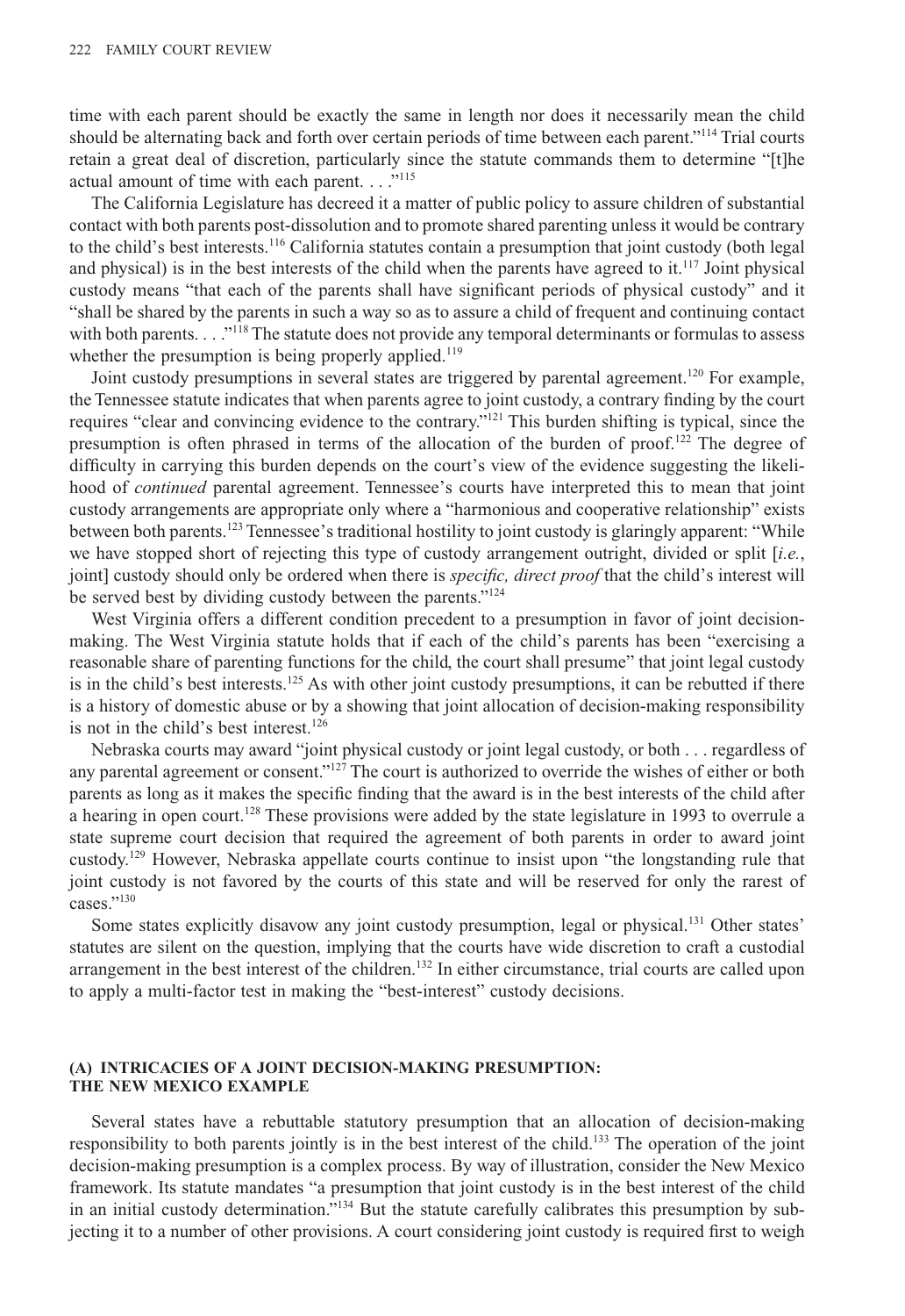time with each parent should be exactly the same in length nor does it necessarily mean the child should be alternating back and forth over certain periods of time between each parent."114 Trial courts retain a great deal of discretion, particularly since the statute commands them to determine "[t]he actual amount of time with each parent. . . ."<sup>115</sup>

The California Legislature has decreed it a matter of public policy to assure children of substantial contact with both parents post-dissolution and to promote shared parenting unless it would be contrary to the child's best interests.116 California statutes contain a presumption that joint custody (both legal and physical) is in the best interests of the child when the parents have agreed to it.<sup>117</sup> Joint physical custody means "that each of the parents shall have significant periods of physical custody" and it "shall be shared by the parents in such a way so as to assure a child of frequent and continuing contact with both parents. . . .<sup>"118</sup> The statute does not provide any temporal determinants or formulas to assess whether the presumption is being properly applied.<sup>119</sup>

Joint custody presumptions in several states are triggered by parental agreement.<sup>120</sup> For example, the Tennessee statute indicates that when parents agree to joint custody, a contrary finding by the court requires "clear and convincing evidence to the contrary."121 This burden shifting is typical, since the presumption is often phrased in terms of the allocation of the burden of proof.<sup>122</sup> The degree of difficulty in carrying this burden depends on the court's view of the evidence suggesting the likelihood of *continued* parental agreement. Tennessee's courts have interpreted this to mean that joint custody arrangements are appropriate only where a "harmonious and cooperative relationship" exists between both parents.<sup>123</sup> Tennessee's traditional hostility to joint custody is glaringly apparent: "While we have stopped short of rejecting this type of custody arrangement outright, divided or split [*i.e.*, joint] custody should only be ordered when there is *specific, direct proof* that the child's interest will be served best by dividing custody between the parents."<sup>124</sup>

West Virginia offers a different condition precedent to a presumption in favor of joint decisionmaking. The West Virginia statute holds that if each of the child's parents has been "exercising a reasonable share of parenting functions for the child, the court shall presume" that joint legal custody is in the child's best interests.<sup>125</sup> As with other joint custody presumptions, it can be rebutted if there is a history of domestic abuse or by a showing that joint allocation of decision-making responsibility is not in the child's best interest.<sup>126</sup>

Nebraska courts may award "joint physical custody or joint legal custody, or both . . . regardless of any parental agreement or consent."<sup>127</sup> The court is authorized to override the wishes of either or both parents as long as it makes the specific finding that the award is in the best interests of the child after a hearing in open court.<sup>128</sup> These provisions were added by the state legislature in 1993 to overrule a state supreme court decision that required the agreement of both parents in order to award joint custody.129 However, Nebraska appellate courts continue to insist upon "the longstanding rule that joint custody is not favored by the courts of this state and will be reserved for only the rarest of cases."130

Some states explicitly disavow any joint custody presumption, legal or physical.<sup>131</sup> Other states' statutes are silent on the question, implying that the courts have wide discretion to craft a custodial arrangement in the best interest of the children.<sup>132</sup> In either circumstance, trial courts are called upon to apply a multi-factor test in making the "best-interest" custody decisions.

# **(A) INTRICACIES OF A JOINT DECISION-MAKING PRESUMPTION: THE NEW MEXICO EXAMPLE**

Several states have a rebuttable statutory presumption that an allocation of decision-making responsibility to both parents jointly is in the best interest of the child.<sup>133</sup> The operation of the joint decision-making presumption is a complex process. By way of illustration, consider the New Mexico framework. Its statute mandates "a presumption that joint custody is in the best interest of the child in an initial custody determination."134 But the statute carefully calibrates this presumption by subjecting it to a number of other provisions. A court considering joint custody is required first to weigh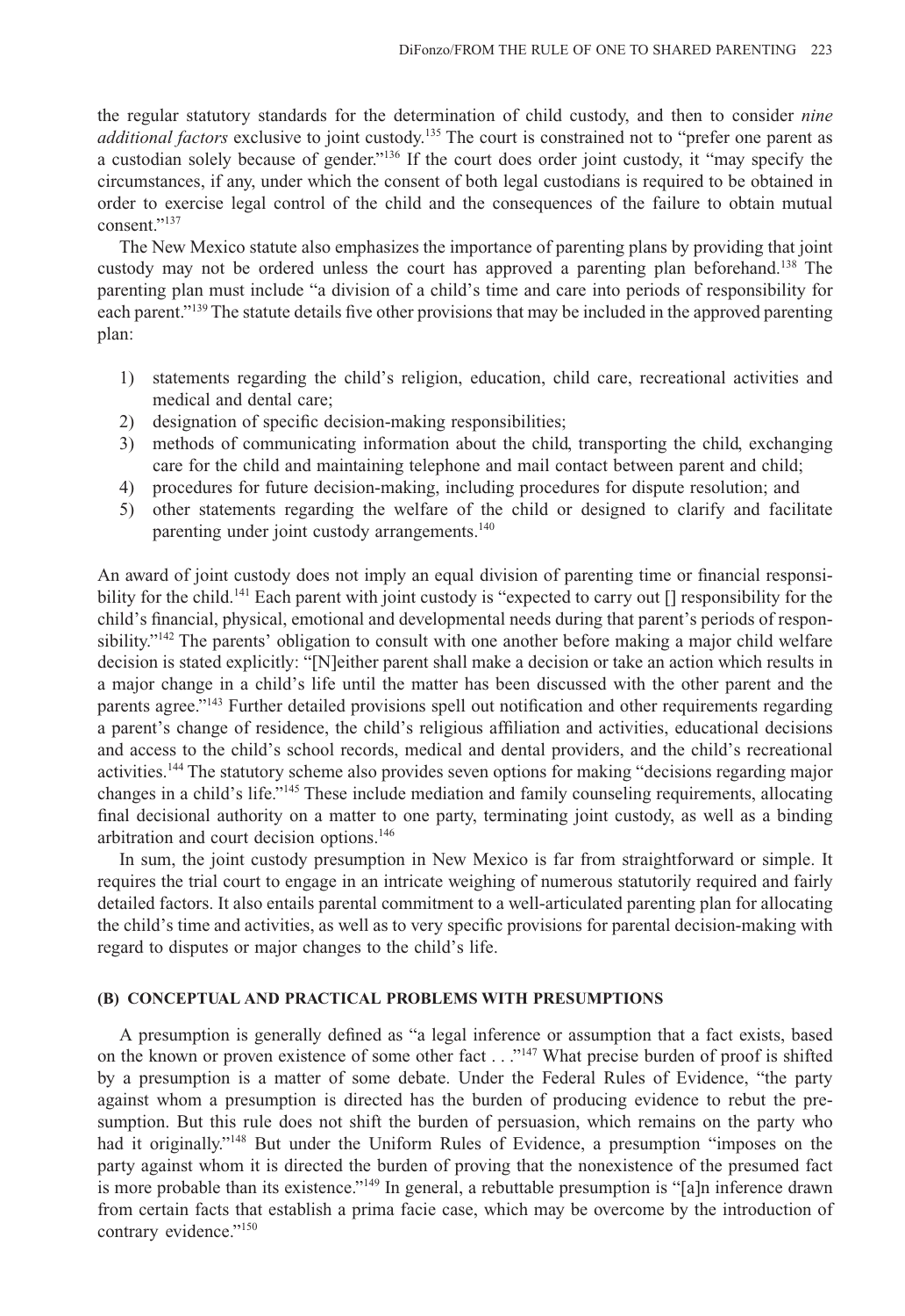the regular statutory standards for the determination of child custody, and then to consider *nine additional factors* exclusive to joint custody.<sup>135</sup> The court is constrained not to "prefer one parent as a custodian solely because of gender."136 If the court does order joint custody, it "may specify the circumstances, if any, under which the consent of both legal custodians is required to be obtained in order to exercise legal control of the child and the consequences of the failure to obtain mutual consent."<sup>137</sup>

The New Mexico statute also emphasizes the importance of parenting plans by providing that joint custody may not be ordered unless the court has approved a parenting plan beforehand.138 The parenting plan must include "a division of a child's time and care into periods of responsibility for each parent."<sup>139</sup> The statute details five other provisions that may be included in the approved parenting plan:

- 1) statements regarding the child's religion, education, child care, recreational activities and medical and dental care;
- 2) designation of specific decision-making responsibilities;
- 3) methods of communicating information about the child, transporting the child, exchanging care for the child and maintaining telephone and mail contact between parent and child;
- 4) procedures for future decision-making, including procedures for dispute resolution; and
- 5) other statements regarding the welfare of the child or designed to clarify and facilitate parenting under joint custody arrangements.<sup>140</sup>

An award of joint custody does not imply an equal division of parenting time or financial responsibility for the child.<sup>141</sup> Each parent with joint custody is "expected to carry out  $\iota$  responsibility for the child's financial, physical, emotional and developmental needs during that parent's periods of responsibility."<sup>142</sup> The parents' obligation to consult with one another before making a major child welfare decision is stated explicitly: "[N]either parent shall make a decision or take an action which results in a major change in a child's life until the matter has been discussed with the other parent and the parents agree."143 Further detailed provisions spell out notification and other requirements regarding a parent's change of residence, the child's religious affiliation and activities, educational decisions and access to the child's school records, medical and dental providers, and the child's recreational activities.144 The statutory scheme also provides seven options for making "decisions regarding major changes in a child's life."145 These include mediation and family counseling requirements, allocating final decisional authority on a matter to one party, terminating joint custody, as well as a binding arbitration and court decision options.146

In sum, the joint custody presumption in New Mexico is far from straightforward or simple. It requires the trial court to engage in an intricate weighing of numerous statutorily required and fairly detailed factors. It also entails parental commitment to a well-articulated parenting plan for allocating the child's time and activities, as well as to very specific provisions for parental decision-making with regard to disputes or major changes to the child's life.

# **(B) CONCEPTUAL AND PRACTICAL PROBLEMS WITH PRESUMPTIONS**

A presumption is generally defined as "a legal inference or assumption that a fact exists, based on the known or proven existence of some other fact . . ."147 What precise burden of proof is shifted by a presumption is a matter of some debate. Under the Federal Rules of Evidence, "the party against whom a presumption is directed has the burden of producing evidence to rebut the presumption. But this rule does not shift the burden of persuasion, which remains on the party who had it originally."<sup>148</sup> But under the Uniform Rules of Evidence, a presumption "imposes on the party against whom it is directed the burden of proving that the nonexistence of the presumed fact is more probable than its existence."149 In general, a rebuttable presumption is "[a]n inference drawn from certain facts that establish a prima facie case, which may be overcome by the introduction of contrary evidence."150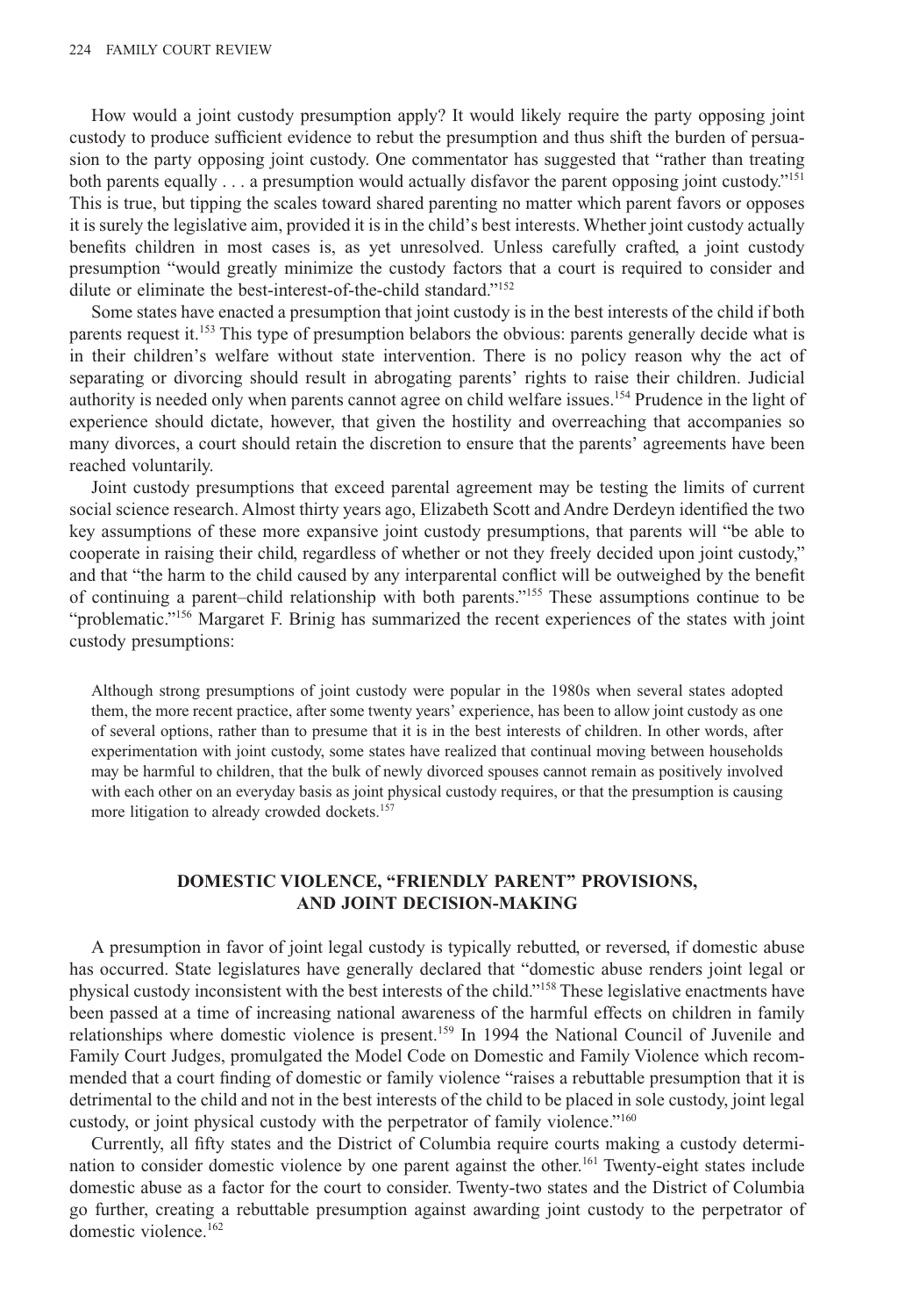How would a joint custody presumption apply? It would likely require the party opposing joint custody to produce sufficient evidence to rebut the presumption and thus shift the burden of persuasion to the party opposing joint custody. One commentator has suggested that "rather than treating both parents equally . . . a presumption would actually disfavor the parent opposing joint custody."151 This is true, but tipping the scales toward shared parenting no matter which parent favors or opposes it is surely the legislative aim, provided it is in the child's best interests. Whether joint custody actually benefits children in most cases is, as yet unresolved. Unless carefully crafted, a joint custody presumption "would greatly minimize the custody factors that a court is required to consider and dilute or eliminate the best-interest-of-the-child standard."152

Some states have enacted a presumption that joint custody is in the best interests of the child if both parents request it.<sup>153</sup> This type of presumption belabors the obvious: parents generally decide what is in their children's welfare without state intervention. There is no policy reason why the act of separating or divorcing should result in abrogating parents' rights to raise their children. Judicial authority is needed only when parents cannot agree on child welfare issues.<sup>154</sup> Prudence in the light of experience should dictate, however, that given the hostility and overreaching that accompanies so many divorces, a court should retain the discretion to ensure that the parents' agreements have been reached voluntarily.

Joint custody presumptions that exceed parental agreement may be testing the limits of current social science research. Almost thirty years ago, Elizabeth Scott and Andre Derdeyn identified the two key assumptions of these more expansive joint custody presumptions, that parents will "be able to cooperate in raising their child, regardless of whether or not they freely decided upon joint custody," and that "the harm to the child caused by any interparental conflict will be outweighed by the benefit of continuing a parent–child relationship with both parents."155 These assumptions continue to be "problematic."<sup>156</sup> Margaret F. Brinig has summarized the recent experiences of the states with joint custody presumptions:

Although strong presumptions of joint custody were popular in the 1980s when several states adopted them, the more recent practice, after some twenty years' experience, has been to allow joint custody as one of several options, rather than to presume that it is in the best interests of children. In other words, after experimentation with joint custody, some states have realized that continual moving between households may be harmful to children, that the bulk of newly divorced spouses cannot remain as positively involved with each other on an everyday basis as joint physical custody requires, or that the presumption is causing more litigation to already crowded dockets.<sup>157</sup>

# **DOMESTIC VIOLENCE, "FRIENDLY PARENT" PROVISIONS, AND JOINT DECISION-MAKING**

A presumption in favor of joint legal custody is typically rebutted, or reversed, if domestic abuse has occurred. State legislatures have generally declared that "domestic abuse renders joint legal or physical custody inconsistent with the best interests of the child."158 These legislative enactments have been passed at a time of increasing national awareness of the harmful effects on children in family relationships where domestic violence is present.159 In 1994 the National Council of Juvenile and Family Court Judges, promulgated the Model Code on Domestic and Family Violence which recommended that a court finding of domestic or family violence "raises a rebuttable presumption that it is detrimental to the child and not in the best interests of the child to be placed in sole custody, joint legal custody, or joint physical custody with the perpetrator of family violence."<sup>160</sup>

Currently, all fifty states and the District of Columbia require courts making a custody determination to consider domestic violence by one parent against the other.<sup>161</sup> Twenty-eight states include domestic abuse as a factor for the court to consider. Twenty-two states and the District of Columbia go further, creating a rebuttable presumption against awarding joint custody to the perpetrator of domestic violence.<sup>162</sup>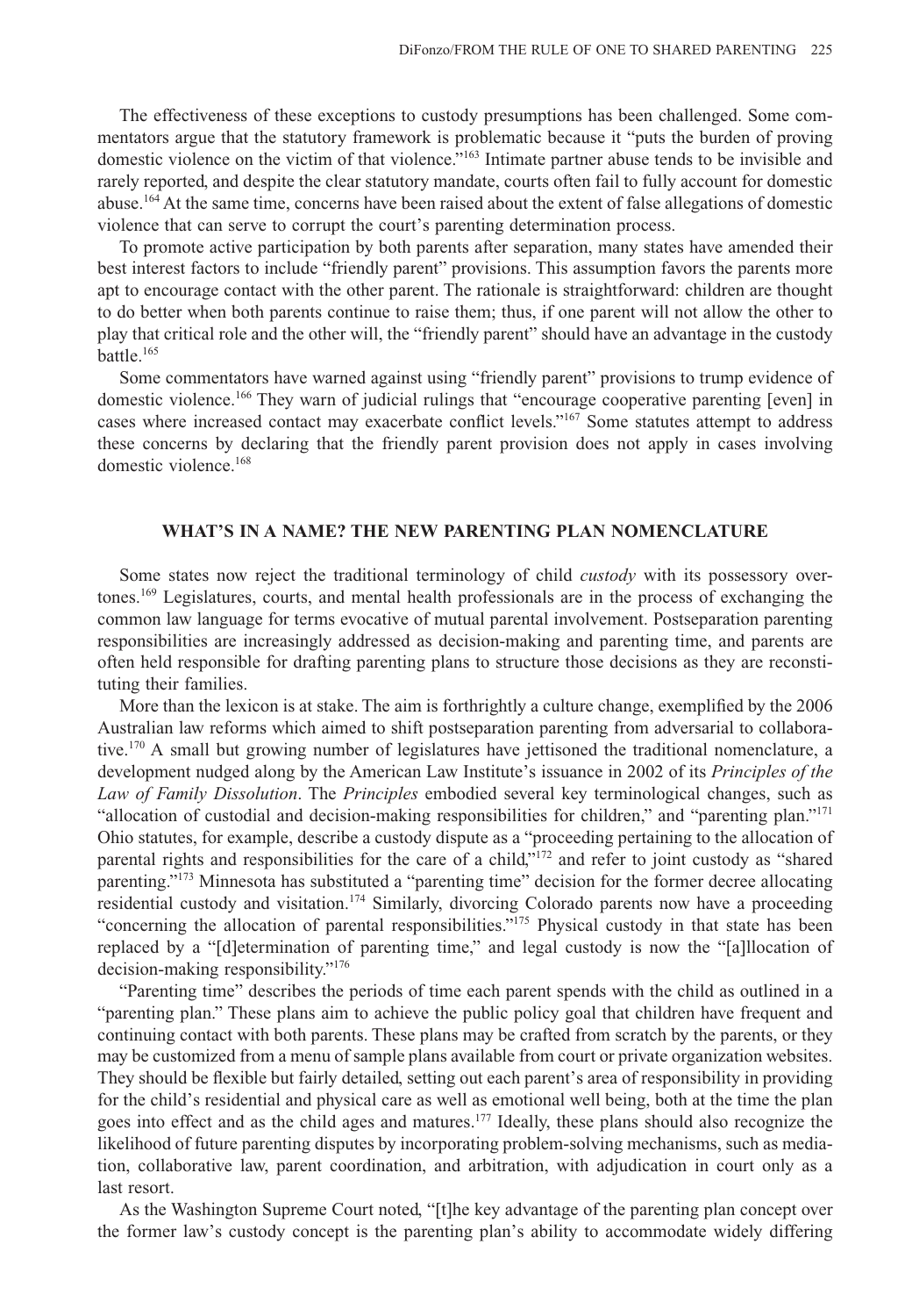The effectiveness of these exceptions to custody presumptions has been challenged. Some commentators argue that the statutory framework is problematic because it "puts the burden of proving domestic violence on the victim of that violence."<sup>163</sup> Intimate partner abuse tends to be invisible and rarely reported, and despite the clear statutory mandate, courts often fail to fully account for domestic abuse.164 At the same time, concerns have been raised about the extent of false allegations of domestic violence that can serve to corrupt the court's parenting determination process.

To promote active participation by both parents after separation, many states have amended their best interest factors to include "friendly parent" provisions. This assumption favors the parents more apt to encourage contact with the other parent. The rationale is straightforward: children are thought to do better when both parents continue to raise them; thus, if one parent will not allow the other to play that critical role and the other will, the "friendly parent" should have an advantage in the custody battle.<sup>165</sup>

Some commentators have warned against using "friendly parent" provisions to trump evidence of domestic violence.166 They warn of judicial rulings that "encourage cooperative parenting [even] in cases where increased contact may exacerbate conflict levels."167 Some statutes attempt to address these concerns by declaring that the friendly parent provision does not apply in cases involving domestic violence.<sup>168</sup>

# **WHAT'S IN A NAME? THE NEW PARENTING PLAN NOMENCLATURE**

Some states now reject the traditional terminology of child *custody* with its possessory overtones.169 Legislatures, courts, and mental health professionals are in the process of exchanging the common law language for terms evocative of mutual parental involvement. Postseparation parenting responsibilities are increasingly addressed as decision-making and parenting time, and parents are often held responsible for drafting parenting plans to structure those decisions as they are reconstituting their families.

More than the lexicon is at stake. The aim is forthrightly a culture change, exemplified by the 2006 Australian law reforms which aimed to shift postseparation parenting from adversarial to collaborative.170 A small but growing number of legislatures have jettisoned the traditional nomenclature, a development nudged along by the American Law Institute's issuance in 2002 of its *Principles of the Law of Family Dissolution*. The *Principles* embodied several key terminological changes, such as "allocation of custodial and decision-making responsibilities for children," and "parenting plan."171 Ohio statutes, for example, describe a custody dispute as a "proceeding pertaining to the allocation of parental rights and responsibilities for the care of a child,"<sup>172</sup> and refer to joint custody as "shared parenting."173 Minnesota has substituted a "parenting time" decision for the former decree allocating residential custody and visitation.174 Similarly, divorcing Colorado parents now have a proceeding "concerning the allocation of parental responsibilities."175 Physical custody in that state has been replaced by a "[d]etermination of parenting time," and legal custody is now the "[a]llocation of decision-making responsibility."176

"Parenting time" describes the periods of time each parent spends with the child as outlined in a "parenting plan." These plans aim to achieve the public policy goal that children have frequent and continuing contact with both parents. These plans may be crafted from scratch by the parents, or they may be customized from a menu of sample plans available from court or private organization websites. They should be flexible but fairly detailed, setting out each parent's area of responsibility in providing for the child's residential and physical care as well as emotional well being, both at the time the plan goes into effect and as the child ages and matures.177 Ideally, these plans should also recognize the likelihood of future parenting disputes by incorporating problem-solving mechanisms, such as mediation, collaborative law, parent coordination, and arbitration, with adjudication in court only as a last resort.

As the Washington Supreme Court noted, "[t]he key advantage of the parenting plan concept over the former law's custody concept is the parenting plan's ability to accommodate widely differing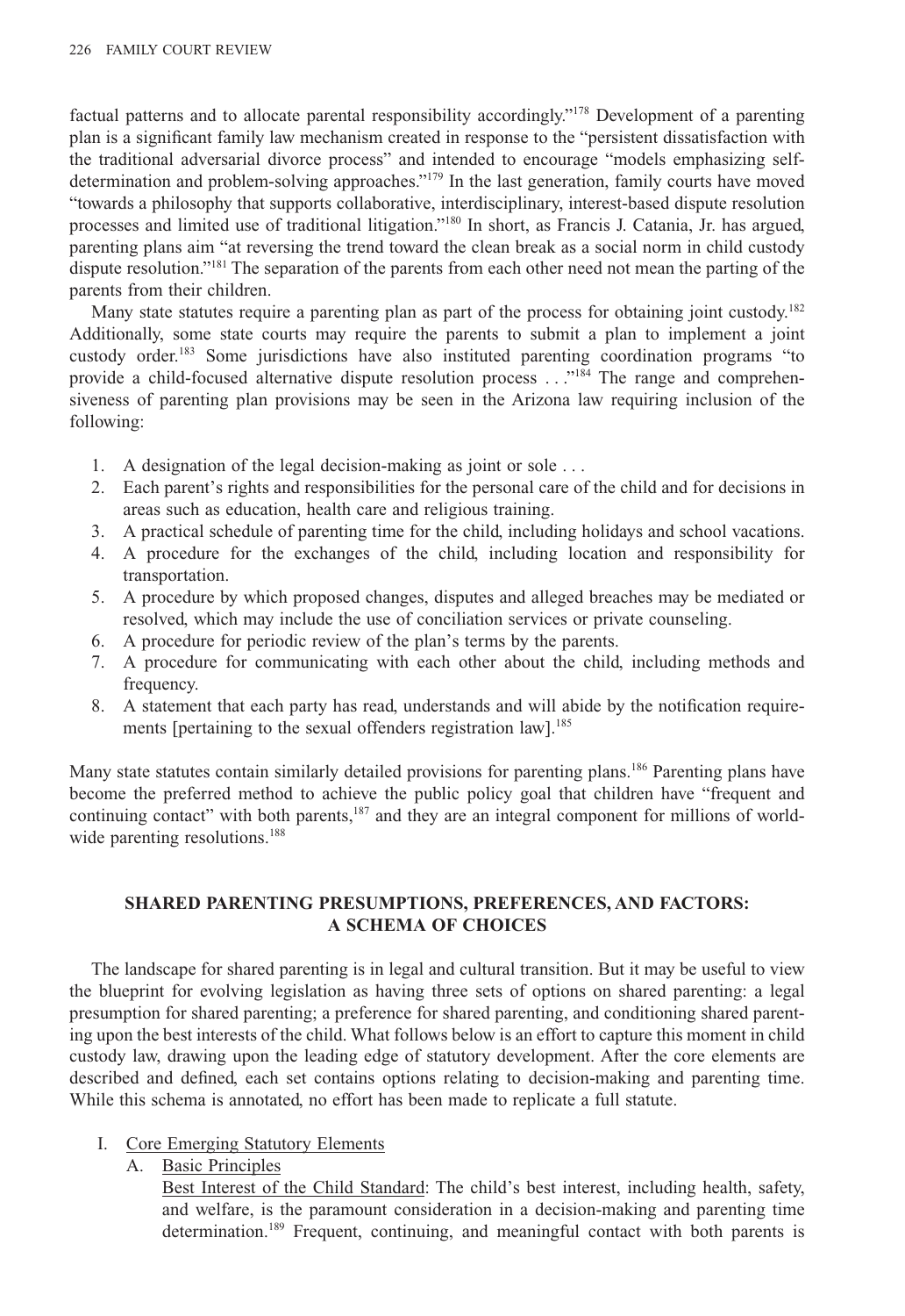factual patterns and to allocate parental responsibility accordingly."178 Development of a parenting plan is a significant family law mechanism created in response to the "persistent dissatisfaction with the traditional adversarial divorce process" and intended to encourage "models emphasizing selfdetermination and problem-solving approaches."179 In the last generation, family courts have moved "towards a philosophy that supports collaborative, interdisciplinary, interest-based dispute resolution processes and limited use of traditional litigation."<sup>180</sup> In short, as Francis J. Catania, Jr. has argued, parenting plans aim "at reversing the trend toward the clean break as a social norm in child custody dispute resolution."<sup>181</sup> The separation of the parents from each other need not mean the parting of the parents from their children.

Many state statutes require a parenting plan as part of the process for obtaining joint custody.<sup>182</sup> Additionally, some state courts may require the parents to submit a plan to implement a joint custody order.183 Some jurisdictions have also instituted parenting coordination programs "to provide a child-focused alternative dispute resolution process . . ."<sup>184</sup> The range and comprehensiveness of parenting plan provisions may be seen in the Arizona law requiring inclusion of the following:

- 1. A designation of the legal decision-making as joint or sole . . .
- 2. Each parent's rights and responsibilities for the personal care of the child and for decisions in areas such as education, health care and religious training.
- 3. A practical schedule of parenting time for the child, including holidays and school vacations.
- 4. A procedure for the exchanges of the child, including location and responsibility for transportation.
- 5. A procedure by which proposed changes, disputes and alleged breaches may be mediated or resolved, which may include the use of conciliation services or private counseling.
- 6. A procedure for periodic review of the plan's terms by the parents.
- 7. A procedure for communicating with each other about the child, including methods and frequency.
- 8. A statement that each party has read, understands and will abide by the notification requirements [pertaining to the sexual offenders registration law].<sup>185</sup>

Many state statutes contain similarly detailed provisions for parenting plans.<sup>186</sup> Parenting plans have become the preferred method to achieve the public policy goal that children have "frequent and continuing contact" with both parents, $187$  and they are an integral component for millions of worldwide parenting resolutions.<sup>188</sup>

# **SHARED PARENTING PRESUMPTIONS, PREFERENCES, AND FACTORS: A SCHEMA OF CHOICES**

The landscape for shared parenting is in legal and cultural transition. But it may be useful to view the blueprint for evolving legislation as having three sets of options on shared parenting: a legal presumption for shared parenting; a preference for shared parenting, and conditioning shared parenting upon the best interests of the child. What follows below is an effort to capture this moment in child custody law, drawing upon the leading edge of statutory development. After the core elements are described and defined, each set contains options relating to decision-making and parenting time. While this schema is annotated, no effort has been made to replicate a full statute.

- I. Core Emerging Statutory Elements
	- A. Basic Principles

Best Interest of the Child Standard: The child's best interest, including health, safety, and welfare, is the paramount consideration in a decision-making and parenting time determination.189 Frequent, continuing, and meaningful contact with both parents is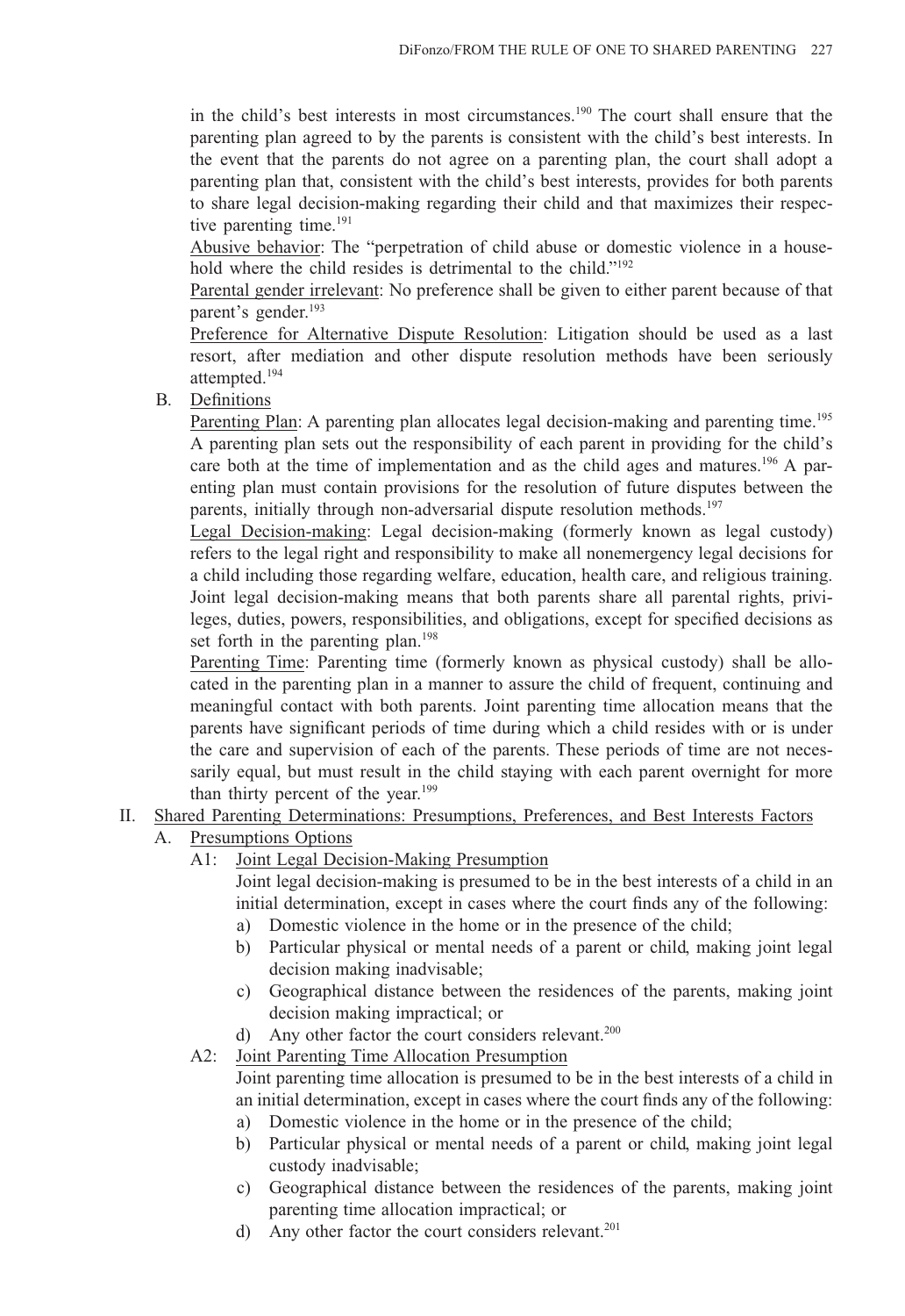in the child's best interests in most circumstances.190 The court shall ensure that the parenting plan agreed to by the parents is consistent with the child's best interests. In the event that the parents do not agree on a parenting plan, the court shall adopt a parenting plan that, consistent with the child's best interests, provides for both parents to share legal decision-making regarding their child and that maximizes their respective parenting time.<sup>191</sup>

Abusive behavior: The "perpetration of child abuse or domestic violence in a household where the child resides is detrimental to the child."<sup>192</sup>

Parental gender irrelevant: No preference shall be given to either parent because of that parent's gender.<sup>193</sup>

Preference for Alternative Dispute Resolution: Litigation should be used as a last resort, after mediation and other dispute resolution methods have been seriously attempted.194

B. Definitions

Parenting Plan: A parenting plan allocates legal decision-making and parenting time.<sup>195</sup> A parenting plan sets out the responsibility of each parent in providing for the child's care both at the time of implementation and as the child ages and matures.<sup>196</sup> A parenting plan must contain provisions for the resolution of future disputes between the parents, initially through non-adversarial dispute resolution methods.<sup>197</sup>

Legal Decision-making: Legal decision-making (formerly known as legal custody) refers to the legal right and responsibility to make all nonemergency legal decisions for a child including those regarding welfare, education, health care, and religious training. Joint legal decision-making means that both parents share all parental rights, privileges, duties, powers, responsibilities, and obligations, except for specified decisions as set forth in the parenting plan.<sup>198</sup>

Parenting Time: Parenting time (formerly known as physical custody) shall be allocated in the parenting plan in a manner to assure the child of frequent, continuing and meaningful contact with both parents. Joint parenting time allocation means that the parents have significant periods of time during which a child resides with or is under the care and supervision of each of the parents. These periods of time are not necessarily equal, but must result in the child staying with each parent overnight for more than thirty percent of the year.<sup>199</sup>

# II. Shared Parenting Determinations: Presumptions, Preferences, and Best Interests Factors

- A. Presumptions Options
	- A1: Joint Legal Decision-Making Presumption

Joint legal decision-making is presumed to be in the best interests of a child in an initial determination, except in cases where the court finds any of the following:

- a) Domestic violence in the home or in the presence of the child;
- b) Particular physical or mental needs of a parent or child, making joint legal decision making inadvisable;
- c) Geographical distance between the residences of the parents, making joint decision making impractical; or
- d) Any other factor the court considers relevant.<sup>200</sup>
- A2: Joint Parenting Time Allocation Presumption

Joint parenting time allocation is presumed to be in the best interests of a child in an initial determination, except in cases where the court finds any of the following:

- a) Domestic violence in the home or in the presence of the child;
- b) Particular physical or mental needs of a parent or child, making joint legal custody inadvisable;
- c) Geographical distance between the residences of the parents, making joint parenting time allocation impractical; or
- d) Any other factor the court considers relevant.<sup>201</sup>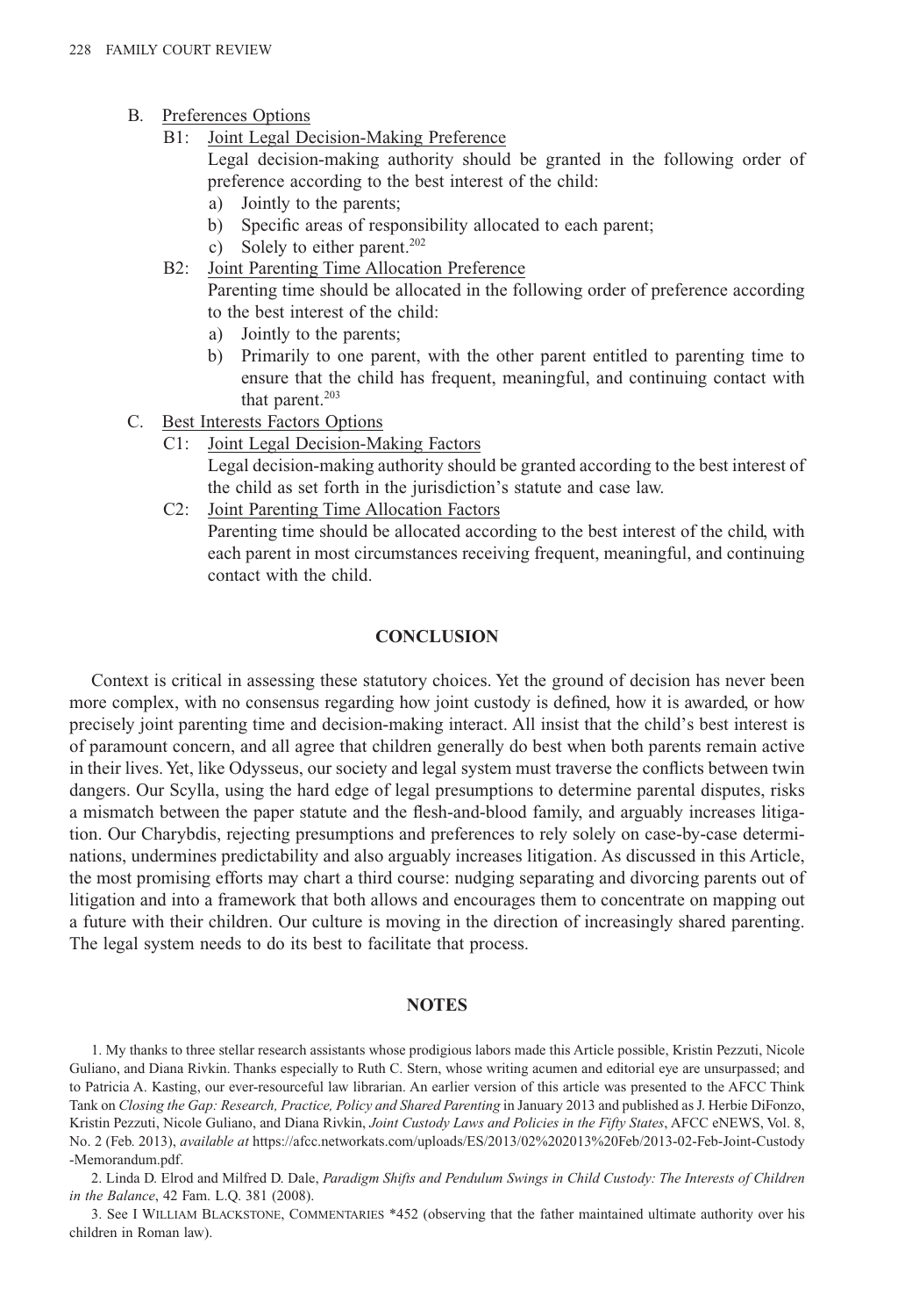- B. Preferences Options
	- B1: Joint Legal Decision-Making Preference

Legal decision-making authority should be granted in the following order of preference according to the best interest of the child:

- a) Jointly to the parents;
- b) Specific areas of responsibility allocated to each parent;
- c) Solely to either parent. $202$
- B2: Joint Parenting Time Allocation Preference

Parenting time should be allocated in the following order of preference according to the best interest of the child:

- a) Jointly to the parents;
- b) Primarily to one parent, with the other parent entitled to parenting time to ensure that the child has frequent, meaningful, and continuing contact with that parent.<sup>203</sup>
- C. Best Interests Factors Options
	- C1: Joint Legal Decision-Making Factors Legal decision-making authority should be granted according to the best interest of the child as set forth in the jurisdiction's statute and case law.
	- C2: Joint Parenting Time Allocation Factors Parenting time should be allocated according to the best interest of the child, with each parent in most circumstances receiving frequent, meaningful, and continuing contact with the child.

# **CONCLUSION**

Context is critical in assessing these statutory choices. Yet the ground of decision has never been more complex, with no consensus regarding how joint custody is defined, how it is awarded, or how precisely joint parenting time and decision-making interact. All insist that the child's best interest is of paramount concern, and all agree that children generally do best when both parents remain active in their lives. Yet, like Odysseus, our society and legal system must traverse the conflicts between twin dangers. Our Scylla, using the hard edge of legal presumptions to determine parental disputes, risks a mismatch between the paper statute and the flesh-and-blood family, and arguably increases litigation. Our Charybdis, rejecting presumptions and preferences to rely solely on case-by-case determinations, undermines predictability and also arguably increases litigation. As discussed in this Article, the most promising efforts may chart a third course: nudging separating and divorcing parents out of litigation and into a framework that both allows and encourages them to concentrate on mapping out a future with their children. Our culture is moving in the direction of increasingly shared parenting. The legal system needs to do its best to facilitate that process.

#### **NOTES**

1. My thanks to three stellar research assistants whose prodigious labors made this Article possible, Kristin Pezzuti, Nicole Guliano, and Diana Rivkin. Thanks especially to Ruth C. Stern, whose writing acumen and editorial eye are unsurpassed; and to Patricia A. Kasting, our ever-resourceful law librarian. An earlier version of this article was presented to the AFCC Think Tank on *Closing the Gap: Research, Practice, Policy and Shared Parenting* in January 2013 and published as J. Herbie DiFonzo, Kristin Pezzuti, Nicole Guliano, and Diana Rivkin, *Joint Custody Laws and Policies in the Fifty States*, AFCC eNEWS, Vol. 8, No. 2 (Feb. 2013), *available at* https://afcc.networkats.com/uploads/ES/2013/02%202013%20Feb/2013-02-Feb-Joint-Custody -Memorandum.pdf.

2. Linda D. Elrod and Milfred D. Dale, *Paradigm Shifts and Pendulum Swings in Child Custody: The Interests of Children in the Balance*, 42 Fam. L.Q. 381 (2008).

3. See I WILLIAM BLACKSTONE, COMMENTARIES \*452 (observing that the father maintained ultimate authority over his children in Roman law).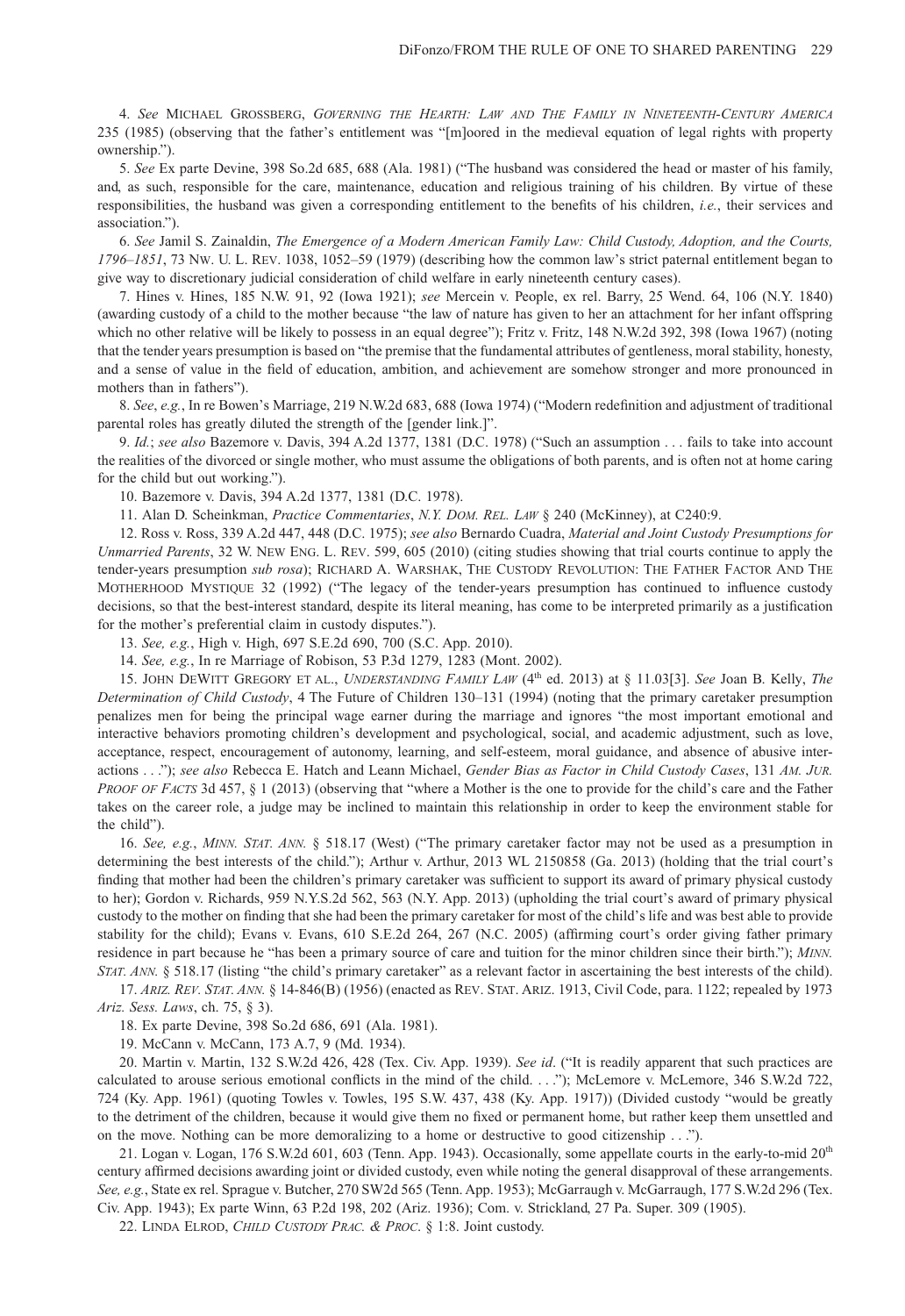4. *See* MICHAEL GROSSBERG, *GOVERNING THE HEARTH: LAW AND THE FAMILY IN NINETEENTH-CENTURY AMERICA* 235 (1985) (observing that the father's entitlement was "[m]oored in the medieval equation of legal rights with property ownership.").

5. *See* Ex parte Devine, 398 So.2d 685, 688 (Ala. 1981) ("The husband was considered the head or master of his family, and, as such, responsible for the care, maintenance, education and religious training of his children. By virtue of these responsibilities, the husband was given a corresponding entitlement to the benefits of his children, *i.e.*, their services and association.").

6. *See* Jamil S. Zainaldin, *The Emergence of a Modern American Family Law: Child Custody, Adoption, and the Courts, 1796–1851*, 73 NW. U. L. REV. 1038, 1052–59 (1979) (describing how the common law's strict paternal entitlement began to give way to discretionary judicial consideration of child welfare in early nineteenth century cases).

7. Hines v. Hines, 185 N.W. 91, 92 (Iowa 1921); *see* Mercein v. People, ex rel. Barry, 25 Wend. 64, 106 (N.Y. 1840) (awarding custody of a child to the mother because "the law of nature has given to her an attachment for her infant offspring which no other relative will be likely to possess in an equal degree"); Fritz v. Fritz, 148 N.W.2d 392, 398 (Iowa 1967) (noting that the tender years presumption is based on "the premise that the fundamental attributes of gentleness, moral stability, honesty, and a sense of value in the field of education, ambition, and achievement are somehow stronger and more pronounced in mothers than in fathers").

8. *See*, *e.g.*, In re Bowen's Marriage, 219 N.W.2d 683, 688 (Iowa 1974) ("Modern redefinition and adjustment of traditional parental roles has greatly diluted the strength of the [gender link.]".

9. *Id.*; *see also* Bazemore v. Davis, 394 A.2d 1377, 1381 (D.C. 1978) ("Such an assumption . . . fails to take into account the realities of the divorced or single mother, who must assume the obligations of both parents, and is often not at home caring for the child but out working.").

10. Bazemore v. Davis, 394 A.2d 1377, 1381 (D.C. 1978).

11. Alan D. Scheinkman, *Practice Commentaries*, *N.Y. DOM. REL. LAW* § 240 (McKinney), at C240:9.

12. Ross v. Ross, 339 A.2d 447, 448 (D.C. 1975); *see also* Bernardo Cuadra, *Material and Joint Custody Presumptions for Unmarried Parents*, 32 W. NEW ENG. L. REV. 599, 605 (2010) (citing studies showing that trial courts continue to apply the tender-years presumption *sub rosa*); RICHARD A. WARSHAK, THE CUSTODY REVOLUTION: THE FATHER FACTOR AND THE MOTHERHOOD MYSTIQUE 32 (1992) ("The legacy of the tender-years presumption has continued to influence custody decisions, so that the best-interest standard, despite its literal meaning, has come to be interpreted primarily as a justification for the mother's preferential claim in custody disputes.").

13. *See, e.g.*, High v. High, 697 S.E.2d 690, 700 (S.C. App. 2010).

14. *See, e.g.*, In re Marriage of Robison, 53 P.3d 1279, 1283 (Mont. 2002).

15. JOHN DEWITT GREGORY ET AL., *UNDERSTANDING FAMILY LAW* (4th ed. 2013) at § 11.03[3]. *See* Joan B. Kelly, *The Determination of Child Custody*, 4 The Future of Children 130–131 (1994) (noting that the primary caretaker presumption penalizes men for being the principal wage earner during the marriage and ignores "the most important emotional and interactive behaviors promoting children's development and psychological, social, and academic adjustment, such as love, acceptance, respect, encouragement of autonomy, learning, and self-esteem, moral guidance, and absence of abusive interactions . . ."); *see also* Rebecca E. Hatch and Leann Michael, *Gender Bias as Factor in Child Custody Cases*, 131 *AM. JUR. PROOF OF FACTS* 3d 457, § 1 (2013) (observing that "where a Mother is the one to provide for the child's care and the Father takes on the career role, a judge may be inclined to maintain this relationship in order to keep the environment stable for the child").

16. *See, e.g.*, *MINN. STAT. ANN.* § 518.17 (West) ("The primary caretaker factor may not be used as a presumption in determining the best interests of the child."); Arthur v. Arthur, 2013 WL 2150858 (Ga. 2013) (holding that the trial court's finding that mother had been the children's primary caretaker was sufficient to support its award of primary physical custody to her); Gordon v. Richards, 959 N.Y.S.2d 562, 563 (N.Y. App. 2013) (upholding the trial court's award of primary physical custody to the mother on finding that she had been the primary caretaker for most of the child's life and was best able to provide stability for the child); Evans v. Evans, 610 S.E.2d 264, 267 (N.C. 2005) (affirming court's order giving father primary residence in part because he "has been a primary source of care and tuition for the minor children since their birth."); *MINN. STAT. ANN.* § 518.17 (listing "the child's primary caretaker" as a relevant factor in ascertaining the best interests of the child).

17. *ARIZ. REV. STAT. ANN.* § 14-846(B) (1956) (enacted as REV. STAT. ARIZ. 1913, Civil Code, para. 1122; repealed by 1973 *Ariz. Sess. Laws*, ch. 75, § 3).

18. Ex parte Devine, 398 So.2d 686, 691 (Ala. 1981).

19. McCann v. McCann, 173 A.7, 9 (Md. 1934).

20. Martin v. Martin, 132 S.W.2d 426, 428 (Tex. Civ. App. 1939). *See id*. ("It is readily apparent that such practices are calculated to arouse serious emotional conflicts in the mind of the child. . . ."); McLemore v. McLemore, 346 S.W.2d 722, 724 (Ky. App. 1961) (quoting Towles v. Towles, 195 S.W. 437, 438 (Ky. App. 1917)) (Divided custody "would be greatly to the detriment of the children, because it would give them no fixed or permanent home, but rather keep them unsettled and on the move. Nothing can be more demoralizing to a home or destructive to good citizenship . . .").

21. Logan v. Logan, 176 S.W.2d 601, 603 (Tenn. App. 1943). Occasionally, some appellate courts in the early-to-mid  $20<sup>th</sup>$ century affirmed decisions awarding joint or divided custody, even while noting the general disapproval of these arrangements. *See, e.g.*, State ex rel. Sprague v. Butcher, 270 SW2d 565 (Tenn. App. 1953); McGarraugh v. McGarraugh, 177 S.W.2d 296 (Tex. Civ. App. 1943); Ex parte Winn, 63 P.2d 198, 202 (Ariz. 1936); Com. v. Strickland, 27 Pa. Super. 309 (1905).

22. LINDA ELROD, *CHILD CUSTODY PRAC.&PROC*. § 1:8. Joint custody.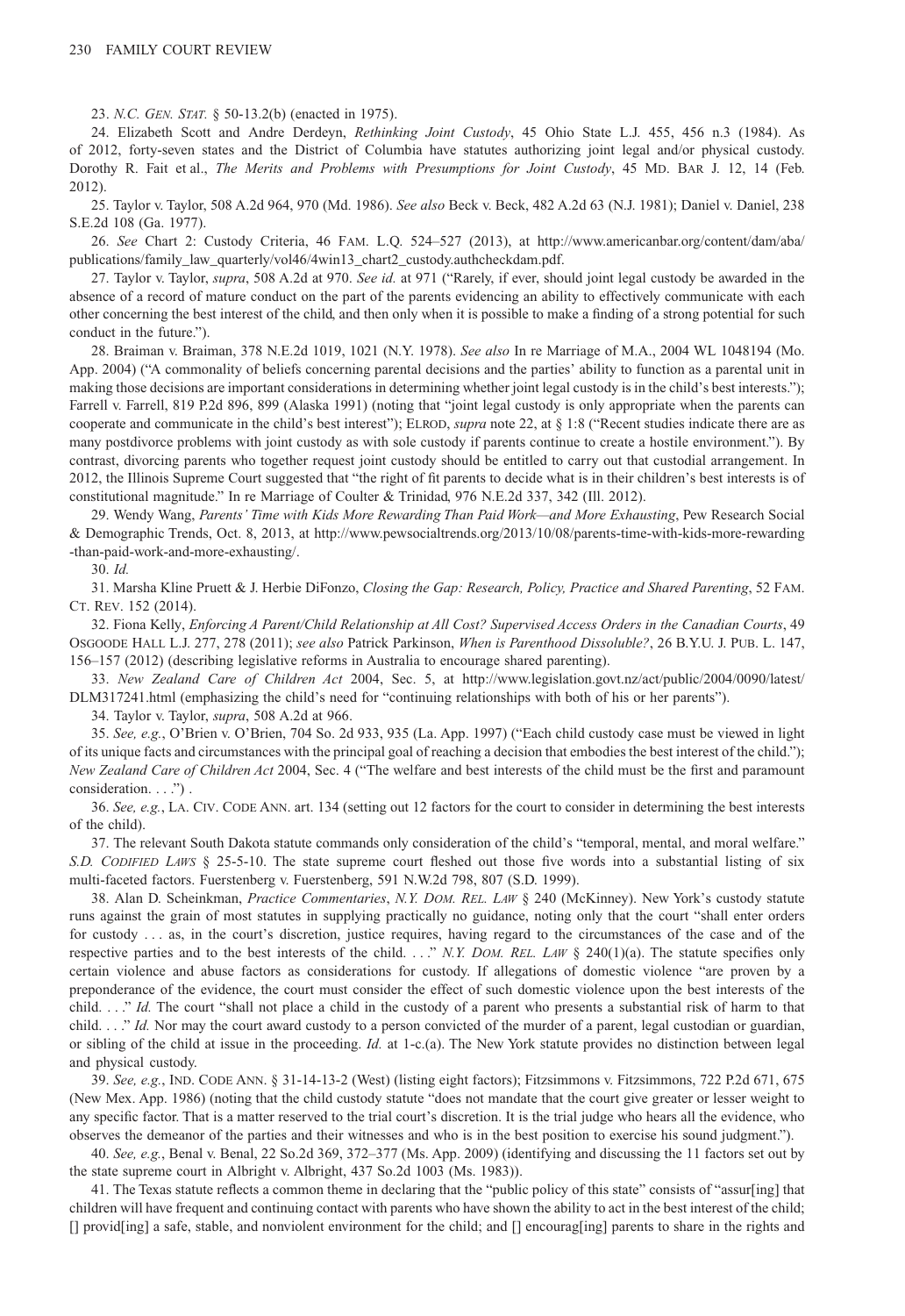23. *N.C. GEN. STAT.* § 50-13.2(b) (enacted in 1975).

24. Elizabeth Scott and Andre Derdeyn, *Rethinking Joint Custody*, 45 Ohio State L.J. 455, 456 n.3 (1984). As of 2012, forty-seven states and the District of Columbia have statutes authorizing joint legal and/or physical custody. Dorothy R. Fait et al., *The Merits and Problems with Presumptions for Joint Custody*, 45 MD. BAR J. 12, 14 (Feb. 2012).

25. Taylor v. Taylor, 508 A.2d 964, 970 (Md. 1986). *See also* Beck v. Beck, 482 A.2d 63 (N.J. 1981); Daniel v. Daniel, 238 S.E.2d 108 (Ga. 1977).

26. *See* Chart 2: Custody Criteria, 46 FAM. L.Q. 524–527 (2013), at http://www.americanbar.org/content/dam/aba/ publications/family\_law\_quarterly/vol46/4win13\_chart2\_custody.authcheckdam.pdf.

27. Taylor v. Taylor, *supra*, 508 A.2d at 970. *See id.* at 971 ("Rarely, if ever, should joint legal custody be awarded in the absence of a record of mature conduct on the part of the parents evidencing an ability to effectively communicate with each other concerning the best interest of the child, and then only when it is possible to make a finding of a strong potential for such conduct in the future.").

28. Braiman v. Braiman, 378 N.E.2d 1019, 1021 (N.Y. 1978). *See also* In re Marriage of M.A., 2004 WL 1048194 (Mo. App. 2004) ("A commonality of beliefs concerning parental decisions and the parties' ability to function as a parental unit in making those decisions are important considerations in determining whether joint legal custody is in the child's best interests."); Farrell v. Farrell, 819 P.2d 896, 899 (Alaska 1991) (noting that "joint legal custody is only appropriate when the parents can cooperate and communicate in the child's best interest"); ELROD, *supra* note 22, at § 1:8 ("Recent studies indicate there are as many postdivorce problems with joint custody as with sole custody if parents continue to create a hostile environment."). By contrast, divorcing parents who together request joint custody should be entitled to carry out that custodial arrangement. In 2012, the Illinois Supreme Court suggested that "the right of fit parents to decide what is in their children's best interests is of constitutional magnitude." In re Marriage of Coulter & Trinidad, 976 N.E.2d 337, 342 (Ill. 2012).

29. Wendy Wang, *Parents' Time with Kids More Rewarding Than Paid Work—and More Exhausting*, Pew Research Social & Demographic Trends, Oct. 8, 2013, at http://www.pewsocialtrends.org/2013/10/08/parents-time-with-kids-more-rewarding -than-paid-work-and-more-exhausting/.

30. *Id.*

31. Marsha Kline Pruett & J. Herbie DiFonzo, *Closing the Gap: Research, Policy, Practice and Shared Parenting*, 52 FAM. CT. REV. 152 (2014).

32. Fiona Kelly, *Enforcing A Parent/Child Relationship at All Cost? Supervised Access Orders in the Canadian Courts*, 49 OSGOODE HALL L.J. 277, 278 (2011); *see also* Patrick Parkinson, *When is Parenthood Dissoluble?*, 26 B.Y.U. J. PUB. L. 147, 156–157 (2012) (describing legislative reforms in Australia to encourage shared parenting).

33. *New Zealand Care of Children Act* 2004, Sec. 5, at http://www.legislation.govt.nz/act/public/2004/0090/latest/ DLM317241.html (emphasizing the child's need for "continuing relationships with both of his or her parents").

34. Taylor v. Taylor, *supra*, 508 A.2d at 966.

35. *See, e.g.*, O'Brien v. O'Brien, 704 So. 2d 933, 935 (La. App. 1997) ("Each child custody case must be viewed in light of its unique facts and circumstances with the principal goal of reaching a decision that embodies the best interest of the child."); *New Zealand Care of Children Act* 2004, Sec. 4 ("The welfare and best interests of the child must be the first and paramount consideration. . . ."

36. *See, e.g.*, LA. CIV. CODE ANN. art. 134 (setting out 12 factors for the court to consider in determining the best interests of the child).

37. The relevant South Dakota statute commands only consideration of the child's "temporal, mental, and moral welfare." *S.D. CODIFIED LAWS* § 25-5-10. The state supreme court fleshed out those five words into a substantial listing of six multi-faceted factors. Fuerstenberg v. Fuerstenberg, 591 N.W.2d 798, 807 (S.D. 1999).

38. Alan D. Scheinkman, *Practice Commentaries*, *N.Y. DOM. REL. LAW* § 240 (McKinney). New York's custody statute runs against the grain of most statutes in supplying practically no guidance, noting only that the court "shall enter orders for custody . . . as, in the court's discretion, justice requires, having regard to the circumstances of the case and of the respective parties and to the best interests of the child. . . ." *N.Y. DOM. REL. LAW* § 240(1)(a). The statute specifies only certain violence and abuse factors as considerations for custody. If allegations of domestic violence "are proven by a preponderance of the evidence, the court must consider the effect of such domestic violence upon the best interests of the child. . . ." *Id.* The court "shall not place a child in the custody of a parent who presents a substantial risk of harm to that child. . . ." *Id.* Nor may the court award custody to a person convicted of the murder of a parent, legal custodian or guardian, or sibling of the child at issue in the proceeding. *Id.* at 1-c.(a). The New York statute provides no distinction between legal and physical custody.

39. *See, e.g.*, IND. CODE ANN. § 31-14-13-2 (West) (listing eight factors); Fitzsimmons v. Fitzsimmons, 722 P.2d 671, 675 (New Mex. App. 1986) (noting that the child custody statute "does not mandate that the court give greater or lesser weight to any specific factor. That is a matter reserved to the trial court's discretion. It is the trial judge who hears all the evidence, who observes the demeanor of the parties and their witnesses and who is in the best position to exercise his sound judgment.").

40. *See, e.g.*, Benal v. Benal, 22 So.2d 369, 372–377 (Ms. App. 2009) (identifying and discussing the 11 factors set out by the state supreme court in Albright v. Albright, 437 So.2d 1003 (Ms. 1983)).

41. The Texas statute reflects a common theme in declaring that the "public policy of this state" consists of "assur[ing] that children will have frequent and continuing contact with parents who have shown the ability to act in the best interest of the child; [] provid[ing] a safe, stable, and nonviolent environment for the child; and [] encourag[ing] parents to share in the rights and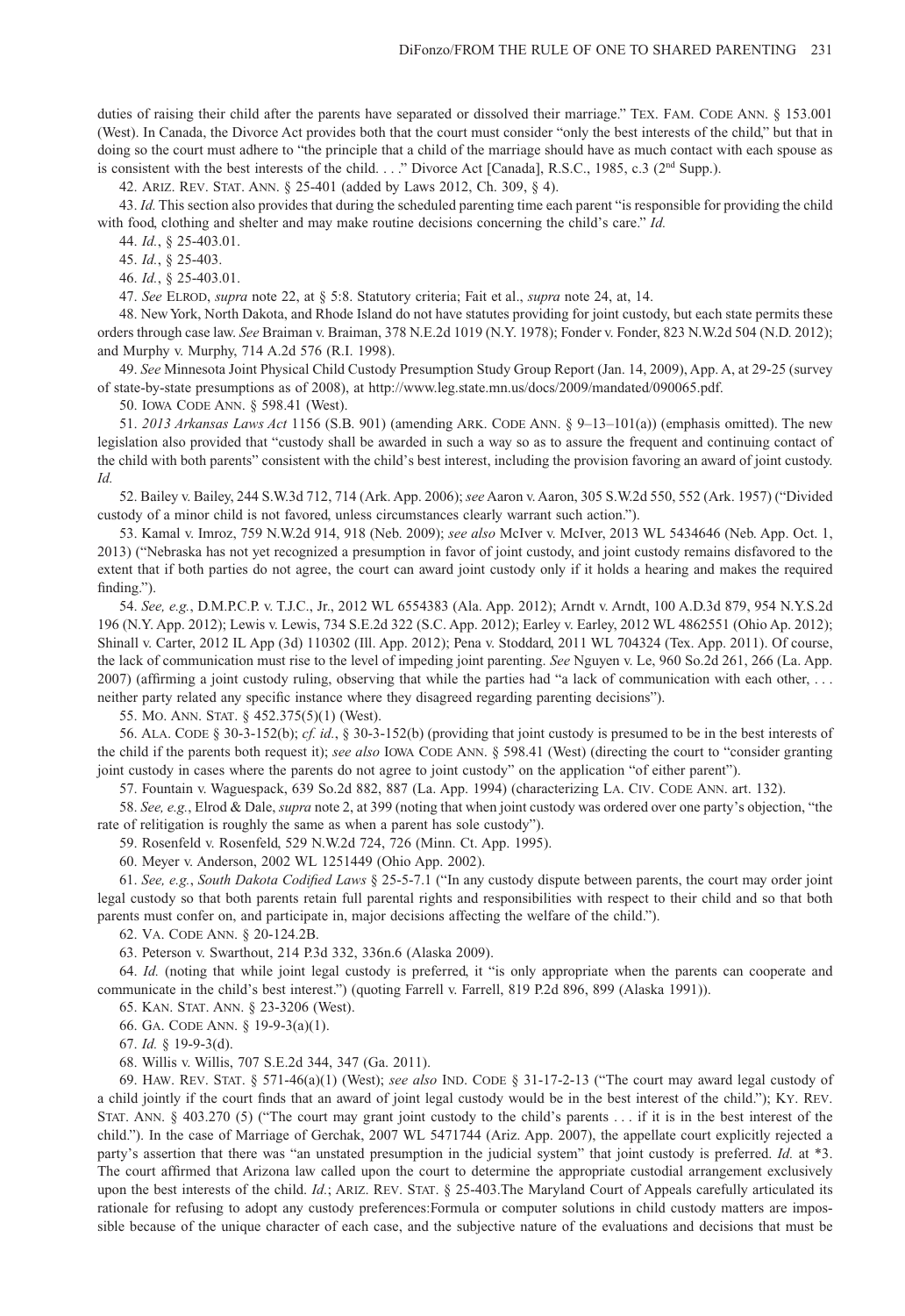duties of raising their child after the parents have separated or dissolved their marriage." TEX. FAM. CODE ANN. § 153.001 (West). In Canada, the Divorce Act provides both that the court must consider "only the best interests of the child," but that in doing so the court must adhere to "the principle that a child of the marriage should have as much contact with each spouse as is consistent with the best interests of the child. . . ." Divorce Act [Canada], R.S.C., 1985, c.3 (2<sup>nd</sup> Supp.).

42. ARIZ. REV. STAT. ANN. § 25-401 (added by Laws 2012, Ch. 309, § 4).

43. *Id.* This section also provides that during the scheduled parenting time each parent "is responsible for providing the child with food, clothing and shelter and may make routine decisions concerning the child's care." *Id.*

44. *Id.*, § 25-403.01.

45. *Id.*, § 25-403.

46. *Id.*, § 25-403.01.

47. *See* ELROD, *supra* note 22, at § 5:8. Statutory criteria; Fait et al., *supra* note 24, at, 14.

48. New York, North Dakota, and Rhode Island do not have statutes providing for joint custody, but each state permits these orders through case law. *See* Braiman v. Braiman, 378 N.E.2d 1019 (N.Y. 1978); Fonder v. Fonder, 823 N.W.2d 504 (N.D. 2012); and Murphy v. Murphy, 714 A.2d 576 (R.I. 1998).

49. *See* Minnesota Joint Physical Child Custody Presumption Study Group Report (Jan. 14, 2009), App. A, at 29-25 (survey of state-by-state presumptions as of 2008), at http://www.leg.state.mn.us/docs/2009/mandated/090065.pdf.

50. IOWA CODE ANN. § 598.41 (West).

51. *2013 Arkansas Laws Act* 1156 (S.B. 901) (amending ARK. CODE ANN. § 9–13–101(a)) (emphasis omitted). The new legislation also provided that "custody shall be awarded in such a way so as to assure the frequent and continuing contact of the child with both parents" consistent with the child's best interest, including the provision favoring an award of joint custody. *Id.*

52. Bailey v. Bailey, 244 S.W.3d 712, 714 (Ark. App. 2006); *see* Aaron v. Aaron, 305 S.W.2d 550, 552 (Ark. 1957) ("Divided custody of a minor child is not favored, unless circumstances clearly warrant such action.").

53. Kamal v. Imroz, 759 N.W.2d 914, 918 (Neb. 2009); *see also* McIver v. McIver, 2013 WL 5434646 (Neb. App. Oct. 1, 2013) ("Nebraska has not yet recognized a presumption in favor of joint custody, and joint custody remains disfavored to the extent that if both parties do not agree, the court can award joint custody only if it holds a hearing and makes the required finding.").

54. *See, e.g.*, D.M.P.C.P. v. T.J.C., Jr., 2012 WL 6554383 (Ala. App. 2012); Arndt v. Arndt, 100 A.D.3d 879, 954 N.Y.S.2d 196 (N.Y. App. 2012); Lewis v. Lewis, 734 S.E.2d 322 (S.C. App. 2012); Earley v. Earley, 2012 WL 4862551 (Ohio Ap. 2012); Shinall v. Carter, 2012 IL App (3d) 110302 (Ill. App. 2012); Pena v. Stoddard, 2011 WL 704324 (Tex. App. 2011). Of course, the lack of communication must rise to the level of impeding joint parenting. *See* Nguyen v. Le, 960 So.2d 261, 266 (La. App. 2007) (affirming a joint custody ruling, observing that while the parties had "a lack of communication with each other, . . . neither party related any specific instance where they disagreed regarding parenting decisions").

55. MO. ANN. STAT. § 452.375(5)(1) (West).

56. ALA. CODE § 30-3-152(b); *cf. id.*, § 30-3-152(b) (providing that joint custody is presumed to be in the best interests of the child if the parents both request it); *see also* IOWA CODE ANN. § 598.41 (West) (directing the court to "consider granting joint custody in cases where the parents do not agree to joint custody" on the application "of either parent").

57. Fountain v. Waguespack, 639 So.2d 882, 887 (La. App. 1994) (characterizing LA. CIV. CODE ANN. art. 132).

58. *See, e.g.*, Elrod & Dale, *supra* note 2, at 399 (noting that when joint custody was ordered over one party's objection, "the rate of relitigation is roughly the same as when a parent has sole custody").

59. Rosenfeld v. Rosenfeld, 529 N.W.2d 724, 726 (Minn. Ct. App. 1995).

60. Meyer v. Anderson, 2002 WL 1251449 (Ohio App. 2002).

61. *See, e.g.*, *South Dakota Codified Laws* § 25-5-7.1 ("In any custody dispute between parents, the court may order joint legal custody so that both parents retain full parental rights and responsibilities with respect to their child and so that both parents must confer on, and participate in, major decisions affecting the welfare of the child.").

62. VA. CODE ANN. § 20-124.2B.

63. Peterson v. Swarthout, 214 P.3d 332, 336n.6 (Alaska 2009).

64. *Id.* (noting that while joint legal custody is preferred, it "is only appropriate when the parents can cooperate and communicate in the child's best interest.") (quoting Farrell v. Farrell, 819 P.2d 896, 899 (Alaska 1991)).

65. KAN. STAT. ANN. § 23-3206 (West).

66. GA. CODE ANN. § 19-9-3(a)(1).

67. *Id.* § 19-9-3(d).

68. Willis v. Willis, 707 S.E.2d 344, 347 (Ga. 2011).

69. HAW. REV. STAT. § 571-46(a)(1) (West); *see also* IND. CODE § 31-17-2-13 ("The court may award legal custody of a child jointly if the court finds that an award of joint legal custody would be in the best interest of the child."); KY. REV. STAT. ANN. § 403.270 (5) ("The court may grant joint custody to the child's parents ... if it is in the best interest of the child."). In the case of Marriage of Gerchak, 2007 WL 5471744 (Ariz. App. 2007), the appellate court explicitly rejected a party's assertion that there was "an unstated presumption in the judicial system" that joint custody is preferred. *Id.* at \*3. The court affirmed that Arizona law called upon the court to determine the appropriate custodial arrangement exclusively upon the best interests of the child. *Id.*; ARIZ. REV. STAT. § 25-403.The Maryland Court of Appeals carefully articulated its rationale for refusing to adopt any custody preferences:Formula or computer solutions in child custody matters are impossible because of the unique character of each case, and the subjective nature of the evaluations and decisions that must be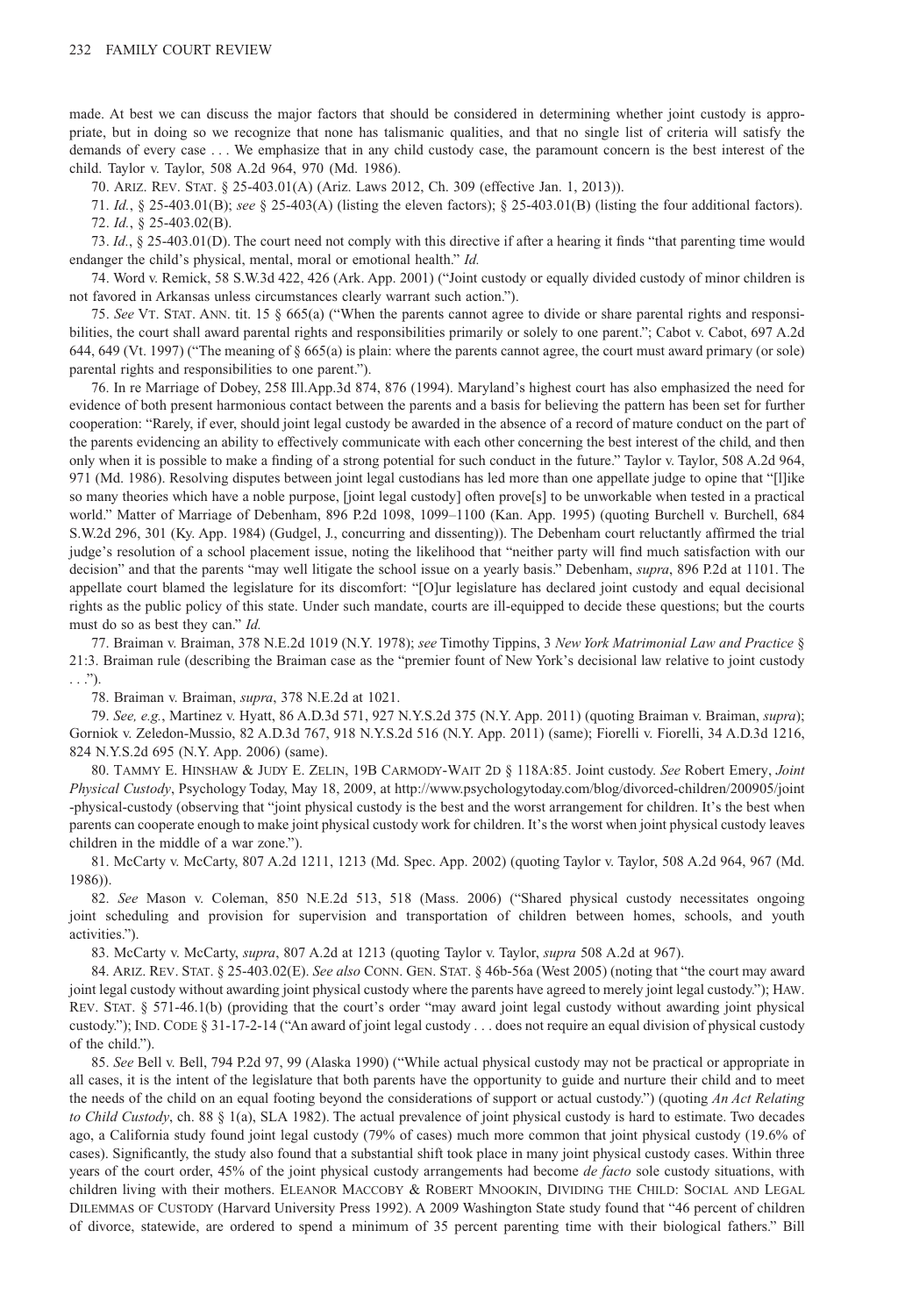made. At best we can discuss the major factors that should be considered in determining whether joint custody is appropriate, but in doing so we recognize that none has talismanic qualities, and that no single list of criteria will satisfy the demands of every case . . . We emphasize that in any child custody case, the paramount concern is the best interest of the child. Taylor v. Taylor, 508 A.2d 964, 970 (Md. 1986).

70. ARIZ. REV. STAT. § 25-403.01(A) (Ariz. Laws 2012, Ch. 309 (effective Jan. 1, 2013)).

71. *Id.*, § 25-403.01(B); *see* § 25-403(A) (listing the eleven factors); § 25-403.01(B) (listing the four additional factors). 72. *Id.*, § 25-403.02(B).

73. *Id.*, § 25-403.01(D). The court need not comply with this directive if after a hearing it finds "that parenting time would endanger the child's physical, mental, moral or emotional health." *Id.*

74. Word v. Remick, 58 S.W.3d 422, 426 (Ark. App. 2001) ("Joint custody or equally divided custody of minor children is not favored in Arkansas unless circumstances clearly warrant such action.").

75. *See* VT. STAT. ANN. tit. 15 § 665(a) ("When the parents cannot agree to divide or share parental rights and responsibilities, the court shall award parental rights and responsibilities primarily or solely to one parent."; Cabot v. Cabot, 697 A.2d 644, 649 (Vt. 1997) ("The meaning of § 665(a) is plain: where the parents cannot agree, the court must award primary (or sole) parental rights and responsibilities to one parent.").

76. In re Marriage of Dobey, 258 Ill.App.3d 874, 876 (1994). Maryland's highest court has also emphasized the need for evidence of both present harmonious contact between the parents and a basis for believing the pattern has been set for further cooperation: "Rarely, if ever, should joint legal custody be awarded in the absence of a record of mature conduct on the part of the parents evidencing an ability to effectively communicate with each other concerning the best interest of the child, and then only when it is possible to make a finding of a strong potential for such conduct in the future." Taylor v. Taylor, 508 A.2d 964, 971 (Md. 1986). Resolving disputes between joint legal custodians has led more than one appellate judge to opine that "[l]ike so many theories which have a noble purpose, [joint legal custody] often prove[s] to be unworkable when tested in a practical world." Matter of Marriage of Debenham, 896 P.2d 1098, 1099–1100 (Kan. App. 1995) (quoting Burchell v. Burchell, 684 S.W.2d 296, 301 (Ky. App. 1984) (Gudgel, J., concurring and dissenting)). The Debenham court reluctantly affirmed the trial judge's resolution of a school placement issue, noting the likelihood that "neither party will find much satisfaction with our decision" and that the parents "may well litigate the school issue on a yearly basis." Debenham, *supra*, 896 P.2d at 1101. The appellate court blamed the legislature for its discomfort: "[O]ur legislature has declared joint custody and equal decisional rights as the public policy of this state. Under such mandate, courts are ill-equipped to decide these questions; but the courts must do so as best they can." *Id.*

77. Braiman v. Braiman, 378 N.E.2d 1019 (N.Y. 1978); *see* Timothy Tippins, 3 *New York Matrimonial Law and Practice* § 21:3. Braiman rule (describing the Braiman case as the "premier fount of New York's decisional law relative to joint custody  $\ldots$ .").

78. Braiman v. Braiman, *supra*, 378 N.E.2d at 1021.

79. *See, e.g.*, Martinez v. Hyatt, 86 A.D.3d 571, 927 N.Y.S.2d 375 (N.Y. App. 2011) (quoting Braiman v. Braiman, *supra*); Gorniok v. Zeledon-Mussio, 82 A.D.3d 767, 918 N.Y.S.2d 516 (N.Y. App. 2011) (same); Fiorelli v. Fiorelli, 34 A.D.3d 1216, 824 N.Y.S.2d 695 (N.Y. App. 2006) (same).

80. TAMMY E. HINSHAW & JUDY E. ZELIN, 19B CARMODY-WAIT 2D § 118A:85. Joint custody. *See* Robert Emery, *Joint Physical Custody*, Psychology Today, May 18, 2009, at http://www.psychologytoday.com/blog/divorced-children/200905/joint -physical-custody (observing that "joint physical custody is the best and the worst arrangement for children. It's the best when parents can cooperate enough to make joint physical custody work for children. It's the worst when joint physical custody leaves children in the middle of a war zone.").

81. McCarty v. McCarty, 807 A.2d 1211, 1213 (Md. Spec. App. 2002) (quoting Taylor v. Taylor, 508 A.2d 964, 967 (Md. 1986)).

82. *See* Mason v. Coleman, 850 N.E.2d 513, 518 (Mass. 2006) ("Shared physical custody necessitates ongoing joint scheduling and provision for supervision and transportation of children between homes, schools, and youth activities.").

83. McCarty v. McCarty, *supra*, 807 A.2d at 1213 (quoting Taylor v. Taylor, *supra* 508 A.2d at 967).

84. ARIZ. REV. STAT. § 25-403.02(E). *See also* CONN. GEN. STAT. § 46b-56a (West 2005) (noting that "the court may award joint legal custody without awarding joint physical custody where the parents have agreed to merely joint legal custody."); HAW. REV. STAT. § 571-46.1(b) (providing that the court's order "may award joint legal custody without awarding joint physical custody."); IND. CODE § 31-17-2-14 ("An award of joint legal custody . . . does not require an equal division of physical custody of the child.").

85. *See* Bell v. Bell, 794 P.2d 97, 99 (Alaska 1990) ("While actual physical custody may not be practical or appropriate in all cases, it is the intent of the legislature that both parents have the opportunity to guide and nurture their child and to meet the needs of the child on an equal footing beyond the considerations of support or actual custody.") (quoting *An Act Relating to Child Custody*, ch. 88 § 1(a), SLA 1982). The actual prevalence of joint physical custody is hard to estimate. Two decades ago, a California study found joint legal custody (79% of cases) much more common that joint physical custody (19.6% of cases). Significantly, the study also found that a substantial shift took place in many joint physical custody cases. Within three years of the court order, 45% of the joint physical custody arrangements had become *de facto* sole custody situations, with children living with their mothers. ELEANOR MACCOBY & ROBERT MNOOKIN, DIVIDING THE CHILD: SOCIAL AND LEGAL DILEMMAS OF CUSTODY (Harvard University Press 1992). A 2009 Washington State study found that "46 percent of children of divorce, statewide, are ordered to spend a minimum of 35 percent parenting time with their biological fathers." Bill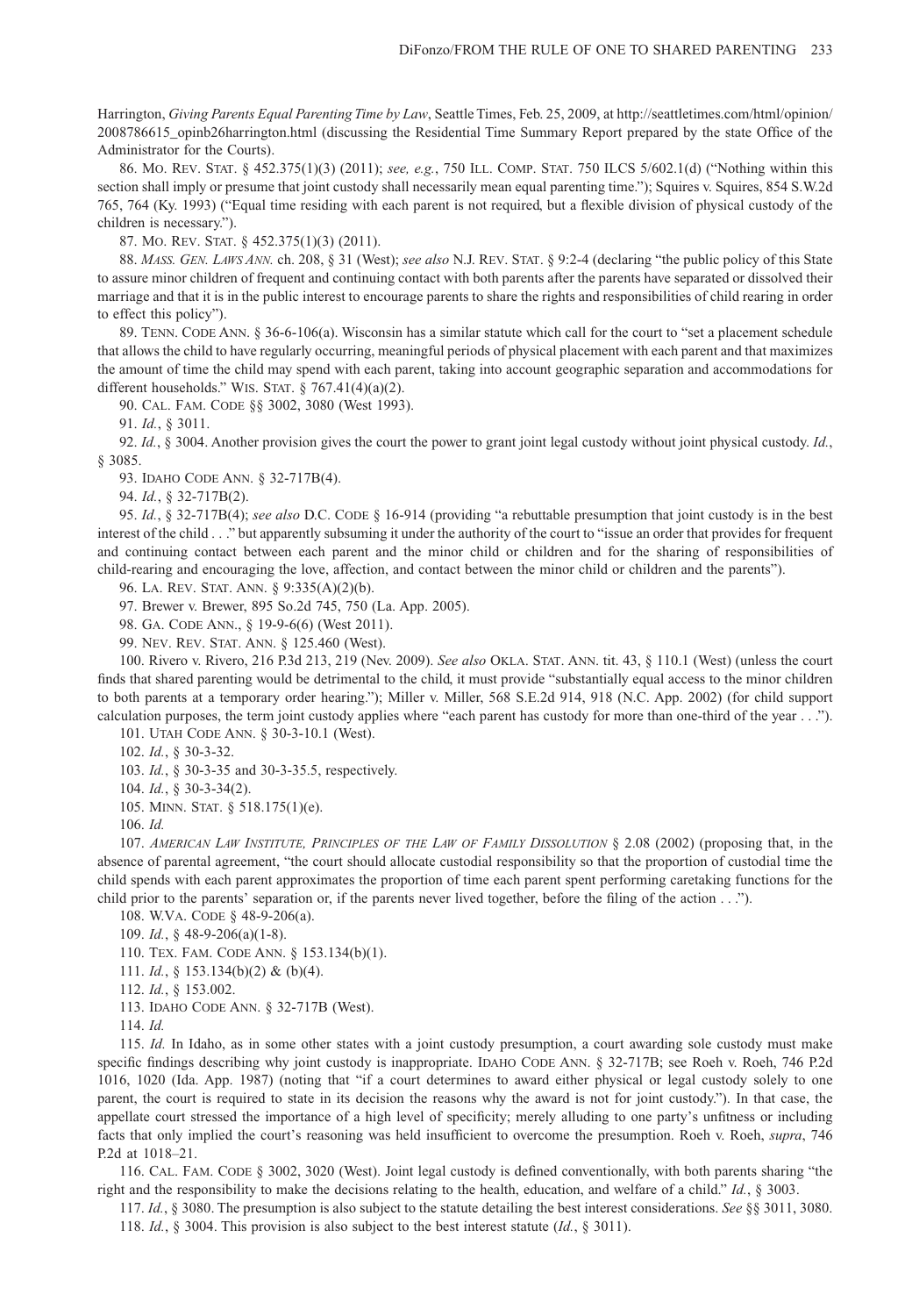Harrington, *Giving Parents Equal Parenting Time by Law*, Seattle Times, Feb. 25, 2009, at http://seattletimes.com/html/opinion/ 2008786615\_opinb26harrington.html (discussing the Residential Time Summary Report prepared by the state Office of the Administrator for the Courts).

86. MO. REV. STAT. § 452.375(1)(3) (2011); *see, e.g.*, 750 ILL. COMP. STAT. 750 ILCS 5/602.1(d) ("Nothing within this section shall imply or presume that joint custody shall necessarily mean equal parenting time."); Squires v. Squires, 854 S.W.2d 765, 764 (Ky. 1993) ("Equal time residing with each parent is not required, but a flexible division of physical custody of the children is necessary.").

87. MO. REV. STAT. § 452.375(1)(3) (2011).

88. *MASS. GEN. LAWS ANN.* ch. 208, § 31 (West); *see also* N.J. REV. STAT. § 9:2-4 (declaring "the public policy of this State to assure minor children of frequent and continuing contact with both parents after the parents have separated or dissolved their marriage and that it is in the public interest to encourage parents to share the rights and responsibilities of child rearing in order to effect this policy").

89. TENN. CODE ANN. § 36-6-106(a). Wisconsin has a similar statute which call for the court to "set a placement schedule that allows the child to have regularly occurring, meaningful periods of physical placement with each parent and that maximizes the amount of time the child may spend with each parent, taking into account geographic separation and accommodations for different households." WIS. STAT.  $\S$  767.41(4)(a)(2).

90. CAL. FAM. CODE §§ 3002, 3080 (West 1993).

91. *Id.*, § 3011.

92. *Id.*, § 3004. Another provision gives the court the power to grant joint legal custody without joint physical custody. *Id.*, § 3085.

93. IDAHO CODE ANN. § 32-717B(4).

94. *Id.*, § 32-717B(2).

95. *Id.*, § 32-717B(4); *see also* D.C. CODE § 16-914 (providing "a rebuttable presumption that joint custody is in the best interest of the child . . ." but apparently subsuming it under the authority of the court to "issue an order that provides for frequent and continuing contact between each parent and the minor child or children and for the sharing of responsibilities of child-rearing and encouraging the love, affection, and contact between the minor child or children and the parents").

96. LA. REV. STAT. ANN. § 9:335(A)(2)(b).

97. Brewer v. Brewer, 895 So.2d 745, 750 (La. App. 2005).

98. GA. CODE ANN., § 19-9-6(6) (West 2011).

99. NEV. REV. STAT. ANN. § 125.460 (West).

100. Rivero v. Rivero, 216 P.3d 213, 219 (Nev. 2009). *See also* OKLA. STAT. ANN. tit. 43, § 110.1 (West) (unless the court finds that shared parenting would be detrimental to the child, it must provide "substantially equal access to the minor children to both parents at a temporary order hearing."); Miller v. Miller, 568 S.E.2d 914, 918 (N.C. App. 2002) (for child support calculation purposes, the term joint custody applies where "each parent has custody for more than one-third of the year . . .").

101. UTAH CODE ANN. § 30-3-10.1 (West).

102. *Id.*, § 30-3-32.

103. *Id.*, § 30-3-35 and 30-3-35.5, respectively.

104. *Id.*, § 30-3-34(2).

105. MINN. STAT. § 518.175(1)(e).

106. *Id.*

107. *AMERICAN LAW INSTITUTE, PRINCIPLES OF THE LAW OF FAMILY DISSOLUTION* § 2.08 (2002) (proposing that, in the absence of parental agreement, "the court should allocate custodial responsibility so that the proportion of custodial time the child spends with each parent approximates the proportion of time each parent spent performing caretaking functions for the child prior to the parents' separation or, if the parents never lived together, before the filing of the action . . .").

108. W.VA. CODE § 48-9-206(a).

109. *Id.*, § 48-9-206(a)(1-8).

110. TEX. FAM. CODE ANN. § 153.134(b)(1).

111. *Id.*, § 153.134(b)(2) & (b)(4).

112. *Id.*, § 153.002.

113. IDAHO CODE ANN. § 32-717B (West).

115. *Id.* In Idaho, as in some other states with a joint custody presumption, a court awarding sole custody must make specific findings describing why joint custody is inappropriate. IDAHO CODE ANN. § 32-717B; see Roeh v. Roeh, 746 P.2d 1016, 1020 (Ida. App. 1987) (noting that "if a court determines to award either physical or legal custody solely to one parent, the court is required to state in its decision the reasons why the award is not for joint custody."). In that case, the appellate court stressed the importance of a high level of specificity; merely alluding to one party's unfitness or including facts that only implied the court's reasoning was held insufficient to overcome the presumption. Roeh v. Roeh, *supra*, 746 P.2d at 1018–21.

116. CAL. FAM. CODE § 3002, 3020 (West). Joint legal custody is defined conventionally, with both parents sharing "the right and the responsibility to make the decisions relating to the health, education, and welfare of a child." *Id.*, § 3003.

117. *Id.*, § 3080. The presumption is also subject to the statute detailing the best interest considerations. *See* §§ 3011, 3080. 118. *Id.*, § 3004. This provision is also subject to the best interest statute (*Id.*, § 3011).

<sup>114.</sup> *Id.*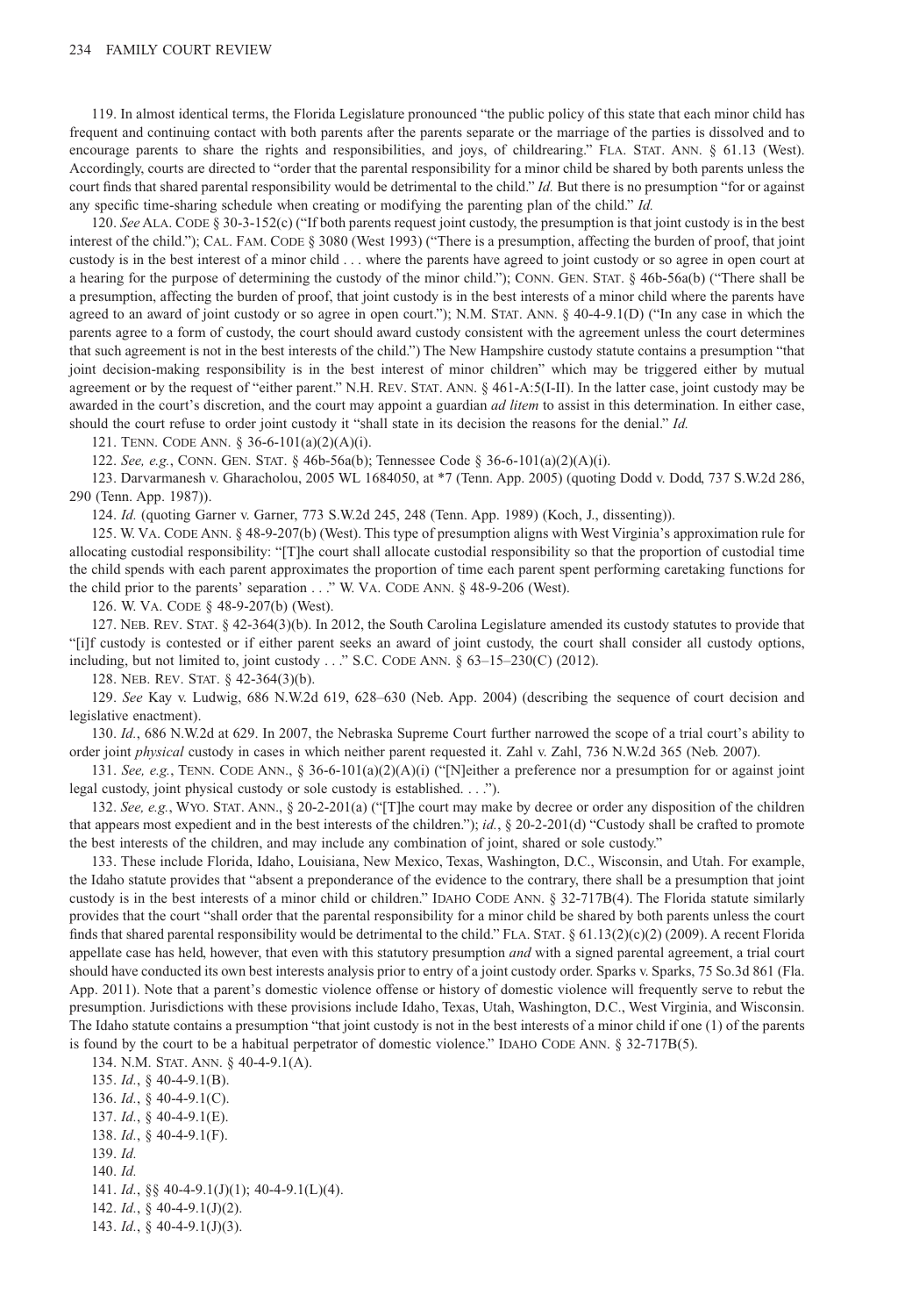#### 234 FAMILY COURT REVIEW

119. In almost identical terms, the Florida Legislature pronounced "the public policy of this state that each minor child has frequent and continuing contact with both parents after the parents separate or the marriage of the parties is dissolved and to encourage parents to share the rights and responsibilities, and joys, of childrearing." FLA. STAT. ANN. § 61.13 (West). Accordingly, courts are directed to "order that the parental responsibility for a minor child be shared by both parents unless the court finds that shared parental responsibility would be detrimental to the child." *Id.* But there is no presumption "for or against any specific time-sharing schedule when creating or modifying the parenting plan of the child." *Id.*

120. *See* ALA. CODE § 30-3-152(c) ("If both parents request joint custody, the presumption is that joint custody is in the best interest of the child."); CAL. FAM. CODE § 3080 (West 1993) ("There is a presumption, affecting the burden of proof, that joint custody is in the best interest of a minor child . . . where the parents have agreed to joint custody or so agree in open court at a hearing for the purpose of determining the custody of the minor child."); CONN. GEN. STAT. § 46b-56a(b) ("There shall be a presumption, affecting the burden of proof, that joint custody is in the best interests of a minor child where the parents have agreed to an award of joint custody or so agree in open court."); N.M. STAT. ANN. § 40-4-9.1(D) ("In any case in which the parents agree to a form of custody, the court should award custody consistent with the agreement unless the court determines that such agreement is not in the best interests of the child.") The New Hampshire custody statute contains a presumption "that joint decision-making responsibility is in the best interest of minor children" which may be triggered either by mutual agreement or by the request of "either parent." N.H. REV. STAT. ANN. § 461-A:5(I-II). In the latter case, joint custody may be awarded in the court's discretion, and the court may appoint a guardian *ad litem* to assist in this determination. In either case, should the court refuse to order joint custody it "shall state in its decision the reasons for the denial." *Id.*

121. TENN. CODE ANN. § 36-6-101(a)(2)(A)(i).

122. *See, e.g.*, CONN. GEN. STAT. § 46b-56a(b); Tennessee Code § 36-6-101(a)(2)(A)(i).

123. Darvarmanesh v. Gharacholou, 2005 WL 1684050, at \*7 (Tenn. App. 2005) (quoting Dodd v. Dodd, 737 S.W.2d 286, 290 (Tenn. App. 1987)).

124. *Id.* (quoting Garner v. Garner, 773 S.W.2d 245, 248 (Tenn. App. 1989) (Koch, J., dissenting)).

125. W. VA. CODE ANN. § 48-9-207(b) (West). This type of presumption aligns with West Virginia's approximation rule for allocating custodial responsibility: "[T]he court shall allocate custodial responsibility so that the proportion of custodial time the child spends with each parent approximates the proportion of time each parent spent performing caretaking functions for the child prior to the parents' separation . . ." W. VA. CODE ANN. § 48-9-206 (West).

126. W. VA. CODE § 48-9-207(b) (West).

127. NEB. REV. STAT. § 42-364(3)(b). In 2012, the South Carolina Legislature amended its custody statutes to provide that "[i]f custody is contested or if either parent seeks an award of joint custody, the court shall consider all custody options, including, but not limited to, joint custody  $\ldots$ ." S.C. CODE ANN. § 63-15-230(C) (2012).

128. NEB. REV. STAT. § 42-364(3)(b).

129. *See* Kay v. Ludwig, 686 N.W.2d 619, 628–630 (Neb. App. 2004) (describing the sequence of court decision and legislative enactment).

130. *Id.*, 686 N.W.2d at 629. In 2007, the Nebraska Supreme Court further narrowed the scope of a trial court's ability to order joint *physical* custody in cases in which neither parent requested it. Zahl v. Zahl, 736 N.W.2d 365 (Neb. 2007).

131. *See, e.g.*, TENN. CODE ANN., § 36-6-101(a)(2)(A)(i) ("[N]either a preference nor a presumption for or against joint legal custody, joint physical custody or sole custody is established. . . .").

132. *See, e.g.*, WYO. STAT. ANN., § 20-2-201(a) ("[T]he court may make by decree or order any disposition of the children that appears most expedient and in the best interests of the children."); *id.*, § 20-2-201(d) "Custody shall be crafted to promote the best interests of the children, and may include any combination of joint, shared or sole custody."

133. These include Florida, Idaho, Louisiana, New Mexico, Texas, Washington, D.C., Wisconsin, and Utah. For example, the Idaho statute provides that "absent a preponderance of the evidence to the contrary, there shall be a presumption that joint custody is in the best interests of a minor child or children." IDAHO CODE ANN. § 32-717B(4). The Florida statute similarly provides that the court "shall order that the parental responsibility for a minor child be shared by both parents unless the court finds that shared parental responsibility would be detrimental to the child." FLA. STAT. § 61.13(2)(c)(2) (2009). A recent Florida appellate case has held, however, that even with this statutory presumption *and* with a signed parental agreement, a trial court should have conducted its own best interests analysis prior to entry of a joint custody order. Sparks v. Sparks, 75 So.3d 861 (Fla. App. 2011). Note that a parent's domestic violence offense or history of domestic violence will frequently serve to rebut the presumption. Jurisdictions with these provisions include Idaho, Texas, Utah, Washington, D.C., West Virginia, and Wisconsin. The Idaho statute contains a presumption "that joint custody is not in the best interests of a minor child if one (1) of the parents is found by the court to be a habitual perpetrator of domestic violence." IDAHO CODE ANN. § 32-717B(5).

134. N.M. STAT. ANN. § 40-4-9.1(A).

135. *Id.*, § 40-4-9.1(B). 136. *Id.*, § 40-4-9.1(C). 137. *Id.*, § 40-4-9.1(E). 138. *Id.*, § 40-4-9.1(F). 139. *Id.* 140. *Id.* 141. *Id.*, §§ 40-4-9.1(J)(1); 40-4-9.1(L)(4). 142. *Id.*, § 40-4-9.1(J)(2). 143. *Id.*, § 40-4-9.1(J)(3).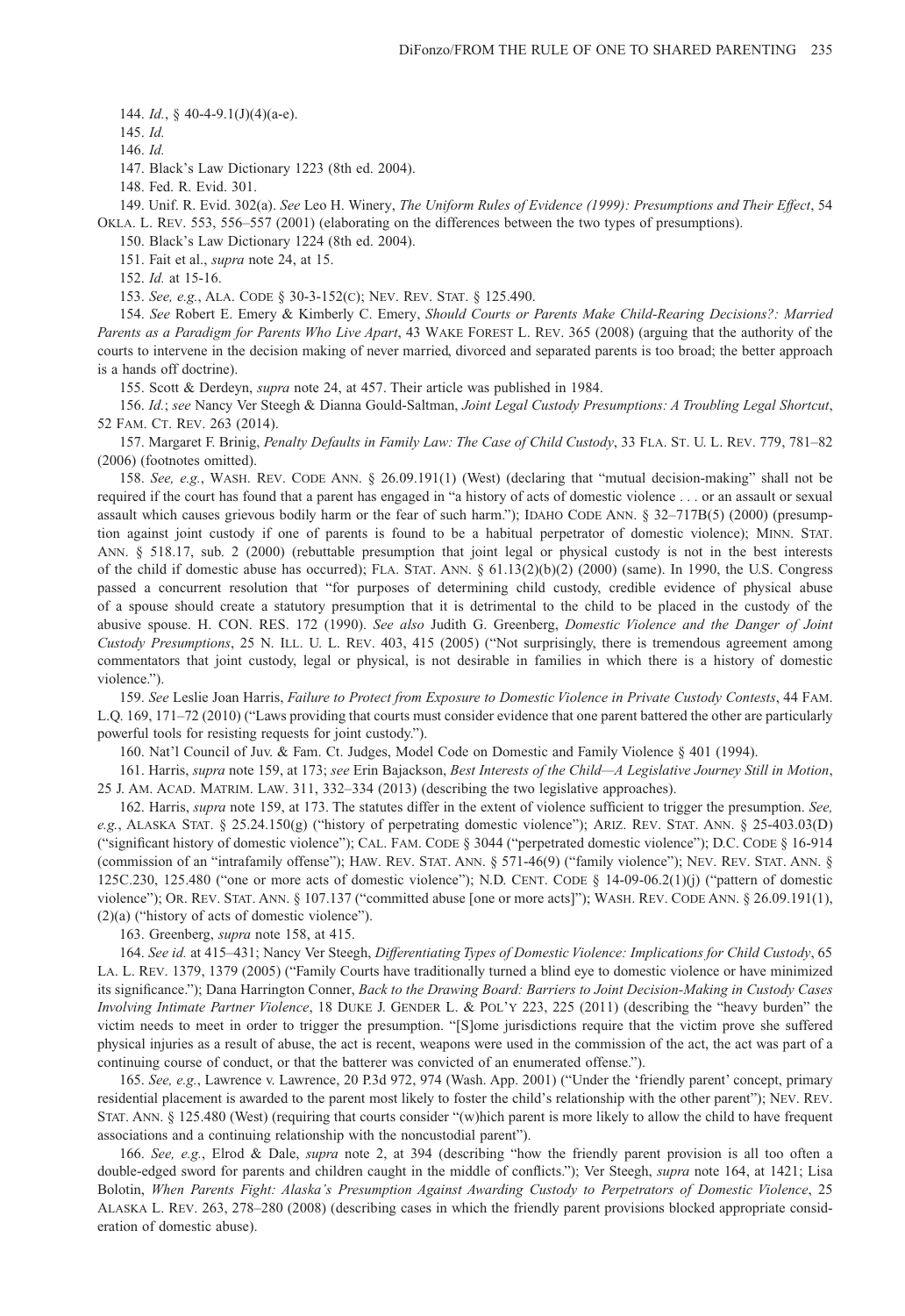144. *Id.*, § 40-4-9.1(J)(4)(a-e).

145. *Id.* 146. *Id.*

147. Black's Law Dictionary 1223 (8th ed. 2004).

148. Fed. R. Evid. 301.

149. Unif. R. Evid. 302(a). *See* Leo H. Winery, *The Uniform Rules of Evidence (1999): Presumptions and Their Effect*, 54 OKLA. L. REV. 553, 556–557 (2001) (elaborating on the differences between the two types of presumptions).

150. Black's Law Dictionary 1224 (8th ed. 2004).

151. Fait et al., *supra* note 24, at 15.

152. *Id.* at 15-16.

153. *See, e.g.*, ALA. CODE § 30-3-152(C); NEV. REV. STAT. § 125.490.

154. *See* Robert E. Emery & Kimberly C. Emery, *Should Courts or Parents Make Child-Rearing Decisions?: Married Parents as a Paradigm for Parents Who Live Apart*, 43 WAKE FOREST L. REV. 365 (2008) (arguing that the authority of the courts to intervene in the decision making of never married, divorced and separated parents is too broad; the better approach is a hands off doctrine).

155. Scott & Derdeyn, *supra* note 24, at 457. Their article was published in 1984.

156. *Id.*; *see* Nancy Ver Steegh & Dianna Gould-Saltman, *Joint Legal Custody Presumptions: A Troubling Legal Shortcut*, 52 FAM. CT. REV. 263 (2014).

157. Margaret F. Brinig, *Penalty Defaults in Family Law: The Case of Child Custody*, 33 FLA. ST. U. L. REV. 779, 781–82 (2006) (footnotes omitted).

158. *See, e.g.*, WASH. REV. CODE ANN. § 26.09.191(1) (West) (declaring that "mutual decision-making" shall not be required if the court has found that a parent has engaged in "a history of acts of domestic violence . . . or an assault or sexual assault which causes grievous bodily harm or the fear of such harm."); IDAHO CODE ANN. § 32-717B(5) (2000) (presumption against joint custody if one of parents is found to be a habitual perpetrator of domestic violence); MINN. STAT. ANN. § 518.17, sub. 2 (2000) (rebuttable presumption that joint legal or physical custody is not in the best interests of the child if domestic abuse has occurred); FLA. STAT. ANN.  $\S$  61.13(2)(b)(2) (2000) (same). In 1990, the U.S. Congress passed a concurrent resolution that "for purposes of determining child custody, credible evidence of physical abuse of a spouse should create a statutory presumption that it is detrimental to the child to be placed in the custody of the abusive spouse. H. CON. RES. 172 (1990). *See also* Judith G. Greenberg, *Domestic Violence and the Danger of Joint Custody Presumptions*, 25 N. ILL. U. L. REV. 403, 415 (2005) ("Not surprisingly, there is tremendous agreement among commentators that joint custody, legal or physical, is not desirable in families in which there is a history of domestic violence.").

159. *See* Leslie Joan Harris, *Failure to Protect from Exposure to Domestic Violence in Private Custody Contests*, 44 FAM. L.Q. 169, 171–72 (2010) ("Laws providing that courts must consider evidence that one parent battered the other are particularly powerful tools for resisting requests for joint custody.").

160. Nat'l Council of Juv. & Fam. Ct. Judges, Model Code on Domestic and Family Violence § 401 (1994).

161. Harris, *supra* note 159, at 173; *see* Erin Bajackson, *Best Interests of the Child—A Legislative Journey Still in Motion*, 25 J. AM. ACAD. MATRIM. LAW. 311, 332–334 (2013) (describing the two legislative approaches).

162. Harris, *supra* note 159, at 173. The statutes differ in the extent of violence sufficient to trigger the presumption. *See, e.g.*, ALASKA STAT. § 25.24.150(g) ("history of perpetrating domestic violence"); ARIZ. REV. STAT. ANN. § 25-403.03(D) ("significant history of domestic violence"); CAL. FAM. CODE § 3044 ("perpetrated domestic violence"); D.C. CODE § 16-914 (commission of an "intrafamily offense"); HAW. REV. STAT. ANN. § 571-46(9) ("family violence"); NEV. REV. STAT. ANN. § 125C.230, 125.480 ("one or more acts of domestic violence"); N.D. CENT. CODE § 14-09-06.2(1)(j) ("pattern of domestic violence"); OR. REV. STAT. ANN. § 107.137 ("committed abuse [one or more acts]"); WASH. REV. CODE ANN. § 26.09.191(1), (2)(a) ("history of acts of domestic violence").

163. Greenberg, *supra* note 158, at 415.

164. *See id.* at 415–431; Nancy Ver Steegh, *Differentiating Types of Domestic Violence: Implications for Child Custody*, 65 LA. L. REV. 1379, 1379 (2005) ("Family Courts have traditionally turned a blind eye to domestic violence or have minimized its significance."); Dana Harrington Conner, *Back to the Drawing Board: Barriers to Joint Decision-Making in Custody Cases Involving Intimate Partner Violence*, 18 DUKE J. GENDER L. & POL'Y 223, 225 (2011) (describing the "heavy burden" the victim needs to meet in order to trigger the presumption. "[S]ome jurisdictions require that the victim prove she suffered physical injuries as a result of abuse, the act is recent, weapons were used in the commission of the act, the act was part of a continuing course of conduct, or that the batterer was convicted of an enumerated offense.").

165. *See, e.g.*, Lawrence v. Lawrence, 20 P.3d 972, 974 (Wash. App. 2001) ("Under the 'friendly parent' concept, primary residential placement is awarded to the parent most likely to foster the child's relationship with the other parent"); NEV. REV. STAT. ANN. § 125.480 (West) (requiring that courts consider "(w)hich parent is more likely to allow the child to have frequent associations and a continuing relationship with the noncustodial parent").

166. *See, e.g.*, Elrod & Dale, *supra* note 2, at 394 (describing "how the friendly parent provision is all too often a double-edged sword for parents and children caught in the middle of conflicts."); Ver Steegh, *supra* note 164, at 1421; Lisa Bolotin, *When Parents Fight: Alaska's Presumption Against Awarding Custody to Perpetrators of Domestic Violence*, 25 ALASKA L. REV. 263, 278–280 (2008) (describing cases in which the friendly parent provisions blocked appropriate consideration of domestic abuse).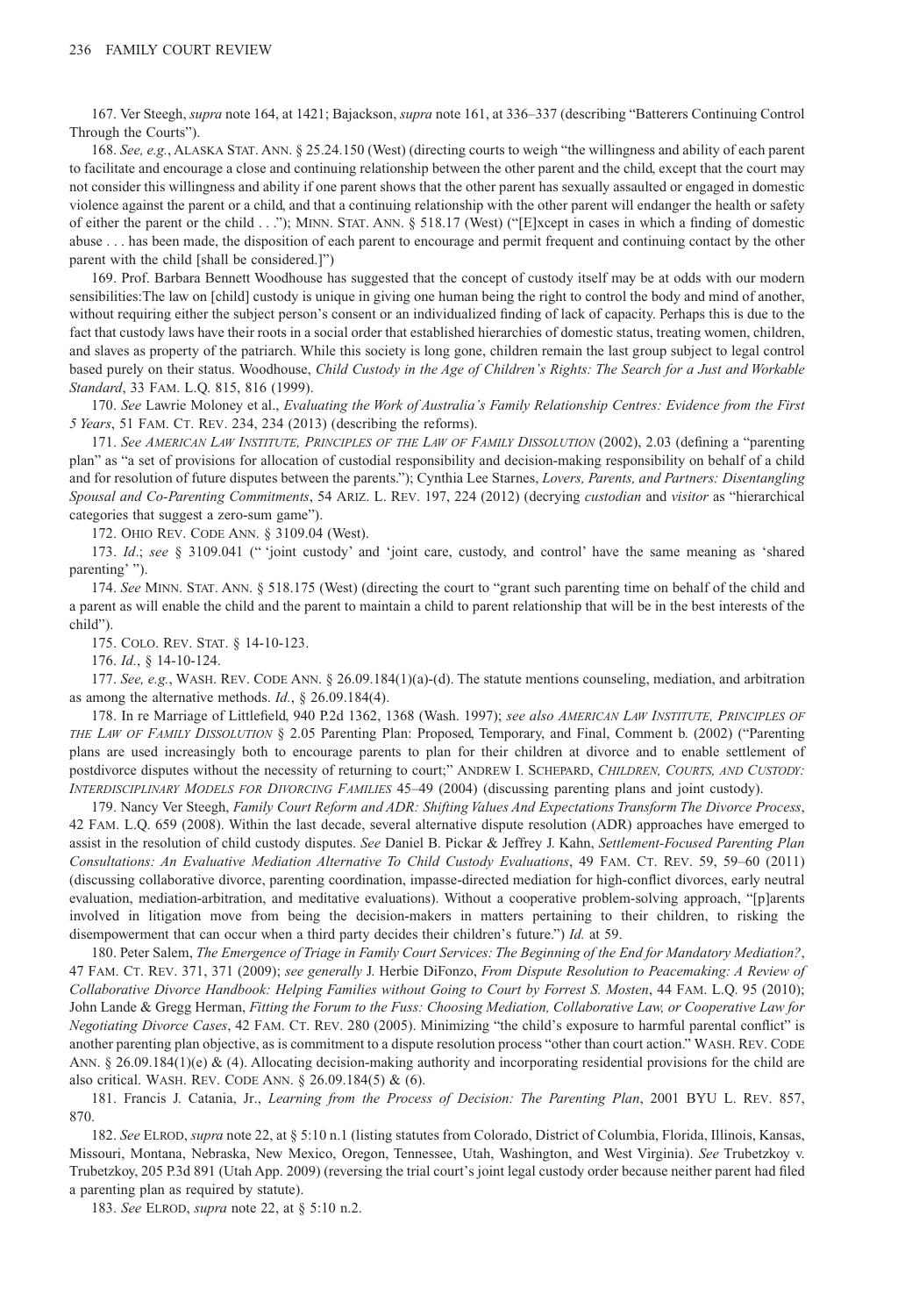167. Ver Steegh, *supra* note 164, at 1421; Bajackson, *supra* note 161, at 336–337 (describing "Batterers Continuing Control Through the Courts").

168. *See, e.g.*, ALASKA STAT. ANN. § 25.24.150 (West) (directing courts to weigh "the willingness and ability of each parent to facilitate and encourage a close and continuing relationship between the other parent and the child, except that the court may not consider this willingness and ability if one parent shows that the other parent has sexually assaulted or engaged in domestic violence against the parent or a child, and that a continuing relationship with the other parent will endanger the health or safety of either the parent or the child . . ."); MINN. STAT. ANN. § 518.17 (West) ("[E]xcept in cases in which a finding of domestic abuse . . . has been made, the disposition of each parent to encourage and permit frequent and continuing contact by the other parent with the child [shall be considered.]")

169. Prof. Barbara Bennett Woodhouse has suggested that the concept of custody itself may be at odds with our modern sensibilities:The law on [child] custody is unique in giving one human being the right to control the body and mind of another, without requiring either the subject person's consent or an individualized finding of lack of capacity. Perhaps this is due to the fact that custody laws have their roots in a social order that established hierarchies of domestic status, treating women, children, and slaves as property of the patriarch. While this society is long gone, children remain the last group subject to legal control based purely on their status. Woodhouse, *Child Custody in the Age of Children's Rights: The Search for a Just and Workable Standard*, 33 FAM. L.Q. 815, 816 (1999).

170. *See* Lawrie Moloney et al., *Evaluating the Work of Australia's Family Relationship Centres: Evidence from the First 5 Years*, 51 FAM. CT. REV. 234, 234 (2013) (describing the reforms).

171. *See AMERICAN LAW INSTITUTE, PRINCIPLES OF THE LAW OF FAMILY DISSOLUTION* (2002), 2.03 (defining a "parenting plan" as "a set of provisions for allocation of custodial responsibility and decision-making responsibility on behalf of a child and for resolution of future disputes between the parents."); Cynthia Lee Starnes, *Lovers, Parents, and Partners: Disentangling Spousal and Co-Parenting Commitments*, 54 ARIZ. L. REV. 197, 224 (2012) (decrying *custodian* and *visitor* as "hierarchical categories that suggest a zero-sum game").

172. OHIO REV. CODE ANN. § 3109.04 (West).

173. *Id*.; *see* § 3109.041 (" 'joint custody' and 'joint care, custody, and control' have the same meaning as 'shared parenting' ").

174. *See* MINN. STAT. ANN. § 518.175 (West) (directing the court to "grant such parenting time on behalf of the child and a parent as will enable the child and the parent to maintain a child to parent relationship that will be in the best interests of the child").

175. COLO. REV. STAT. § 14-10-123.

176. *Id.*, § 14-10-124.

177. *See, e.g.*, WASH. REV. CODE ANN. § 26.09.184(1)(a)-(d). The statute mentions counseling, mediation, and arbitration as among the alternative methods. *Id.*, § 26.09.184(4).

178. In re Marriage of Littlefield, 940 P.2d 1362, 1368 (Wash. 1997); *see also AMERICAN LAW INSTITUTE, PRINCIPLES OF THE LAW OF FAMILY DISSOLUTION* § 2.05 Parenting Plan: Proposed, Temporary, and Final, Comment b. (2002) ("Parenting plans are used increasingly both to encourage parents to plan for their children at divorce and to enable settlement of postdivorce disputes without the necessity of returning to court;" ANDREW I. SCHEPARD, *CHILDREN, COURTS, AND CUSTODY: INTERDISCIPLINARY MODELS FOR DIVORCING FAMILIES* 45–49 (2004) (discussing parenting plans and joint custody).

179. Nancy Ver Steegh, *Family Court Reform and ADR: Shifting Values And Expectations Transform The Divorce Process*, 42 FAM. L.Q. 659 (2008). Within the last decade, several alternative dispute resolution (ADR) approaches have emerged to assist in the resolution of child custody disputes. *See* Daniel B. Pickar & Jeffrey J. Kahn, *Settlement-Focused Parenting Plan Consultations: An Evaluative Mediation Alternative To Child Custody Evaluations*, 49 FAM. CT. REV. 59, 59–60 (2011) (discussing collaborative divorce, parenting coordination, impasse-directed mediation for high-conflict divorces, early neutral evaluation, mediation-arbitration, and meditative evaluations). Without a cooperative problem-solving approach, "[p]arents involved in litigation move from being the decision-makers in matters pertaining to their children, to risking the disempowerment that can occur when a third party decides their children's future.") *Id.* at 59.

180. Peter Salem, *The Emergence of Triage in Family Court Services: The Beginning of the End for Mandatory Mediation?*, 47 FAM. CT. REV. 371, 371 (2009); *see generally* J. Herbie DiFonzo, *From Dispute Resolution to Peacemaking: A Review of Collaborative Divorce Handbook: Helping Families without Going to Court by Forrest S. Mosten*, 44 FAM. L.Q. 95 (2010); John Lande & Gregg Herman, *Fitting the Forum to the Fuss: Choosing Mediation, Collaborative Law, or Cooperative Law for Negotiating Divorce Cases*, 42 FAM. CT. REV. 280 (2005). Minimizing "the child's exposure to harmful parental conflict" is another parenting plan objective, as is commitment to a dispute resolution process "other than court action." WASH. REV. CODE ANN. § 26.09.184(1)(e) & (4). Allocating decision-making authority and incorporating residential provisions for the child are also critical. WASH. REV. CODE ANN. § 26.09.184(5) & (6).

181. Francis J. Catania, Jr., *Learning from the Process of Decision: The Parenting Plan*, 2001 BYU L. REV. 857, 870.

182. *See* ELROD, *supra* note 22, at § 5:10 n.1 (listing statutes from Colorado, District of Columbia, Florida, Illinois, Kansas, Missouri, Montana, Nebraska, New Mexico, Oregon, Tennessee, Utah, Washington, and West Virginia). *See* Trubetzkoy v. Trubetzkoy, 205 P.3d 891 (Utah App. 2009) (reversing the trial court's joint legal custody order because neither parent had filed a parenting plan as required by statute).

183. *See* ELROD, *supra* note 22, at § 5:10 n.2.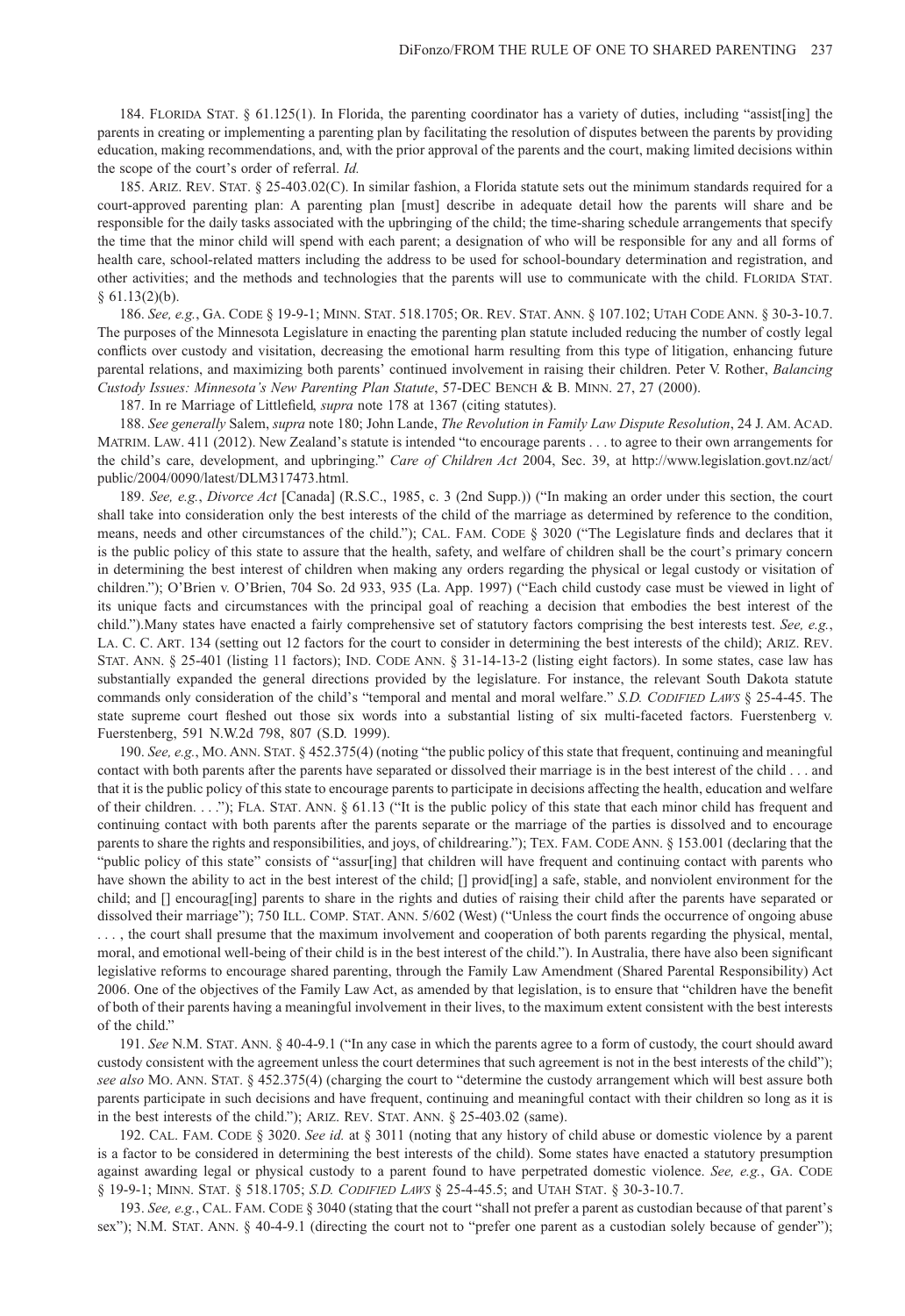184. FLORIDA STAT. § 61.125(1). In Florida, the parenting coordinator has a variety of duties, including "assist[ing] the parents in creating or implementing a parenting plan by facilitating the resolution of disputes between the parents by providing education, making recommendations, and, with the prior approval of the parents and the court, making limited decisions within the scope of the court's order of referral. *Id.*

185. ARIZ. REV. STAT. § 25-403.02(C). In similar fashion, a Florida statute sets out the minimum standards required for a court-approved parenting plan: A parenting plan [must] describe in adequate detail how the parents will share and be responsible for the daily tasks associated with the upbringing of the child; the time-sharing schedule arrangements that specify the time that the minor child will spend with each parent; a designation of who will be responsible for any and all forms of health care, school-related matters including the address to be used for school-boundary determination and registration, and other activities; and the methods and technologies that the parents will use to communicate with the child. FLORIDA STAT. § 61.13(2)(b).

186. *See, e.g.*, GA. CODE § 19-9-1; MINN. STAT. 518.1705; OR. REV. STAT. ANN. § 107.102; UTAH CODE ANN. § 30-3-10.7. The purposes of the Minnesota Legislature in enacting the parenting plan statute included reducing the number of costly legal conflicts over custody and visitation, decreasing the emotional harm resulting from this type of litigation, enhancing future parental relations, and maximizing both parents' continued involvement in raising their children. Peter V. Rother, *Balancing Custody Issues: Minnesota's New Parenting Plan Statute*, 57-DEC BENCH & B. MINN. 27, 27 (2000).

187. In re Marriage of Littlefield, *supra* note 178 at 1367 (citing statutes).

188. *See generally* Salem, *supra* note 180; John Lande, *The Revolution in Family Law Dispute Resolution*, 24 J. AM. ACAD. MATRIM. LAW. 411 (2012). New Zealand's statute is intended "to encourage parents . . . to agree to their own arrangements for the child's care, development, and upbringing." *Care of Children Act* 2004, Sec. 39, at http://www.legislation.govt.nz/act/ public/2004/0090/latest/DLM317473.html.

189. *See, e.g.*, *Divorce Act* [Canada] (R.S.C., 1985, c. 3 (2nd Supp.)) ("In making an order under this section, the court shall take into consideration only the best interests of the child of the marriage as determined by reference to the condition, means, needs and other circumstances of the child."); CAL. FAM. CODE § 3020 ("The Legislature finds and declares that it is the public policy of this state to assure that the health, safety, and welfare of children shall be the court's primary concern in determining the best interest of children when making any orders regarding the physical or legal custody or visitation of children."); O'Brien v. O'Brien, 704 So. 2d 933, 935 (La. App. 1997) ("Each child custody case must be viewed in light of its unique facts and circumstances with the principal goal of reaching a decision that embodies the best interest of the child.").Many states have enacted a fairly comprehensive set of statutory factors comprising the best interests test. *See, e.g.*, LA. C. C. ART. 134 (setting out 12 factors for the court to consider in determining the best interests of the child); ARIZ. REV. STAT. ANN. § 25-401 (listing 11 factors); IND. CODE ANN. § 31-14-13-2 (listing eight factors). In some states, case law has substantially expanded the general directions provided by the legislature. For instance, the relevant South Dakota statute commands only consideration of the child's "temporal and mental and moral welfare." *S.D. CODIFIED LAWS* § 25-4-45. The state supreme court fleshed out those six words into a substantial listing of six multi-faceted factors. Fuerstenberg v. Fuerstenberg, 591 N.W.2d 798, 807 (S.D. 1999).

190. *See, e.g.*, MO. ANN. STAT. § 452.375(4) (noting "the public policy of this state that frequent, continuing and meaningful contact with both parents after the parents have separated or dissolved their marriage is in the best interest of the child . . . and that it is the public policy of this state to encourage parents to participate in decisions affecting the health, education and welfare of their children. . . ."); FLA. STAT. ANN.  $\S$  61.13 ("It is the public policy of this state that each minor child has frequent and continuing contact with both parents after the parents separate or the marriage of the parties is dissolved and to encourage parents to share the rights and responsibilities, and joys, of childrearing."); TEX. FAM. CODE ANN. § 153.001 (declaring that the "public policy of this state" consists of "assur[ing] that children will have frequent and continuing contact with parents who have shown the ability to act in the best interest of the child; [] provid[ing] a safe, stable, and nonviolent environment for the child; and [] encourag[ing] parents to share in the rights and duties of raising their child after the parents have separated or dissolved their marriage"); 750 ILL. COMP. STAT. ANN. 5/602 (West) ("Unless the court finds the occurrence of ongoing abuse . . . , the court shall presume that the maximum involvement and cooperation of both parents regarding the physical, mental, moral, and emotional well-being of their child is in the best interest of the child."). In Australia, there have also been significant legislative reforms to encourage shared parenting, through the Family Law Amendment (Shared Parental Responsibility) Act 2006. One of the objectives of the Family Law Act, as amended by that legislation, is to ensure that "children have the benefit of both of their parents having a meaningful involvement in their lives, to the maximum extent consistent with the best interests of the child."

191. *See* N.M. STAT. ANN. § 40-4-9.1 ("In any case in which the parents agree to a form of custody, the court should award custody consistent with the agreement unless the court determines that such agreement is not in the best interests of the child"); *see also* MO. ANN. STAT. § 452.375(4) (charging the court to "determine the custody arrangement which will best assure both parents participate in such decisions and have frequent, continuing and meaningful contact with their children so long as it is in the best interests of the child."); ARIZ. REV. STAT. ANN. § 25-403.02 (same).

192. CAL. FAM. CODE § 3020. *See id.* at § 3011 (noting that any history of child abuse or domestic violence by a parent is a factor to be considered in determining the best interests of the child). Some states have enacted a statutory presumption against awarding legal or physical custody to a parent found to have perpetrated domestic violence. *See, e.g.*, GA. CODE § 19-9-1; MINN. STAT. § 518.1705; *S.D. CODIFIED LAWS* § 25-4-45.5; and UTAH STAT. § 30-3-10.7.

193. *See, e.g.*, CAL. FAM. CODE § 3040 (stating that the court "shall not prefer a parent as custodian because of that parent's sex"); N.M. STAT. ANN. § 40-4-9.1 (directing the court not to "prefer one parent as a custodian solely because of gender");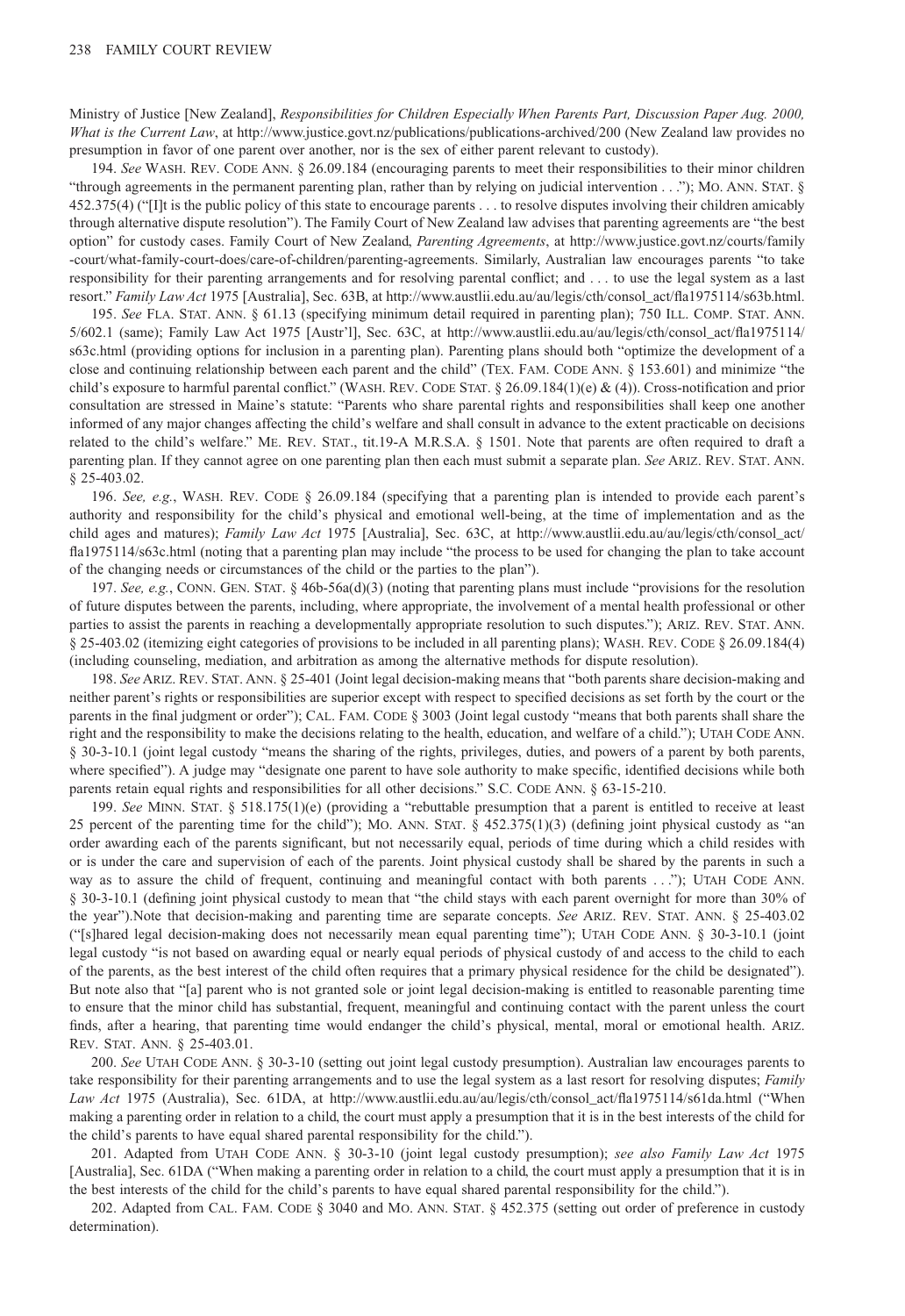Ministry of Justice [New Zealand], *Responsibilities for Children Especially When Parents Part, Discussion Paper Aug. 2000, What is the Current Law*, at http://www.justice.govt.nz/publications/publications-archived/200 (New Zealand law provides no presumption in favor of one parent over another, nor is the sex of either parent relevant to custody).

194. *See* WASH. REV. CODE ANN. § 26.09.184 (encouraging parents to meet their responsibilities to their minor children "through agreements in the permanent parenting plan, rather than by relying on judicial intervention . . ."); MO. ANN. STAT. § 452.375(4) ("[I]t is the public policy of this state to encourage parents . . . to resolve disputes involving their children amicably through alternative dispute resolution"). The Family Court of New Zealand law advises that parenting agreements are "the best option" for custody cases. Family Court of New Zealand, *Parenting Agreements*, at http://www.justice.govt.nz/courts/family -court/what-family-court-does/care-of-children/parenting-agreements. Similarly, Australian law encourages parents "to take responsibility for their parenting arrangements and for resolving parental conflict; and . . . to use the legal system as a last resort." *Family Law Act* 1975 [Australia], Sec. 63B, at http://www.austlii.edu.au/au/legis/cth/consol\_act/fla1975114/s63b.html.

195. *See* FLA. STAT. ANN. § 61.13 (specifying minimum detail required in parenting plan); 750 ILL. COMP. STAT. ANN. 5/602.1 (same); Family Law Act 1975 [Austr'l], Sec. 63C, at http://www.austlii.edu.au/au/legis/cth/consol\_act/fla1975114/ s63c.html (providing options for inclusion in a parenting plan). Parenting plans should both "optimize the development of a close and continuing relationship between each parent and the child" (TEX. FAM. CODE ANN. § 153.601) and minimize "the child's exposure to harmful parental conflict." (WASH. REV. CODE STAT. § 26.09.184(1)(e) & (4)). Cross-notification and prior consultation are stressed in Maine's statute: "Parents who share parental rights and responsibilities shall keep one another informed of any major changes affecting the child's welfare and shall consult in advance to the extent practicable on decisions related to the child's welfare." ME. REV. STAT., tit.19-A M.R.S.A. § 1501. Note that parents are often required to draft a parenting plan. If they cannot agree on one parenting plan then each must submit a separate plan. *See* ARIZ. REV. STAT. ANN. § 25-403.02.

196. *See, e.g.*, WASH. REV. CODE § 26.09.184 (specifying that a parenting plan is intended to provide each parent's authority and responsibility for the child's physical and emotional well-being, at the time of implementation and as the child ages and matures); *Family Law Act* 1975 [Australia], Sec. 63C, at http://www.austlii.edu.au/au/legis/cth/consol\_act/ fla1975114/s63c.html (noting that a parenting plan may include "the process to be used for changing the plan to take account of the changing needs or circumstances of the child or the parties to the plan").

197. *See, e.g.*, CONN. GEN. STAT. § 46b-56a(d)(3) (noting that parenting plans must include "provisions for the resolution of future disputes between the parents, including, where appropriate, the involvement of a mental health professional or other parties to assist the parents in reaching a developmentally appropriate resolution to such disputes."); ARIZ. REV. STAT. ANN. § 25-403.02 (itemizing eight categories of provisions to be included in all parenting plans); WASH. REV. CODE § 26.09.184(4) (including counseling, mediation, and arbitration as among the alternative methods for dispute resolution).

198. *See* ARIZ. REV. STAT. ANN. § 25-401 (Joint legal decision-making means that "both parents share decision-making and neither parent's rights or responsibilities are superior except with respect to specified decisions as set forth by the court or the parents in the final judgment or order"); CAL. FAM. CODE § 3003 (Joint legal custody "means that both parents shall share the right and the responsibility to make the decisions relating to the health, education, and welfare of a child."); UTAH CODE ANN. § 30-3-10.1 (joint legal custody "means the sharing of the rights, privileges, duties, and powers of a parent by both parents, where specified"). A judge may "designate one parent to have sole authority to make specific, identified decisions while both parents retain equal rights and responsibilities for all other decisions." S.C. CODE ANN. § 63-15-210.

199. *See* MINN. STAT. § 518.175(1)(e) (providing a "rebuttable presumption that a parent is entitled to receive at least 25 percent of the parenting time for the child"); MO. ANN. STAT. § 452.375(1)(3) (defining joint physical custody as "an order awarding each of the parents significant, but not necessarily equal, periods of time during which a child resides with or is under the care and supervision of each of the parents. Joint physical custody shall be shared by the parents in such a way as to assure the child of frequent, continuing and meaningful contact with both parents . . ."); UTAH CODE ANN. § 30-3-10.1 (defining joint physical custody to mean that "the child stays with each parent overnight for more than 30% of the year").Note that decision-making and parenting time are separate concepts. *See* ARIZ. REV. STAT. ANN. § 25-403.02 ("[s]hared legal decision-making does not necessarily mean equal parenting time"); UTAH CODE ANN. § 30-3-10.1 (joint legal custody "is not based on awarding equal or nearly equal periods of physical custody of and access to the child to each of the parents, as the best interest of the child often requires that a primary physical residence for the child be designated"). But note also that "[a] parent who is not granted sole or joint legal decision-making is entitled to reasonable parenting time to ensure that the minor child has substantial, frequent, meaningful and continuing contact with the parent unless the court finds, after a hearing, that parenting time would endanger the child's physical, mental, moral or emotional health. ARIZ. REV. STAT. ANN. § 25-403.01.

200. *See* UTAH CODE ANN. § 30-3-10 (setting out joint legal custody presumption). Australian law encourages parents to take responsibility for their parenting arrangements and to use the legal system as a last resort for resolving disputes; *Family Law Act* 1975 (Australia), Sec. 61DA, at http://www.austlii.edu.au/au/legis/cth/consol\_act/fla1975114/s61da.html ("When making a parenting order in relation to a child, the court must apply a presumption that it is in the best interests of the child for the child's parents to have equal shared parental responsibility for the child.").

201. Adapted from UTAH CODE ANN. § 30-3-10 (joint legal custody presumption); *see also Family Law Act* 1975 [Australia], Sec. 61DA ("When making a parenting order in relation to a child, the court must apply a presumption that it is in the best interests of the child for the child's parents to have equal shared parental responsibility for the child.").

202. Adapted from CAL. FAM. CODE § 3040 and MO. ANN. STAT. § 452.375 (setting out order of preference in custody determination).